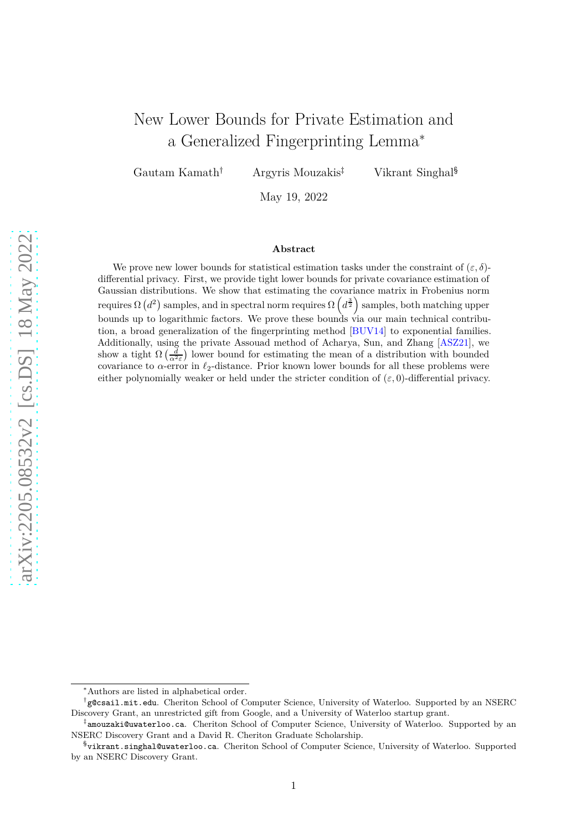# <span id="page-0-0"></span>New Lower Bounds for Private Estimation and a Generalized Fingerprinting Lemma<sup>∗</sup>

Gautam Kamath<sup>†</sup> Argyris Mouzakis<sup>‡</sup> Vikrant Singhal<sup>§</sup>

May 19, 2022

#### **Abstract**

We prove new lower bounds for statistical estimation tasks under the constraint of  $(\varepsilon, \delta)$ differential privacy. First, we provide tight lower bounds for private covariance estimation of Gaussian distributions. We show that estimating the covariance matrix in Frobenius norm *requires*  $\Omega(d^2)$  samples, and in spectral norm requires  $\Omega(d^{\frac{3}{2}})$  samples, both matching upper bounds up to logarithmic factors. We prove these bounds via our main technical contribution, a broad generalization of the fingerprinting method [\[BUV14\]](#page-30-0) to exponential families. Additionally, using the private Assouad method of Acharya, Sun, and Zhang [\[ASZ21\]](#page-29-0), we show a tight  $\Omega\left(\frac{d}{\alpha^2 \epsilon}\right)$  lower bound for estimating the mean of a distribution with bounded covariance to *α*-error in *ℓ*2-distance. Prior known lower bounds for all these problems were either polynomially weaker or held under the stricter condition of  $(\varepsilon, 0)$ -differential privacy.

<sup>∗</sup>Authors are listed in alphabetical order.

<sup>†</sup> g@csail.mit.edu. Cheriton School of Computer Science, University of Waterloo. Supported by an NSERC Discovery Grant, an unrestricted gift from Google, and a University of Waterloo startup grant.

<sup>‡</sup> amouzaki@uwaterloo.ca. Cheriton School of Computer Science, University of Waterloo. Supported by an NSERC Discovery Grant and a David R. Cheriton Graduate Scholarship.

 $^{\S}$ vikrant.singhal@uwaterloo.ca. Cheriton School of Computer Science, University of Waterloo. Supported by an NSERC Discovery Grant.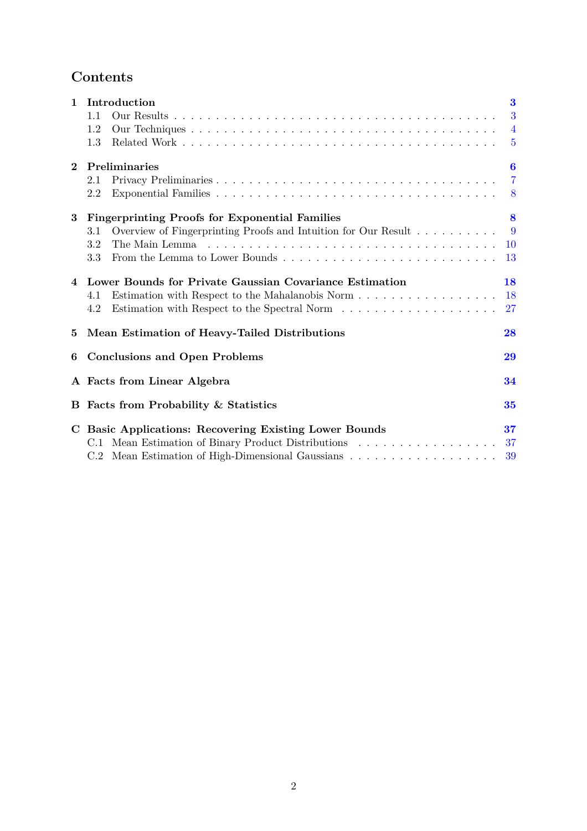## **Contents**

| $\mathbf{1}$   | Introduction                                                          | $\bf{3}$       |
|----------------|-----------------------------------------------------------------------|----------------|
|                | 1.1                                                                   | 3              |
|                | 1.2                                                                   | $\overline{4}$ |
|                | 1.3                                                                   | $\overline{5}$ |
| $\overline{2}$ | Preliminaries                                                         | 6              |
|                | 2.1                                                                   | $\overline{7}$ |
|                | 2.2                                                                   | 8              |
| 3              | <b>Fingerprinting Proofs for Exponential Families</b>                 | 8              |
|                | Overview of Fingerprinting Proofs and Intuition for Our Result<br>3.1 | $\overline{9}$ |
|                | 3.2                                                                   | <b>10</b>      |
|                | 3.3                                                                   | -13            |
|                | 4 Lower Bounds for Private Gaussian Covariance Estimation             | 18             |
|                | Estimation with Respect to the Mahalanobis Norm<br>4.1                | <b>18</b>      |
|                | 4.2                                                                   | 27             |
| 5              | Mean Estimation of Heavy-Tailed Distributions                         | 28             |
| 6              | <b>Conclusions and Open Problems</b>                                  | 29             |
|                | A Facts from Linear Algebra                                           | 34             |
|                | <b>B</b> Facts from Probability & Statistics                          | 35             |
|                | C Basic Applications: Recovering Existing Lower Bounds                | 37             |
|                | C.1 Mean Estimation of Binary Product Distributions                   | 37             |
|                |                                                                       | 39             |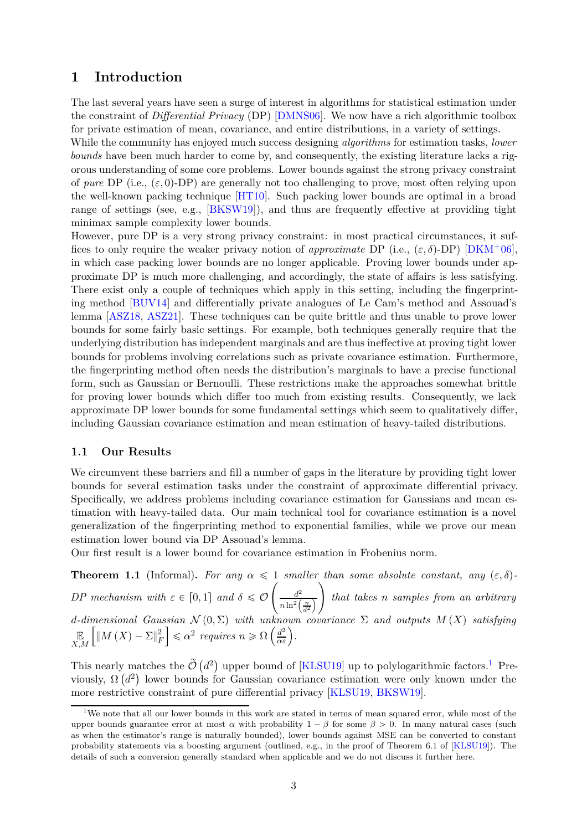### <span id="page-2-3"></span><span id="page-2-0"></span>**1 Introduction**

The last several years have seen a surge of interest in algorithms for statistical estimation under the constraint of *Differential Privacy* (DP) [\[DMNS06\]](#page-31-0). We now have a rich algorithmic toolbox for private estimation of mean, covariance, and entire distributions, in a variety of settings.

While the community has enjoyed much success designing *algorithms* for estimation tasks, *lower bounds* have been much harder to come by, and consequently, the existing literature lacks a rigorous understanding of some core problems. Lower bounds against the strong privacy constraint of *pure* DP (i.e.,  $(\varepsilon, 0)$ -DP) are generally not too challenging to prove, most often relying upon the well-known packing technique [\[HT10\]](#page-31-1). Such packing lower bounds are optimal in a broad range of settings (see, e.g., [\[BKSW19\]](#page-30-1)), and thus are frequently effective at providing tight minimax sample complexity lower bounds.

However, pure DP is a very strong privacy constraint: in most practical circumstances, it suffices to only require the weaker privacy notion of *approximate* DP (i.e.,  $(\varepsilon, \delta)$ -DP) [\[DKM](#page-30-2)<sup>+</sup>06], in which case packing lower bounds are no longer applicable. Proving lower bounds under approximate DP is much more challenging, and accordingly, the state of affairs is less satisfying. There exist only a couple of techniques which apply in this setting, including the fingerprinting method [\[BUV14\]](#page-30-0) and differentially private analogues of Le Cam's method and Assouad's lemma [\[ASZ18,](#page-29-1) [ASZ21\]](#page-29-0). These techniques can be quite brittle and thus unable to prove lower bounds for some fairly basic settings. For example, both techniques generally require that the underlying distribution has independent marginals and are thus ineffective at proving tight lower bounds for problems involving correlations such as private covariance estimation. Furthermore, the fingerprinting method often needs the distribution's marginals to have a precise functional form, such as Gaussian or Bernoulli. These restrictions make the approaches somewhat brittle for proving lower bounds which differ too much from existing results. Consequently, we lack approximate DP lower bounds for some fundamental settings which seem to qualitatively differ, including Gaussian covariance estimation and mean estimation of heavy-tailed distributions.

### <span id="page-2-1"></span>**1.1 Our Results**

We circumvent these barriers and fill a number of gaps in the literature by providing tight lower bounds for several estimation tasks under the constraint of approximate differential privacy. Specifically, we address problems including covariance estimation for Gaussians and mean estimation with heavy-tailed data. Our main technical tool for covariance estimation is a novel generalization of the fingerprinting method to exponential families, while we prove our mean estimation lower bound via DP Assouad's lemma.

Our first result is a lower bound for covariance estimation in Frobenius norm.

**Theorem 1.1** (Informal). For any  $\alpha \leq 1$  *smaller than some absolute constant, any*  $(\varepsilon, \delta)$ -*DP* mechanism with  $\varepsilon \in [0,1]$  and  $\delta \leq \mathcal{O}$  $\int$   $d^2$  $n \ln^2\left(\frac{n}{d^2}\right)$ ¯  $\setminus$ *that takes n samples from an arbitrary*  $d$ *-dimensional Gaussian*  $\mathcal{N}(0, \Sigma)$  *with unknown covariance*  $\Sigma$  *and outputs*  $M(X)$  *satisfying* E *X,M*  $\int_M |M(X) - \Sigma|_F^2$ *F*  $\leq \alpha^2$  *requires*  $n \geq \Omega\left(\frac{d^2}{\alpha \varepsilon}\right)$ .

This nearly matches the  $\tilde{\mathcal{O}}(d^2)$  upper bound of [\[KLSU19\]](#page-31-2) up to polylogarithmic factors.<sup>[1](#page-2-2)</sup> Previously,  $\Omega(d^2)$  lower bounds for Gaussian covariance estimation were only known under the more restrictive constraint of pure differential privacy [\[KLSU19,](#page-31-2) [BKSW19\]](#page-30-1).

<span id="page-2-2"></span><sup>&</sup>lt;sup>1</sup>We note that all our lower bounds in this work are stated in terms of mean squared error, while most of the upper bounds guarantee error at most  $\alpha$  with probability  $1 - \beta$  for some  $\beta > 0$ . In many natural cases (such as when the estimator's range is naturally bounded), lower bounds against MSE can be converted to constant probability statements via a boosting argument (outlined, e.g., in the proof of Theorem 6.1 of [\[KLSU19\]](#page-31-2)). The details of such a conversion generally standard when applicable and we do not discuss it further here.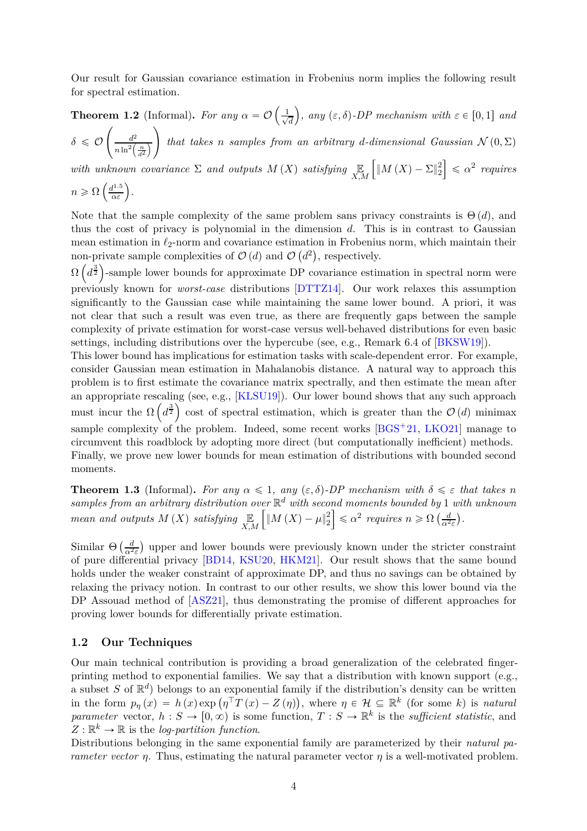<span id="page-3-1"></span>Our result for Gaussian covariance estimation in Frobenius norm implies the following result for spectral estimation.

#### **Theorem 1.2** (Informal). *For any*  $\alpha = \mathcal{O}\left(\frac{1}{\sqrt{2}}\right)$ *d*  $\left( \sum_{i=1}^{n} a_i \right)$ , any  $(\varepsilon, \delta)$ -DP mechanism with  $\varepsilon \in [0,1]$  and  $\setminus$

 $\delta \leqslant \mathcal{O}$  $\int$   $d^2$  $n \ln^2\left(\frac{n}{d^2}\right)$ ¯ *that takes n samples from an arbitrary d-dimensional Gaussian*  $\mathcal{N}(0, \Sigma)$ 

*with unknown covariance*  $\Sigma$  *and outputs*  $M(X)$  *satisfying*  $\mathbb{E}_{X,M}$  $\int_M |M(X) - \Sigma|_2^2$ 2  $\Big] \leqslant \alpha^2$  *requires* 

 $n \geqslant \Omega\left(\frac{d^{1.5}}{\alpha \varepsilon}\right)$ .

Note that the sample complexity of the same problem sans privacy constraints is  $\Theta(d)$ , and thus the cost of privacy is polynomial in the dimension *d*. This is in contrast to Gaussian mean estimation in *ℓ*2-norm and covariance estimation in Frobenius norm, which maintain their non-private sample complexities of  $\mathcal{O}(d)$  and  $\mathcal{O}(d^2)$ , respectively.

 $\Omega\left(d^{\frac{3}{2}}\right)$ -sample lower bounds for approximate DP covariance estimation in spectral norm were previously known for *worst-case* distributions [\[DTTZ14\]](#page-31-3). Our work relaxes this assumption significantly to the Gaussian case while maintaining the same lower bound. A priori, it was not clear that such a result was even true, as there are frequently gaps between the sample complexity of private estimation for worst-case versus well-behaved distributions for even basic settings, including distributions over the hypercube (see, e.g., Remark 6.4 of [\[BKSW19\]](#page-30-1)).

This lower bound has implications for estimation tasks with scale-dependent error. For example, consider Gaussian mean estimation in Mahalanobis distance. A natural way to approach this problem is to first estimate the covariance matrix spectrally, and then estimate the mean after an appropriate rescaling (see, e.g., [\[KLSU19\]](#page-31-2)). Our lower bound shows that any such approach must incur the  $\Omega\left(d^{\frac{3}{2}}\right)$  cost of spectral estimation, which is greater than the  $\mathcal{O}(d)$  minimax sample complexity of the problem. Indeed, some recent works  $[BGS^+21, LKO21]$  $[BGS^+21, LKO21]$  $[BGS^+21, LKO21]$  manage to circumvent this roadblock by adopting more direct (but computationally inefficient) methods. Finally, we prove new lower bounds for mean estimation of distributions with bounded second moments.

**Theorem 1.3** (Informal). For any  $\alpha \leq 1$ , any  $(\varepsilon, \delta)$ -DP mechanism with  $\delta \leq \varepsilon$  that takes *n samples from an arbitrary distribution over* R *<sup>d</sup> with second moments bounded by* 1 *with unknown mean and outputs*  $M(X)$  *satisfying*  $\mathbb{E}_{X,M}$  $\int \left\| M\left( X\right) -\mu \right\| _{2}^{2}$ 2  $\leq \alpha^2$  *requires*  $n \geq \Omega\left(\frac{d}{\alpha^2 \varepsilon}\right)$ .

Similar  $\Theta \left( \frac{d}{\alpha^2 \varepsilon} \right)$  upper and lower bounds were previously known under the stricter constraint of pure differential privacy [\[BD14,](#page-29-3) [KSU20,](#page-31-4) [HKM21\]](#page-31-5). Our result shows that the same bound holds under the weaker constraint of approximate DP, and thus no savings can be obtained by relaxing the privacy notion. In contrast to our other results, we show this lower bound via the DP Assouad method of [\[ASZ21\]](#page-29-0), thus demonstrating the promise of different approaches for proving lower bounds for differentially private estimation.

#### <span id="page-3-0"></span>**1.2 Our Techniques**

Our main technical contribution is providing a broad generalization of the celebrated fingerprinting method to exponential families. We say that a distribution with known support (e.g., a subset *S* of  $\mathbb{R}^d$ ) belongs to an exponential family if the distribution's density can be written in the form  $p_{\eta}(x) = h(x) \exp(\eta^{\top} T(x) - Z(\eta)),$  where  $\eta \in \mathcal{H} \subseteq \mathbb{R}^{k}$  (for some *k*) is *natural parameter* vector,  $h: S \to [0, \infty)$  is some function,  $T: S \to \mathbb{R}^k$  is the *sufficient statistic*, and  $Z: \mathbb{R}^k \to \mathbb{R}$  is the *log-partition function*.

Distributions belonging in the same exponential family are parameterized by their *natural parameter vector η*. Thus, estimating the natural parameter vector  $\eta$  is a well-motivated problem.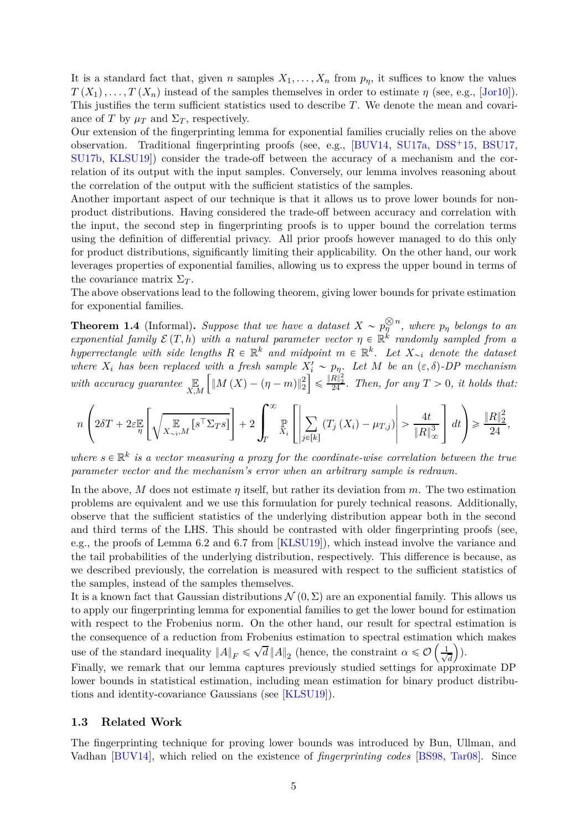<span id="page-4-1"></span>It is a standard fact that, given *n* samples  $X_1, \ldots, X_n$  from  $p_\eta$ , it suffices to know the values  $T(X_1), \ldots, T(X_n)$  instead of the samples themselves in order to estimate *η* (see, e.g., [\[Jor10\]](#page-31-6)). This justifies the term sufficient statistics used to describe *T*. We denote the mean and covariance of *T* by  $\mu_T$  and  $\Sigma_T$ , respectively.

Our extension of the fingerprinting lemma for exponential families crucially relies on the above observation. Traditional fingerprinting proofs (see, e.g.,  $[BUV14, SU17a, DSS+15, BSU17,$  $[BUV14, SU17a, DSS+15, BSU17,$  $[BUV14, SU17a, DSS+15, BSU17,$  $[BUV14, SU17a, DSS+15, BSU17,$  $[BUV14, SU17a, DSS+15, BSU17,$  $[BUV14, SU17a, DSS+15, BSU17,$ [SU17b,](#page-32-2) [KLSU19\]](#page-31-2)) consider the trade-off between the accuracy of a mechanism and the correlation of its output with the input samples. Conversely, our lemma involves reasoning about the correlation of the output with the sufficient statistics of the samples.

Another important aspect of our technique is that it allows us to prove lower bounds for nonproduct distributions. Having considered the trade-off between accuracy and correlation with the input, the second step in fingerprinting proofs is to upper bound the correlation terms using the definition of differential privacy. All prior proofs however managed to do this only for product distributions, significantly limiting their applicability. On the other hand, our work leverages properties of exponential families, allowing us to express the upper bound in terms of the covariance matrix  $\Sigma_T$ .

The above observations lead to the following theorem, giving lower bounds for private estimation for exponential families.

**Theorem 1.4** (Informal). Suppose that we have a dataset  $X \sim p_{\eta}^{\otimes n}$ , where  $p_{\eta}$  belongs to an *exponential family*  $\mathcal{E}(T, h)$  *with a natural parameter vector*  $\eta \in \mathbb{R}^k$  *randomly sampled from a*  $R \in \mathbb{R}^k$  *<i>and midpoint*  $m \in \mathbb{R}^k$ . Let  $X_{\sim i}$  *denote the dataset where*  $X_i$  *has been replaced with a fresh sample*  $X_i' \sim p_{\eta}$ . Let M *be an*  $(\varepsilon, \delta)$ -DP mechanism *with accuracy guarantee* E *X,M*  $\int \|M(X) - (\eta - m)\|_2^2$ ı  $\leq \frac{||R||_2^2}{24}$ . Then, for any  $T > 0$ , it holds that:

$$
n\left(2\delta T+2\varepsilon\mathbb{E}\left[\sqrt{\mathbf{E}\left[\mathbf{E}\left[\mathbf{S}^{\top}\Sigma_{T}s\right]\right]}+2\int_{T}^{\infty}\mathbb{E}\left[\sum_{j\in[k]}\left(T_{j}\left(X_{i}\right)-\mu_{T,j}\right)\right]>\frac{4t}{\|R\|_{\infty}^{3}}\right]dt\right)\geqslant\frac{\|R\|_{2}^{2}}{24},
$$

where  $s \in \mathbb{R}^k$  is a vector measuring a proxy for the coordinate-wise correlation between the true *parameter vector and the mechanism's error when an arbitrary sample is redrawn.*

In the above, *M* does not estimate *η* itself, but rather its deviation from *m*. The two estimation problems are equivalent and we use this formulation for purely technical reasons. Additionally, observe that the sufficient statistics of the underlying distribution appear both in the second and third terms of the LHS. This should be contrasted with older fingerprinting proofs (see, e.g., the proofs of Lemma 6*.*2 and 6*.*7 from [\[KLSU19\]](#page-31-2)), which instead involve the variance and the tail probabilities of the underlying distribution, respectively. This difference is because, as we described previously, the correlation is measured with respect to the sufficient statistics of the samples, instead of the samples themselves.

It is a known fact that Gaussian distributions  $\mathcal{N}(0, \Sigma)$  are an exponential family. This allows us to apply our fingerprinting lemma for exponential families to get the lower bound for estimation with respect to the Frobenius norm. On the other hand, our result for spectral estimation is the consequence of a reduction from Frobenius estimation to spectral estimation which makes use of the standard inequality  $||A||_F \le \sqrt{d} ||A||_2$  (hence, the constraint  $\alpha \le \mathcal{O}\left(\frac{1}{\sqrt{d}}\right)$ *d*  $).$ 

Finally, we remark that our lemma captures previously studied settings for approximate DP lower bounds in statistical estimation, including mean estimation for binary product distributions and identity-covariance Gaussians (see [\[KLSU19\]](#page-31-2)).

#### <span id="page-4-0"></span>**1.3 Related Work**

The fingerprinting technique for proving lower bounds was introduced by Bun, Ullman, and Vadhan [\[BUV14\]](#page-30-0), which relied on the existence of *fingerprinting codes* [\[BS98,](#page-30-4) [Tar08\]](#page-32-3). Since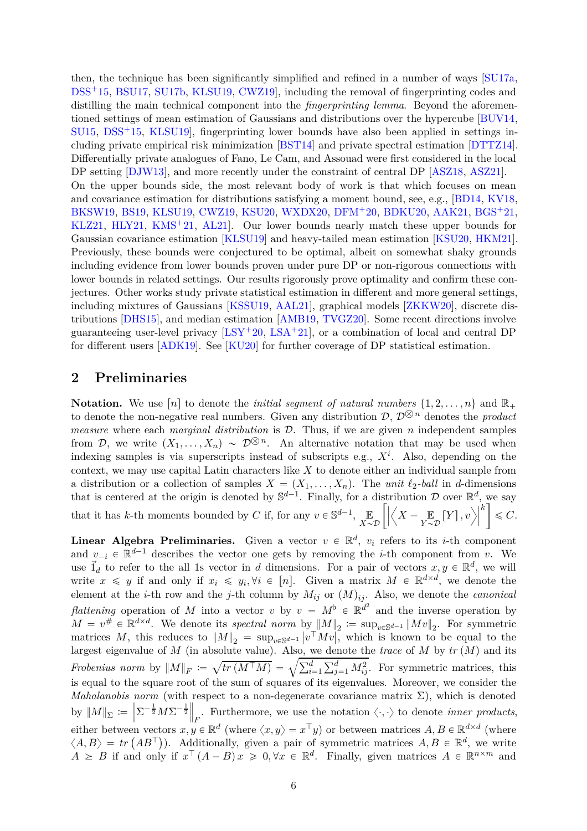<span id="page-5-1"></span>then, the technique has been significantly simplified and refined in a number of ways [\[SU17a,](#page-32-1) [DSS](#page-31-7)<sup>+</sup>15, [BSU17,](#page-30-3) [SU17b,](#page-32-2) [KLSU19,](#page-31-2) CWZ19, including the removal of fingerprinting codes and distilling the main technical component into the *fingerprinting lemma*. Beyond the aforementioned settings of mean estimation of Gaussians and distributions over the hypercube [\[BUV14,](#page-30-0)  $\text{S}U15$ ,  $\text{DSS}^+15$  $\text{DSS}^+15$  $\text{DSS}^+15$ , KLSU19, fingerprinting lower bounds have also been applied in settings including private empirical risk minimization [\[BST14\]](#page-30-6) and private spectral estimation [\[DTTZ14\]](#page-31-3). Differentially private analogues of Fano, Le Cam, and Assouad were first considered in the local DP setting [\[DJW13\]](#page-30-7), and more recently under the constraint of central DP [\[ASZ18,](#page-29-1) [ASZ21\]](#page-29-0). On the upper bounds side, the most relevant body of work is that which focuses on mean and covariance estimation for distributions satisfying a moment bound, see, e.g., [\[BD14,](#page-29-3) [KV18,](#page-32-5) [BKSW19,](#page-30-1) [BS19,](#page-30-8) [KLSU19,](#page-31-2) [CWZ19,](#page-30-5) [KSU20,](#page-31-4) [WXDX20,](#page-32-6) [DFM](#page-30-9)<sup>+</sup>20, [BDKU20,](#page-29-4) [AAK21,](#page-29-5) [BGS](#page-29-2)<sup>+</sup>21, [KLZ21,](#page-31-8) [HLY21,](#page-31-9) [KMS](#page-31-10)<sup> $+$ </sup>21, [AL21\]](#page-29-6). Our lower bounds nearly match these upper bounds for Gaussian covariance estimation [\[KLSU19\]](#page-31-2) and heavy-tailed mean estimation [\[KSU20,](#page-31-4) [HKM21\]](#page-31-5). Previously, these bounds were conjectured to be optimal, albeit on somewhat shaky grounds including evidence from lower bounds proven under pure DP or non-rigorous connections with lower bounds in related settings. Our results rigorously prove optimality and confirm these conjectures. Other works study private statistical estimation in different and more general settings, including mixtures of Gaussians [\[KSSU19,](#page-31-11) [AAL21\]](#page-29-7), graphical models [\[ZKKW20\]](#page-32-7), discrete distributions [\[DHS15\]](#page-30-10), and median estimation [\[AMB19,](#page-29-8) [TVGZ20\]](#page-32-8). Some recent directions involve guaranteeing user-level privacy  $[LSY^+20, LSA^+21]$  $[LSY^+20, LSA^+21]$  $[LSY^+20, LSA^+21]$ , or a combination of local and central DP for different users [\[ADK19\]](#page-29-9). See [\[KU20\]](#page-31-12) for further coverage of DP statistical estimation.

### <span id="page-5-0"></span>**2 Preliminaries**

**Notation.** We use  $[n]$  to denote the *initial segment of natural numbers*  $\{1, 2, \ldots, n\}$  and  $\mathbb{R}_+$ to denote the non-negative real numbers. Given any distribution  $\mathcal{D}, \mathcal{D}^{\otimes n}$  denotes the *product measure* where each *marginal distribution* is D. Thus, if we are given *n* independent samples from D, we write  $(X_1, \ldots, X_n) \sim \mathcal{D}^{\bigotimes n}$ . An alternative notation that may be used when indexing samples is via superscripts instead of subscripts e.g., *X<sup>i</sup>* . Also, depending on the context, we may use capital Latin characters like *X* to denote either an individual sample from a distribution or a collection of samples  $X = (X_1, \ldots, X_n)$ . The *unit*  $\ell_2$ -ball in *d*-dimensions that is centered at the origin is denoted by  $\mathbb{S}^{d-1}$ . Finally, for a distribution D over  $\mathbb{R}^d$ , we say that it has *k*-th moments bounded by *C* if, for any  $v \in \mathbb{S}^{d-1}$ ,  $\mathbb{E}$  $X \sim \mathcal{D}$  $\sqrt{\frac{1}{2}}$  $\left\langle X - \underset{Y \sim \mathcal{D}}{\mathbb{E}} \left[ Y \right], v \right\rangle$ *k*  $\leqslant C$ .

**Linear Algebra Preliminaries.** Given a vector  $v \in \mathbb{R}^d$ ,  $v_i$  refers to its *i*-th component and  $v_{-i} \in \mathbb{R}^{d-1}$  describes the vector one gets by removing the *i*-th component from *v*. We use  $\vec{I}_d$  to refer to the all 1s vector in *d* dimensions. For a pair of vectors  $x, y \in \mathbb{R}^d$ , we will write  $x \leq y$  if and only if  $x_i \leq y_i, \forall i \in [n]$ . Given a matrix  $M \in \mathbb{R}^{d \times d}$ , we denote the element at the *i*-th row and the *j*-th column by  $M_{ij}$  or  $(M)_{ij}$ . Also, we denote the *canonical flattening* operation of *M* into a vector *v* by  $v = M^{\flat} \in \mathbb{R}^{d^2}$  and the inverse operation by  $M = v^{\#} \in \mathbb{R}^{d \times d}$ . We denote its *spectral norm* by  $||M||_2 := \sup_{v \in \mathbb{S}^{d-1}} ||Mv||_2$ . For symmetric matrices M, this reduces to  $||M||_2 = \sup_{v \in \mathbb{S}^{d-1}} |v^\top M v|$ , which is known to be equal to the largest eigenvalue of  $M$  (in absolute value). Also, we denote the *trace* of  $M$  by  $tr(M)$  and its *Frobenius norm* by  $||M||_F := \sqrt{tr(M^{\top}M)} = \sqrt{\sum_{i=1}^d \sum_{j=1}^d M_{ij}^2}$ . For symmetric matrices, this is equal to the square root of the sum of squares of its eigenvalues. Moreover, we consider the *Mahalanobis norm* (with respect to a non-degenerate covariance matrix  $\Sigma$ ), which is denoted by  $||M||_{\Sigma} := \left||\Sigma^{-\frac{1}{2}}M\Sigma^{-\frac{1}{2}}\right||_F$ . Furthermore, we use the notation  $\langle \cdot, \cdot \rangle$  to denote *inner products*, either between vectors  $x, y \in \mathbb{R}^d$  (where  $\langle x, y \rangle = x^\top y$ ) or between matrices  $A, B \in \mathbb{R}^{d \times d}$  (where  $\langle A, B \rangle = tr (AB^{\top})$ . Additionally, given a pair of symmetric matrices  $A, B \in \mathbb{R}^d$ , we write  $A \geq B$  if and only if  $x^{\top} (A - B) x \geq 0, \forall x \in \mathbb{R}^d$ . Finally, given matrices  $A \in \mathbb{R}^{n \times m}$  and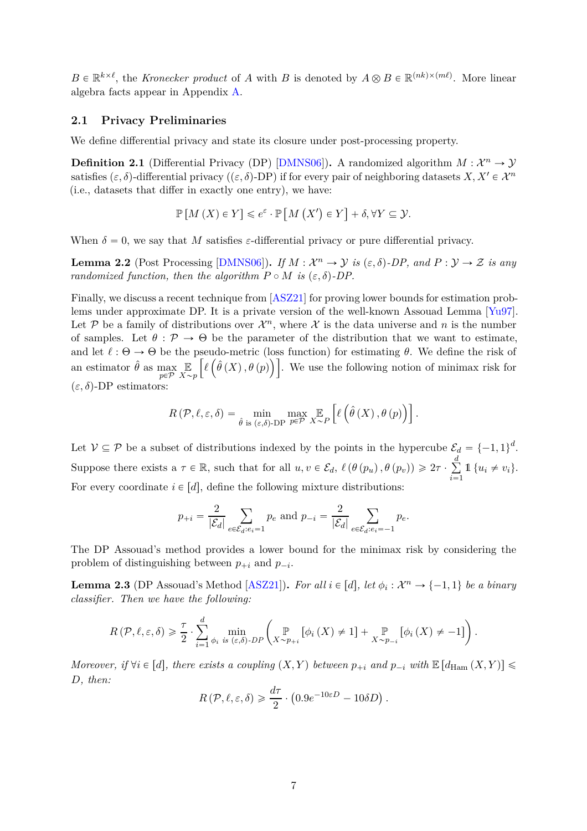<span id="page-6-3"></span> $B \in \mathbb{R}^{k \times \ell}$ , the *Kronecker product* of *A* with *B* is denoted by  $A \otimes B \in \mathbb{R}^{(nk)\times (m\ell)}$ . More linear algebra facts appear in Appendix [A.](#page-33-0)

#### <span id="page-6-0"></span>**2.1 Privacy Preliminaries**

We define differential privacy and state its closure under post-processing property.

**Definition 2.1** (Differential Privacy (DP) [\[DMNS06\]](#page-31-0)). A randomized algorithm  $M: \mathcal{X}^n \to \mathcal{Y}$ satisfies  $(\varepsilon, \delta)$ -differential privacy  $((\varepsilon, \delta)$ -DP) if for every pair of neighboring datasets *X, X<sup>1</sup>*  $\in \mathcal{X}^n$ (i.e., datasets that differ in exactly one entry), we have:

$$
\mathbb{P}\left[M\left(X\right)\in Y\right]\leqslant e^{\varepsilon}\cdot\mathbb{P}\left[M\left(X'\right)\in Y\right]+\delta,\forall Y\subseteq\mathcal{Y}.
$$

When  $\delta = 0$ , we say that M satisfies  $\varepsilon$ -differential privacy or pure differential privacy.

<span id="page-6-1"></span>**Lemma 2.2** (Post Processing [\[DMNS06\]](#page-31-0)). *If*  $M : \mathcal{X}^n \to \mathcal{Y}$  *is*  $(\varepsilon, \delta)$ -*DP*, and  $P : \mathcal{Y} \to \mathcal{Z}$  *is any randomized function, then the algorithm*  $P \circ M$  *is*  $(\varepsilon, \delta)$ -*DP.* 

Finally, we discuss a recent technique from [\[ASZ21\]](#page-29-0) for proving lower bounds for estimation problems under approximate DP. It is a private version of the well-known Assouad Lemma [\[Yu97\]](#page-32-11). Let P be a family of distributions over  $\mathcal{X}^n$ , where X is the data universe and n is the number of samples. Let  $\theta : \mathcal{P} \to \Theta$  be the parameter of the distribution that we want to estimate, and let  $\ell : \Theta \to \Theta$  be the pseudo-metric (loss function) for estimating  $\theta$ . We define the risk of an estimator  $\hat{\theta}$  as max  $p \in \overline{P}$ E  $X \sim p$  $\left[ \ell \left( \hat{\theta} \left( X \right), \theta \left( p \right) \right) \right]$ . We use the following notion of minimax risk for  $(\varepsilon, \delta)$ -DP estimators:

$$
R(\mathcal{P}, \ell, \varepsilon, \delta) = \min_{\hat{\theta} \text{ is } (\varepsilon, \delta) \text{-DP}} \max_{p \in \mathcal{P}} \mathbb{E}_{X \sim P} \left[ \ell \left( \hat{\theta} \left( X \right), \theta \left( p \right) \right) \right].
$$

Let  $V \subseteq \mathcal{P}$  be a subset of distributions indexed by the points in the hypercube  $\mathcal{E}_d = \{-1, 1\}^d$ . Suppose there exists a  $\tau \in \mathbb{R}$ , such that for all  $u, v \in \mathcal{E}_d$ ,  $\ell(\theta(p_u), \theta(p_v)) \geq 2\tau \cdot \sum_{i=1}^d$  $\sum_{i=1}^{8} 1 \{u_i \neq v_i\}.$ For every coordinate  $i \in [d]$ , define the following mixture distributions:

$$
p_{+i} = \frac{2}{|\mathcal{E}_d|} \sum_{e \in \mathcal{E}_d: e_i = 1} p_e \text{ and } p_{-i} = \frac{2}{|\mathcal{E}_d|} \sum_{e \in \mathcal{E}_d: e_i = -1} p_e.
$$

The DP Assouad's method provides a lower bound for the minimax risk by considering the problem of distinguishing between  $p_{+i}$  and  $p_{-i}$ .

<span id="page-6-2"></span>**Lemma 2.3** (DP Assouad's Method [\[ASZ21\]](#page-29-0)). *For all*  $i \in [d]$ , let  $\phi_i : \mathcal{X}^n \to \{-1, 1\}$  be a binary *classifier. Then we have the following:*

$$
R(\mathcal{P}, \ell, \varepsilon, \delta) \geq \frac{\tau}{2} \cdot \sum_{i=1}^d \min_{\phi_i \text{ is } (\varepsilon, \delta) \cdot DP} \left( \mathop{\mathbb{P}}_{X \sim p_{+i}} [\phi_i(X) \neq 1] + \mathop{\mathbb{P}}_{X \sim p_{-i}} [\phi_i(X) \neq -1] \right).
$$

*Moreover, if*  $\forall i \in [d]$ *, there exists a coupling*  $(X, Y)$  *between*  $p_{+i}$  *and*  $p_{-i}$  *with*  $\mathbb{E}[d_{\text{Ham}}(X, Y)] \leq$ *D, then:*

$$
R(\mathcal{P}, \ell, \varepsilon, \delta) \geq \frac{d\tau}{2} \cdot (0.9e^{-10\varepsilon D} - 10\delta D).
$$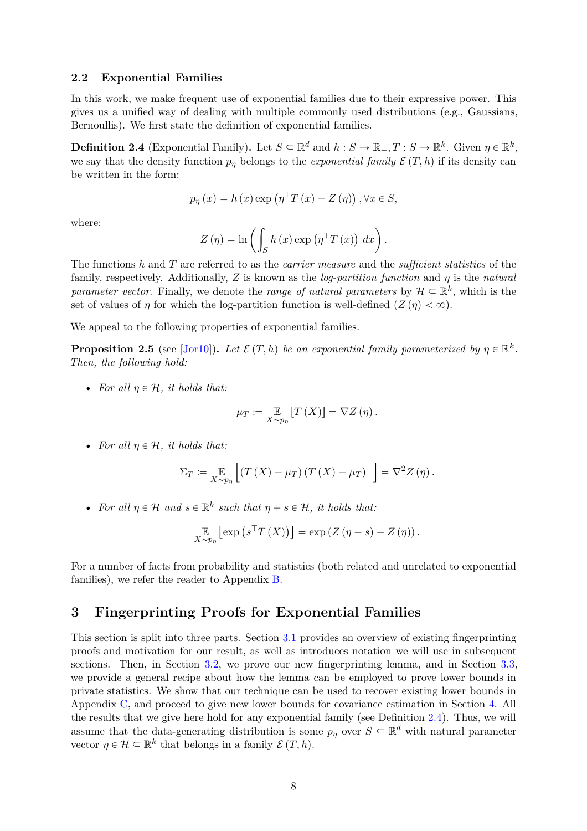#### <span id="page-7-4"></span><span id="page-7-0"></span>**2.2 Exponential Families**

In this work, we make frequent use of exponential families due to their expressive power. This gives us a unified way of dealing with multiple commonly used distributions (e.g., Gaussians, Bernoullis). We first state the definition of exponential families.

<span id="page-7-2"></span>**Definition 2.4** (Exponential Family). Let  $S \subseteq \mathbb{R}^d$  and  $h: S \to \mathbb{R}_+, T: S \to \mathbb{R}^k$ . Given  $\eta \in \mathbb{R}^k$ , we say that the density function  $p_n$  belongs to the *exponential family*  $\mathcal{E}(T, h)$  if its density can be written in the form:

$$
p_{\eta}(x) = h(x) \exp (\eta^{\top} T(x) - Z(\eta)), \forall x \in S,
$$

where:

$$
Z(\eta) = \ln \left( \int_{S} h(x) \exp \left( \eta^{\top} T(x) \right) dx \right).
$$

The functions *h* and *T* are referred to as the *carrier measure* and the *sufficient statistics* of the family, respectively. Additionally, *Z* is known as the *log-partition function* and *η* is the *natural parameter vector.* Finally, we denote the *range of natural parameters* by  $\mathcal{H} \subseteq \mathbb{R}^k$ , which is the set of values of *η* for which the log-partition function is well-defined  $(Z(\eta) < \infty)$ .

We appeal to the following properties of exponential families.

<span id="page-7-3"></span>**Proposition 2.5** (see [\[Jor10\]](#page-31-6)). Let  $\mathcal{E}(T, h)$  be an exponential family parameterized by  $\eta \in \mathbb{R}^k$ . *Then, the following hold:*

• *For all*  $\eta \in \mathcal{H}$ *, it holds that:* 

$$
\mu_T \coloneqq \mathop{\mathbb{E}}_{X \sim p_{\eta}} \left[ T\left( X \right) \right] = \nabla Z \left( \eta \right).
$$

• *For all*  $\eta \in \mathcal{H}$ *, it holds that:* 

$$
\Sigma_T := \mathop{\mathbb{E}}_{X \sim p_{\eta}} \left[ \left( T\left( X \right) - \mu_T \right) \left( T\left( X \right) - \mu_T \right)^\top \right] = \nabla^2 Z \left( \eta \right).
$$

• For all  $\eta \in \mathcal{H}$  and  $s \in \mathbb{R}^k$  such that  $\eta + s \in \mathcal{H}$ , it holds that:

$$
\mathop{\mathbb{E}}_{X \sim p_{\eta}} \left[ \exp \left( s^{\top} T \left( X \right) \right) \right] = \exp \left( Z \left( \eta + s \right) - Z \left( \eta \right) \right).
$$

For a number of facts from probability and statistics (both related and unrelated to exponential families), we refer the reader to Appendix [B.](#page-34-0)

### <span id="page-7-1"></span>**3 Fingerprinting Proofs for Exponential Families**

This section is split into three parts. Section [3.1](#page-8-0) provides an overview of existing fingerprinting proofs and motivation for our result, as well as introduces notation we will use in subsequent sections. Then, in Section [3.2,](#page-9-0) we prove our new fingerprinting lemma, and in Section [3.3,](#page-12-0) we provide a general recipe about how the lemma can be employed to prove lower bounds in private statistics. We show that our technique can be used to recover existing lower bounds in Appendix [C,](#page-36-0) and proceed to give new lower bounds for covariance estimation in Section [4.](#page-17-0) All the results that we give here hold for any exponential family (see Definition [2.4\)](#page-7-2). Thus, we will assume that the data-generating distribution is some  $p_{\eta}$  over  $S \subseteq \mathbb{R}^d$  with natural parameter vector  $\eta \in \mathcal{H} \subseteq \mathbb{R}^k$  that belongs in a family  $\mathcal{E}(T, h)$ .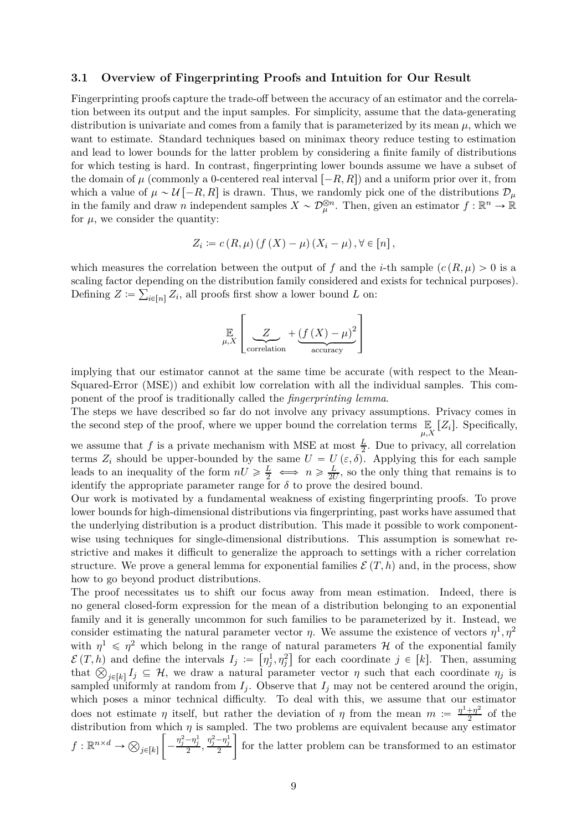#### <span id="page-8-0"></span>**3.1 Overview of Fingerprinting Proofs and Intuition for Our Result**

Fingerprinting proofs capture the trade-off between the accuracy of an estimator and the correlation between its output and the input samples. For simplicity, assume that the data-generating distribution is univariate and comes from a family that is parameterized by its mean  $\mu$ , which we want to estimate. Standard techniques based on minimax theory reduce testing to estimation and lead to lower bounds for the latter problem by considering a finite family of distributions for which testing is hard. In contrast, fingerprinting lower bounds assume we have a subset of the domain of  $\mu$  (commonly a 0-centered real interval  $[-R, R]$ ) and a uniform prior over it, from which a value of  $\mu \sim \mathcal{U}$  [-R, R] is drawn. Thus, we randomly pick one of the distributions  $\mathcal{D}_{\mu}$ in the family and draw *n* independent samples  $X \sim \mathcal{D}_{\mu}^{\otimes n}$ . Then, given an estimator  $f : \mathbb{R}^n \to \mathbb{R}$ for  $\mu$ , we consider the quantity:

$$
Z_i := c(R, \mu) \left( f(X) - \mu \right) \left( X_i - \mu \right), \forall \in [n],
$$

which measures the correlation between the output of f and the *i*-th sample  $(c(R, \mu) > 0$  is a scaling factor depending on the distribution family considered and exists for technical purposes). Defining  $Z := \sum_{i \in [n]} Z_i$ , all proofs first show a lower bound *L* on:

$$
\mathbb{E}\left[\underset{\text{correlation}}{\underbrace{Z}} + \underbrace{(f(X) - \mu)^2}{\underbrace{\text{accuracy}}} \right]
$$

implying that our estimator cannot at the same time be accurate (with respect to the Mean-Squared-Error (MSE)) and exhibit low correlation with all the individual samples. This component of the proof is traditionally called the *fingerprinting lemma*.

The steps we have described so far do not involve any privacy assumptions. Privacy comes in the second step of the proof, where we upper bound the correlation terms  $\mathbb{E}_{\mu,X}[Z_i]$ . Specifically,

we assume that *f* is a private mechanism with MSE at most  $\frac{L}{2}$ . Due to privacy, all correlation terms  $Z_i$  should be upper-bounded by the same  $U = U(\varepsilon, \delta)$ . Applying this for each sample leads to an inequality of the form  $nU \ge \frac{L}{2} \iff n \ge \frac{L}{2l}$  $\frac{L}{2U}$ , so the only thing that remains is to identify the appropriate parameter range for  $\delta$  to prove the desired bound.

Our work is motivated by a fundamental weakness of existing fingerprinting proofs. To prove lower bounds for high-dimensional distributions via fingerprinting, past works have assumed that the underlying distribution is a product distribution. This made it possible to work componentwise using techniques for single-dimensional distributions. This assumption is somewhat restrictive and makes it difficult to generalize the approach to settings with a richer correlation structure. We prove a general lemma for exponential families  $\mathcal{E}(T, h)$  and, in the process, show how to go beyond product distributions.

The proof necessitates us to shift our focus away from mean estimation. Indeed, there is no general closed-form expression for the mean of a distribution belonging to an exponential family and it is generally uncommon for such families to be parameterized by it. Instead, we consider estimating the natural parameter vector *η*. We assume the existence of vectors  $\eta^1, \eta^2$ with  $\eta^1 \leq \eta^2$  which belong in the range of natural parameters H of the exponential family  $\mathcal{E}(T, h)$  and define the intervals  $I_j := \left[\eta_j^1, \eta_j^2\right]$  for each coordinate  $j \in [k]$ . Then, assuming that  $\bigotimes_{j\in[k]} I_j \subseteq \mathcal{H}$ , we draw a natural parameter vector *η* such that each coordinate  $\eta_j$  is sampled uniformly at random from  $I_i$ . Observe that  $I_i$  may not be centered around the origin, which poses a minor technical difficulty. To deal with this, we assume that our estimator does not estimate *η* itself, but rather the deviation of *η* from the mean  $m := \frac{\eta^1 + \eta^2}{2}$  $rac{+\eta^2}{2}$  of the distribution from which  $\eta$  is sampled. The two problems are equivalent because any estimator  $f: \mathbb{R}^{n \times d} \to \bigotimes_{j \in [k]}$  $\sqrt{ }$  $\overline{\phantom{a}}$  $\frac{\eta_j^2 - \eta_j^1}{2}, \frac{\eta_j^2 - \eta_j^1}{2}$ 1 for the latter problem can be transformed to an estimator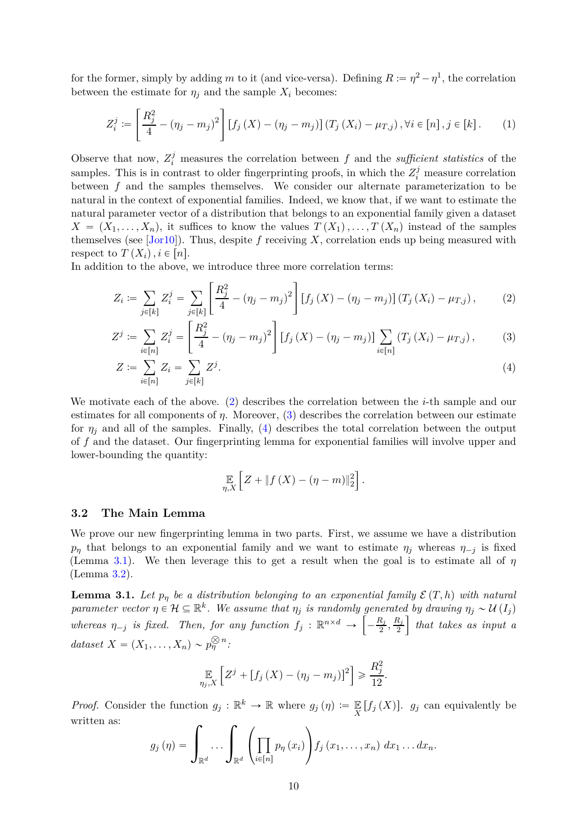<span id="page-9-6"></span>for the former, simply by adding *m* to it (and vice-versa). Defining  $R := \eta^2 - \eta^1$ , the correlation between the estimate for  $\eta_j$  and the sample  $X_i$  becomes:

<span id="page-9-5"></span>
$$
Z_i^j := \left[\frac{R_j^2}{4} - (\eta_j - m_j)^2\right] \left[f_j\left(X\right) - (\eta_j - m_j)\right] \left(T_j\left(X_i\right) - \mu_{T,j}\right), \forall i \in [n], j \in [k]. \tag{1}
$$

Observe that now,  $Z_i^j$  measures the correlation between  $f$  and the *sufficient statistics* of the samples. This is in contrast to older fingerprinting proofs, in which the  $Z_i^j$  measure correlation between *f* and the samples themselves. We consider our alternate parameterization to be natural in the context of exponential families. Indeed, we know that, if we want to estimate the natural parameter vector of a distribution that belongs to an exponential family given a dataset  $X = (X_1, \ldots, X_n)$ , it suffices to know the values  $T(X_1), \ldots, T(X_n)$  instead of the samples themselves (see [\[Jor10\]](#page-31-6)). Thus, despite *f* receiving *X*, correlation ends up being measured with respect to  $T(X_i), i \in [n]$ .

In addition to the above, we introduce three more correlation terms:

$$
Z_i := \sum_{j \in [k]} Z_i^j = \sum_{j \in [k]} \left[ \frac{R_j^2}{4} - (\eta_j - m_j)^2 \right] \left[ f_j \left( X \right) - (\eta_j - m_j) \right] \left( T_j \left( X_i \right) - \mu_{T,j} \right), \tag{2}
$$

$$
Z^{j} := \sum_{i \in [n]} Z_{i}^{j} = \left[ \frac{R_{j}^{2}}{4} - (\eta_{j} - m_{j})^{2} \right] \left[ f_{j} \left( X \right) - (\eta_{j} - m_{j}) \right] \sum_{i \in [n]} \left( T_{j} \left( X_{i} \right) - \mu_{T,j} \right), \tag{3}
$$

$$
Z := \sum_{i \in [n]} Z_i = \sum_{j \in [k]} Z^j.
$$
 (4)

We motivate each of the above. [\(2\)](#page-9-1) describes the correlation between the *i*-th sample and our estimates for all components of  $\eta$ . Moreover, [\(3\)](#page-9-2) describes the correlation between our estimate for  $\eta_j$  and all of the samples. Finally, [\(4\)](#page-9-3) describes the total correlation between the output of *f* and the dataset. Our fingerprinting lemma for exponential families will involve upper and lower-bounding the quantity:

<span id="page-9-3"></span><span id="page-9-2"></span><span id="page-9-1"></span>
$$
\mathop{\mathbb{E}}_{\eta,X}\left[Z+\|f(X)-(\eta-m)\|_2^2\right].
$$

#### <span id="page-9-0"></span>**3.2 The Main Lemma**

We prove our new fingerprinting lemma in two parts. First, we assume we have a distribution *p<sub>n</sub>* that belongs to an exponential family and we want to estimate  $\eta$ <sup>*j*</sup> whereas  $\eta$ <sup>*-j*</sup> is fixed (Lemma [3.1\)](#page-9-4). We then leverage this to get a result when the goal is to estimate all of *η* (Lemma [3.2\)](#page-11-0).

<span id="page-9-4"></span>**Lemma 3.1.** Let  $p_\eta$  be a distribution belonging to an exponential family  $\mathcal{E}(T, h)$  with natural *parameter vector*  $\eta \in \mathcal{H} \subseteq \mathbb{R}^k$ . We assume that  $\eta_j$  is randomly generated by drawing  $\eta_j \sim U(I_j)$  $whereas \ \eta_{-j} \ \text{is fixed.}$  Then, for any function  $f_j : \mathbb{R}^{n \times d} \to \left[ \frac{1}{n} \right]$  $-\frac{R_j}{2}$  $\frac{R_j}{2}, \frac{R_j}{2}$ 2 ı *that takes as input a dataset*  $X = (X_1, \ldots, X_n) \sim p_{\eta}^{\otimes n}$ *:* 

$$
\mathop{\mathbb{E}}_{\eta_j,X}\left[Z^j + \left[f_j\left(X\right) - (\eta_j - m_j)\right]^2\right] \geqslant \frac{R_j^2}{12}.
$$

*Proof.* Consider the function  $g_j : \mathbb{R}^k \to \mathbb{R}$  where  $g_j(\eta) := \mathbb{E}[f_j(X)]$ .  $g_j$  can equivalently be written as:

$$
g_j(\eta) = \int_{\mathbb{R}^d} \ldots \int_{\mathbb{R}^d} \left( \prod_{i \in [n]} p_{\eta}(x_i) \right) f_j(x_1, \ldots, x_n) dx_1 \ldots dx_n.
$$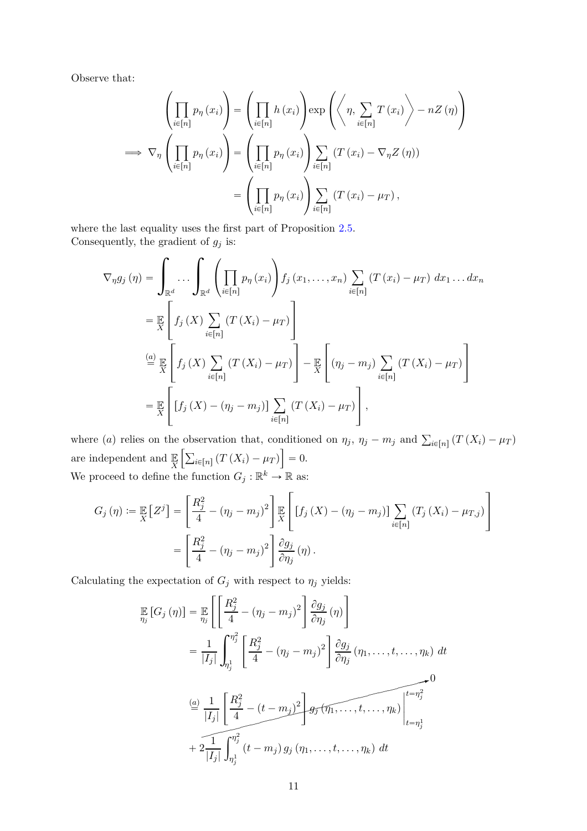Observe that:

$$
\left(\prod_{i\in[n]} p_{\eta}(x_i)\right) = \left(\prod_{i\in[n]} h(x_i)\right) \exp\left(\left\langle \eta, \sum_{i\in[n]} T(x_i)\right\rangle - nZ(\eta)\right)
$$

$$
\implies \nabla_{\eta} \left(\prod_{i\in[n]} p_{\eta}(x_i)\right) = \left(\prod_{i\in[n]} p_{\eta}(x_i)\right) \sum_{i\in[n]} (T(x_i) - \nabla_{\eta} Z(\eta))
$$

$$
= \left(\prod_{i\in[n]} p_{\eta}(x_i)\right) \sum_{i\in[n]} (T(x_i) - \mu_T),
$$

where the last equality uses the first part of Proposition [2.5.](#page-7-3) Consequently, the gradient of  $g_j$  is:

$$
\nabla_{\eta} g_j(\eta) = \int_{\mathbb{R}^d} \dots \int_{\mathbb{R}^d} \left( \prod_{i \in [n]} p_{\eta}(x_i) \right) f_j(x_1, \dots, x_n) \sum_{i \in [n]} (T(x_i) - \mu_T) dx_1 \dots dx_n
$$
  
\n
$$
= \mathbb{E}_{X} \left[ f_j(X) \sum_{i \in [n]} (T(X_i) - \mu_T) \right]
$$
  
\n
$$
\stackrel{(a)}{=} \mathbb{E}_{X} \left[ f_j(X) \sum_{i \in [n]} (T(X_i) - \mu_T) \right] - \mathbb{E}_{X} \left[ (\eta_j - m_j) \sum_{i \in [n]} (T(X_i) - \mu_T) \right]
$$
  
\n
$$
= \mathbb{E}_{X} \left[ [f_j(X) - (\eta_j - m_j)] \sum_{i \in [n]} (T(X_i) - \mu_T) \right],
$$

where (a) relies on the observation that, conditioned on  $\eta_j$ ,  $\eta_j - m_j$  and  $\sum_{i \in [n]} (T(X_i) - \mu_T)$ are independent and  $\mathbb{E}$ <sub>X</sub>  $\left[\sum_{i\in[n]} (T(X_i) - \mu_T)\right] = 0.$ We proceed to define the function  $G_j : \mathbb{R}^k \to \mathbb{R}$  as:

$$
G_j(\eta) := \mathbb{E}\left[Z^j\right] = \left[\frac{R_j^2}{4} - (\eta_j - m_j)^2\right] \mathbb{E}\left[\left[f_j\left(X\right) - (\eta_j - m_j)\right]\sum_{i \in [n]} \left(T_j\left(X_i\right) - \mu_{T,j}\right)\right]
$$

$$
= \left[\frac{R_j^2}{4} - (\eta_j - m_j)^2\right] \frac{\partial g_j}{\partial \eta_j}(\eta).
$$

Calculating the expectation of  $G_j$  with respect to  $\eta_j$  yields:

$$
\mathbb{E}\left[G_j\left(\eta\right)\right] = \mathbb{E}\left[\left[\frac{R_j^2}{4} - \left(\eta_j - m_j\right)^2\right] \frac{\partial g_j}{\partial \eta_j}(\eta)\right]
$$
\n
$$
= \frac{1}{|I_j|} \int_{\eta_j^1}^{\eta_j^2} \left[\frac{R_j^2}{4} - \left(\eta_j - m_j\right)^2\right] \frac{\partial g_j}{\partial \eta_j}(\eta_1, \dots, t, \dots, \eta_k) dt
$$
\n
$$
\stackrel{(a)}{=} \frac{1}{|I_j|} \left[\frac{R_j^2}{4} - (t - m_j)^2\right] g_j(\eta_1, \dots, t, \dots, \eta_k) dt
$$
\n
$$
+ 2 \frac{1}{|I_j|} \int_{\eta_j^1}^{\eta_j^2} (t - m_j) g_j(\eta_1, \dots, t, \dots, \eta_k) dt
$$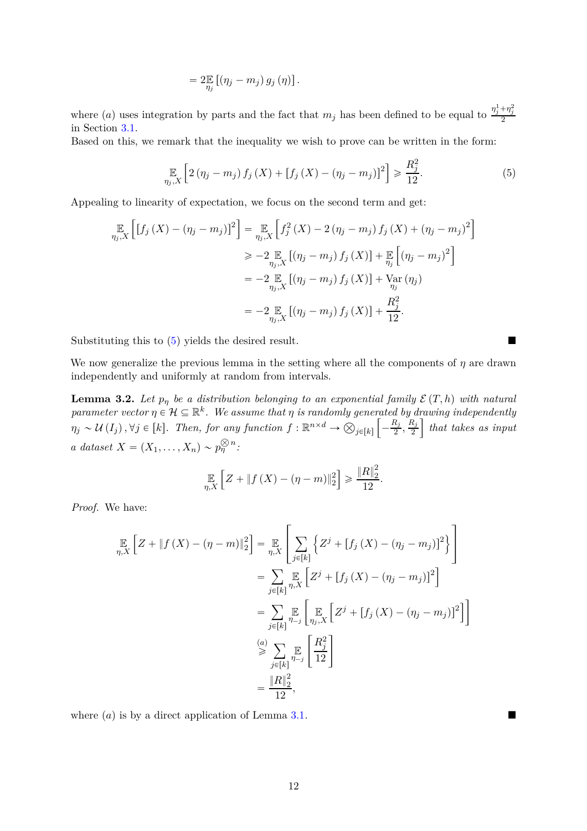<span id="page-11-1"></span>
$$
=2\mathbb{E}_{\eta_j}\left[\left(\eta_j-m_j\right)g_j\left(\eta\right)\right].
$$

where (*a*) uses integration by parts and the fact that  $m_j$  has been defined to be equal to  $\frac{\eta_j^1 + \eta_j^2}{2}$ in Section [3.1.](#page-8-0)

Based on this, we remark that the inequality we wish to prove can be written in the form:

$$
\mathop{\mathbb{E}}_{\eta_j, X} \left[ 2 \left( \eta_j - m_j \right) f_j \left( X \right) + \left[ f_j \left( X \right) - \left( \eta_j - m_j \right) \right]^2 \right] \geq \frac{R_j^2}{12}.
$$
\n(5)

Appealing to linearity of expectation, we focus on the second term and get:

$$
\mathbb{E}_{\eta_j, X} \left[ \left[ f_j \left( X \right) - (\eta_j - m_j) \right]^2 \right] = \mathbb{E}_{\eta_j, X} \left[ f_j^2 \left( X \right) - 2 (\eta_j - m_j) f_j \left( X \right) + (\eta_j - m_j)^2 \right]
$$
\n
$$
\geq -2 \mathbb{E}_{\eta_j, X} \left[ (\eta_j - m_j) f_j \left( X \right) \right] + \mathbb{E}_{\eta_j} \left[ (\eta_j - m_j)^2 \right]
$$
\n
$$
= -2 \mathbb{E}_{\eta_j, X} \left[ (\eta_j - m_j) f_j \left( X \right) \right] + \mathbb{V}_{\eta_j} \left( \eta_j \right)
$$
\n
$$
= -2 \mathbb{E}_{\eta_j, X} \left[ (\eta_j - m_j) f_j \left( X \right) \right] + \frac{R_j^2}{12}.
$$

Substituting this to [\(5\)](#page-11-1) yields the desired result.

We now generalize the previous lemma in the setting where all the components of *η* are drawn independently and uniformly at random from intervals.

<span id="page-11-0"></span>**Lemma 3.2.** Let  $p_\eta$  be a distribution belonging to an exponential family  $\mathcal{E}(T, h)$  with natural *parameter vector*  $\eta \in \mathcal{H} \subseteq \mathbb{R}^k$ . We assume that  $\eta$  is randomly generated by drawing independently  $\eta_j \sim U(I_j)$ ,  $\forall j \in [k]$ . Then, for any function  $f: \mathbb{R}^{n \times d} \to \bigotimes_{j \in [k]}$  $\overline{a}$  $-\frac{R_j}{2}$  $\frac{R_j}{2}, \frac{R_j}{2}$ 2 ı *that takes as input a* dataset  $X = (X_1, \ldots, X_n) \sim p_{\eta}^{\otimes n}$ :

$$
\mathop{\mathbb{E}}_{\eta,X}\left[Z + \|f(X) - (\eta - m)\|_2^2\right] \ge \frac{\|R\|_2^2}{12}.
$$

*Proof.* We have:

$$
\mathbb{E}_{\eta,X}\left[Z + \|f(X) - (\eta - m)\|_2^2\right] = \mathbb{E}_{\eta,X}\left[\sum_{j \in [k]} \left\{Z^j + [f_j(X) - (\eta_j - m_j)]^2\right\}\right]
$$
\n
$$
= \sum_{j \in [k]} \mathbb{E}_{\eta,X}\left[Z^j + [f_j(X) - (\eta_j - m_j)]^2\right]
$$
\n
$$
= \sum_{j \in [k]} \mathbb{E}_{\eta_{j,X}}\left[\mathbb{E}_{\eta_{j,X}}\left[Z^j + [f_j(X) - (\eta_j - m_j)]^2\right]\right]
$$
\n
$$
\stackrel{(a)}{\geq} \sum_{j \in [k]} \mathbb{E}_{\eta_{j}}\left[\frac{R_j^2}{12}\right]
$$
\n
$$
= \frac{\|R\|_2^2}{12},
$$

where  $(a)$  is by a direct application of Lemma [3.1.](#page-9-4)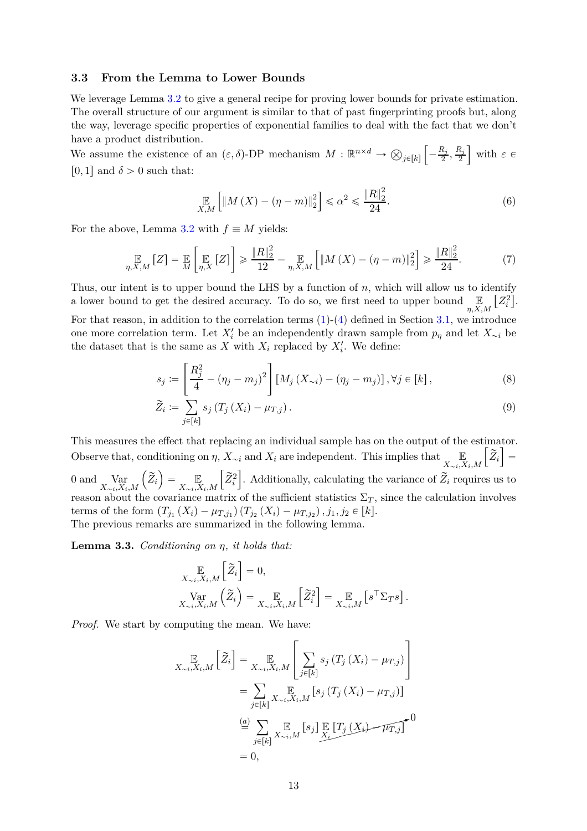### <span id="page-12-0"></span>**3.3 From the Lemma to Lower Bounds**

We leverage Lemma [3.2](#page-11-0) to give a general recipe for proving lower bounds for private estimation. The overall structure of our argument is similar to that of past fingerprinting proofs but, along the way, leverage specific properties of exponential families to deal with the fact that we don't have a product distribution.

We assume the existence of an  $(\varepsilon, \delta)$ -DP mechanism  $M : \mathbb{R}^{n \times d} \to \bigotimes_{j \in [k]}$  $\sqrt{ }$  $-\frac{R_j}{2}$  $\frac{R_j}{2}, \frac{R_j}{2}$ 2  $\Big\}$  with  $\varepsilon \in$  $[0,1]$  and  $\delta > 0$  such that:

<span id="page-12-2"></span>
$$
\mathop{\mathbb{E}}_{X,M} \left[ \|M(X) - (\eta - m)\|_2^2 \right] \leq \alpha^2 \leq \frac{\|R\|_2^2}{24}.
$$
\n(6)

For the above, Lemma [3.2](#page-11-0) with  $f \equiv M$  yields:

$$
\mathop{\mathbb{E}}_{\eta,X,M}[Z] = \mathop{\mathbb{E}}_{M}\left[\mathop{\mathbb{E}}_{\eta,X}[Z]\right] \ge \frac{\|R\|_{2}^{2}}{12} - \mathop{\mathbb{E}}_{\eta,X,M}\left[\|M(X) - (\eta - m)\|_{2}^{2}\right] \ge \frac{\|R\|_{2}^{2}}{24}.\tag{7}
$$

Thus, our intent is to upper bound the LHS by a function of *n*, which will allow us to identify a lower bound to get the desired accuracy. To do so, we first need to upper bound  $\mathbb{E}_{\eta, X, M}$  $[Z_i^2]$ .

For that reason, in addition to the correlation terms  $(1)-(4)$  $(1)-(4)$  $(1)-(4)$  defined in Section [3.1,](#page-8-0) we introduce one more correlation term. Let  $X_i'$  be an independently drawn sample from  $p_\eta$  and let  $X_{\sim i}$  be the dataset that is the same as *X* with  $X_i$  replaced by  $X'_i$ . We define:

$$
s_j := \left[\frac{R_j^2}{4} - (\eta_j - m_j)^2\right] \left[M_j\left(X_{\sim i}\right) - (\eta_j - m_j)\right], \forall j \in [k],\tag{8}
$$

$$
\widetilde{Z}_i := \sum_{j \in [k]} s_j \left( T_j \left( X_i \right) - \mu_{T,j} \right). \tag{9}
$$

This measures the effect that replacing an individual sample has on the output of the estimator. Observe that, conditioning on  $\eta$ ,  $X_{\sim i}$  and  $X_i$  are independent. This implies that  $\lim_{X \to X_i} \left[ \widetilde{Z}_i \right]$  $X_{\sim i}$ ,  $X_i$ , M  $=$  $0$  and  $\Gamma$  Var  $X_{\sim i}$ *,X*<sub>*i*</sub>,*M*  $\left(\widetilde{Z}_i\right) = \mathop{\mathbb{E}}_{X \sim i, X_i, M}$  $\left[ \begin{smallmatrix} \widetilde{Z}^2_i \ Z_i^2 \end{smallmatrix} \right]$ . Additionally, calculating the variance of  $\widetilde{Z}_i$  requires us to reason about the covariance matrix of the sufficient statistics  $\Sigma_T$ , since the calculation involves terms of the form  $(T_{j_1}(X_i) - \mu_{T,j_1})(T_{j_2}(X_i) - \mu_{T,j_2}), j_1, j_2 \in [k].$ The previous remarks are summarized in the following lemma.

<span id="page-12-1"></span>**Lemma 3.3.** *Conditioning on η, it holds that:*

$$
\mathop{\mathbb{E}}_{X_{\sim i}, X_i, M} \left[ \widetilde{Z}_i \right] = 0,
$$
\n
$$
\mathop{\text{Var}}_{X_{\sim i}, X_i, M} \left( \widetilde{Z}_i \right) = \mathop{\mathbb{E}}_{X_{\sim i}, X_i, M} \left[ \widetilde{Z}_i^2 \right] = \mathop{\mathbb{E}}_{X_{\sim i}, M} \left[ s^\top \Sigma_T s \right].
$$

*Proof.* We start by computing the mean. We have:

$$
\mathbb{E}_{X_{\sim i}, X_i, M} \left[ \widetilde{Z}_i \right] = \mathbb{E}_{X_{\sim i}, X_i, M} \left[ \sum_{j \in [k]} s_j \left( T_j \left( X_i \right) - \mu_{T,j} \right) \right]
$$
\n
$$
= \sum_{j \in [k]} \mathbb{E}_{X_{\sim i}, X_i, M} \left[ s_j \left( T_j \left( X_i \right) - \mu_{T,j} \right) \right]
$$
\n
$$
\stackrel{\text{(a)}}{=} \sum_{j \in [k]} \mathbb{E}_{X_{\sim i}, M} \left[ s_j \right] \mathbb{E}_{X_i} \left[ T_j \left( X_i \right) - \mu_{T,j} \right]
$$
\n
$$
= 0,
$$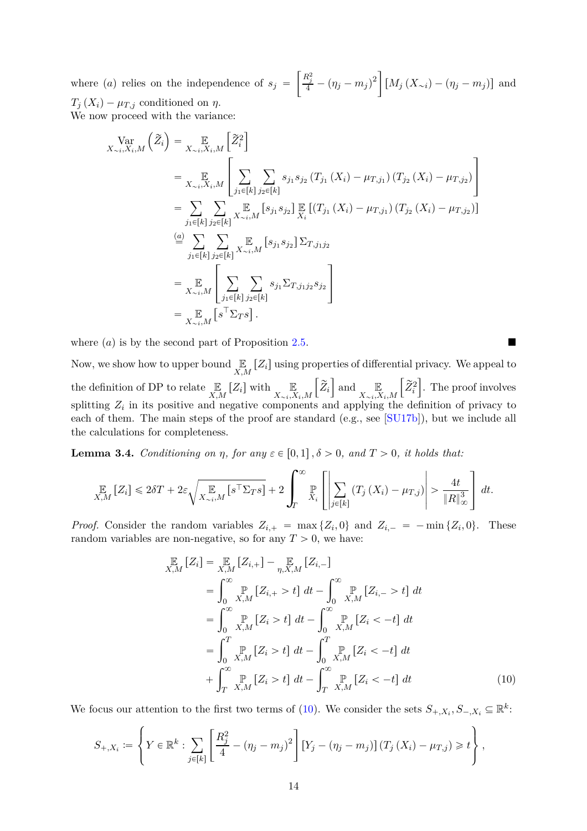<span id="page-13-2"></span>where  $(a)$  relies on the independence of  $s_j =$  $\left[ \frac{R_j^2}{4} - (\eta_j - m_j)^2 \right]$  $[M_j(X_{\sim i}) - (\eta_j - m_j)]$  and  $T_j(X_i) - \mu_{T,j}$  conditioned on *η*. We now proceed with the variance:

$$
\begin{split}\n\operatorname{Var}_{X \sim i, X_i, M} \left( \tilde{Z}_i \right) &= \mathop{\mathbb{E}}_{X \sim i, X_i, M} \left[ \tilde{Z}_i^2 \right] \\
&= \mathop{\mathbb{E}}_{X \sim i, X_i, M} \left[ \sum_{j_1 \in [k]} \sum_{j_2 \in [k]} s_{j_1} s_{j_2} \left( T_{j_1} \left( X_i \right) - \mu_{T, j_1} \right) \left( T_{j_2} \left( X_i \right) - \mu_{T, j_2} \right) \right] \\
&= \sum_{j_1 \in [k]} \sum_{j_2 \in [k]} \mathop{\mathbb{E}}_{X \sim i, M} \left[ s_{j_1} s_{j_2} \right] \mathop{\mathbb{E}}_{X_i} \left[ \left( T_{j_1} \left( X_i \right) - \mu_{T, j_1} \right) \left( T_{j_2} \left( X_i \right) - \mu_{T, j_2} \right) \right] \\
&= \sum_{j_1 \in [k]} \sum_{j_2 \in [k]} \sum_{X \sim i, M} \left[ s_{j_1} s_{j_2} \right] \Sigma_{T, j_1 j_2} \\
&= \sum_{X \sim i, M} \left[ \sum_{j_1 \in [k]} \sum_{j_2 \in [k]} s_{j_1} \Sigma_{T, j_1 j_2} s_{j_2} \right] \\
&= \sum_{X \sim i, M} \left[ s^\top \Sigma_{T} s \right].\n\end{split}
$$

where  $(a)$  is by the second part of Proposition [2.5.](#page-7-3)

Now, we show how to upper bound  $\mathcal{L}_{X,M}$  [ $Z_i$ ] using properties of differential privacy. We appeal to the definition of DP to relate  $\mathbb{E}_{X,M}$  [ $Z_i$ ] with  $\mathbb{E}_{X_{\sim i}, X_i, M}$  $\left[\widetilde{Z}_i\right]$  and  $\mathbb{E}_{\overline{X}_i}$  $X_{\sim i}$ ,  $X_i$ ,  $M$  $\left[ \begin{smallmatrix} \widetilde{Z}^2_i \ Z_i^2 \end{smallmatrix} \right]$ ı . The proof involves splitting  $Z_i$  in its positive and negative components and applying the definition of privacy to each of them. The main steps of the proof are standard (e.g., see [\[SU17b\]](#page-32-2)), but we include all the calculations for completeness.

<span id="page-13-1"></span>**Lemma 3.4.** *Conditioning on η, for any*  $\varepsilon \in [0,1], \delta > 0$ *, and*  $T > 0$ *, it holds that:* 

$$
\mathop{\mathbb{E}}_{X,M}\left[Z_i\right] \leq 2\delta T + 2\varepsilon \sqrt{\mathop{\mathbb{E}}_{X_{\sim i},M}\left[s^{\top} \Sigma_{T} s\right]} + 2 \int_{T}^{\infty} \mathop{\mathbb{P}}_{X_i}\left[\left|\sum_{j\in[k]} \left(T_j\left(X_i\right) - \mu_{T,j}\right)\right| > \frac{4t}{\|R\|_{\infty}^3}\right] dt.
$$

*Proof.* Consider the random variables  $Z_{i,+} = \max\{Z_i, 0\}$  and  $Z_{i,-} = -\min\{Z_i, 0\}$ . These random variables are non-negative, so for any  $T > 0$ , we have:

<span id="page-13-0"></span>
$$
\mathbb{E}_{X,M}[Z_i] = \mathbb{E}_{X,M}[Z_{i,+}] - \mathbb{E}_{\eta, X,M}[Z_{i,-}]
$$
\n
$$
= \int_0^\infty \mathbb{P}_{X,M}[Z_{i,+} > t] dt - \int_0^\infty \mathbb{P}_{X,M}[Z_{i,-} > t] dt
$$
\n
$$
= \int_0^\infty \mathbb{P}_{X,M}[Z_i > t] dt - \int_0^\infty \mathbb{P}_{X,M}[Z_i < -t] dt
$$
\n
$$
= \int_0^T \mathbb{P}_{X,M}[Z_i > t] dt - \int_0^T \mathbb{P}_{X,M}[Z_i < -t] dt
$$
\n
$$
+ \int_0^\infty \mathbb{P}_{X,M}[Z_i > t] dt - \int_T^\infty \mathbb{P}_{X,M}[Z_i < -t] dt
$$
\n(10)

We focus our attention to the first two terms of [\(10\)](#page-13-0). We consider the sets  $S_{+,X_i}, S_{-,X_i} \subseteq \mathbb{R}^k$ :

$$
S_{+,X_i} := \left\{ Y \in \mathbb{R}^k : \sum_{j \in [k]} \left[ \frac{R_j^2}{4} - (\eta_j - m_j)^2 \right] \left[ Y_j - (\eta_j - m_j) \right] \left( T_j \left( X_i \right) - \mu_{T,j} \right) \geqslant t \right\},\,
$$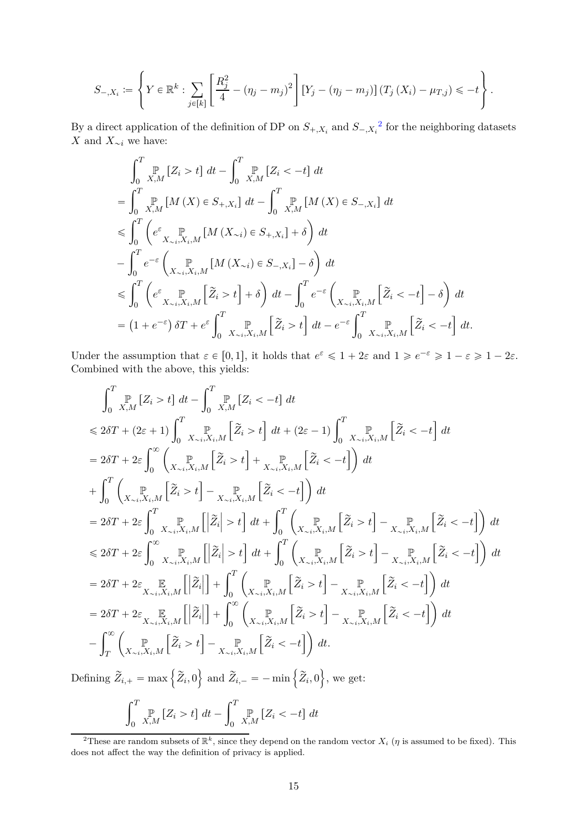$$
S_{-,X_i} := \left\{ Y \in \mathbb{R}^k : \sum_{j \in [k]} \left[ \frac{R_j^2}{4} - (\eta_j - m_j)^2 \right] \left[ Y_j - (\eta_j - m_j) \right] (T_j(X_i) - \mu_{T,j}) \leq -t \right\}.
$$

By a direct application of the definition of DP on  $S_{+,X_i}$  and  $S_{-,X_i}^2$  $S_{-,X_i}^2$  for the neighboring datasets *X* and  $X_{\sim i}$  we have:

$$
\int_{0}^{T} \mathbb{P}_{X,M} [Z_i > t] dt - \int_{0}^{T} \mathbb{P}_{X,M} [Z_i < -t] dt
$$
  
\n
$$
= \int_{0}^{T} \mathbb{P}_{X,M} [M(X) \in S_{+,X_i}] dt - \int_{0}^{T} \mathbb{P}_{X,M} [M(X) \in S_{-,X_i}] dt
$$
  
\n
$$
\leqslant \int_{0}^{T} \left( e^{\varepsilon} \mathbb{P}_{X_{\sim i},X_i,M} [M(X_{\sim i}) \in S_{+,X_i}] + \delta \right) dt
$$
  
\n
$$
- \int_{0}^{T} e^{-\varepsilon} \left( \mathbb{P}_{X_{\sim i},X_i,M} [M(X_{\sim i}) \in S_{-,X_i}] - \delta \right) dt
$$
  
\n
$$
\leqslant \int_{0}^{T} \left( e^{\varepsilon} \mathbb{P}_{X_{\sim i},X_i,M} [\tilde{Z}_i > t] + \delta \right) dt - \int_{0}^{T} e^{-\varepsilon} \left( \mathbb{P}_{X_{\sim i},X_i,M} [\tilde{Z}_i < -t] - \delta \right) dt
$$
  
\n
$$
= (1 + e^{-\varepsilon}) \delta T + e^{\varepsilon} \int_{0}^{T} \mathbb{P}_{X_{\sim i},X_i,M} [\tilde{Z}_i > t] dt - e^{-\varepsilon} \int_{0}^{T} \mathbb{P}_{X_{\sim i},X_i,M} [\tilde{Z}_i < -t] dt.
$$

Under the assumption that  $\varepsilon \in [0,1]$ , it holds that  $e^{\varepsilon} \leq 1 + 2\varepsilon$  and  $1 \geq e^{-\varepsilon} \geq 1 - \varepsilon \geq 1 - 2\varepsilon$ . Combined with the above, this yields:

$$
\int_{0}^{T} \mathbb{P}_{X,M} \left[Z_{i} > t\right] dt - \int_{0}^{T} \mathbb{P}_{X,M} \left[Z_{i} < -t\right] dt
$$
\n
$$
\leq 2\delta T + (2\varepsilon + 1) \int_{0}^{T} \mathbb{P}_{X_{\sim i}, X_{i}, M} \left[\tilde{Z}_{i} > t\right] dt + (2\varepsilon - 1) \int_{0}^{T} \mathbb{X}_{\sim i}, \mathbb{X}_{i}, M} \left[\tilde{Z}_{i} < -t\right] dt
$$
\n
$$
= 2\delta T + 2\varepsilon \int_{0}^{\infty} \left(\mathbb{P}_{X_{\sim i}, X_{i}, M} \left[\tilde{Z}_{i} > t\right] + \mathbb{P}_{X_{\sim i}, X_{i}, M} \left[\tilde{Z}_{i} < -t\right]\right) dt
$$
\n
$$
+ \int_{0}^{T} \left(\mathbb{P}_{X_{\sim i}, X_{i}, M} \left[\tilde{Z}_{i} > t\right] - \mathbb{P}_{X_{\sim i}, X_{i}, M} \left[\tilde{Z}_{i} < -t\right]\right) dt
$$
\n
$$
= 2\delta T + 2\varepsilon \int_{0}^{T} \mathbb{P}_{X_{\sim i}, X_{i}, M} \left[\left|\tilde{Z}_{i}\right| > t\right] dt + \int_{0}^{T} \left(\mathbb{P}_{X_{\sim i}, X_{i}, M} \left[\tilde{Z}_{i} > t\right] - \mathbb{P}_{X_{\sim i}, X_{i}, M} \left[\tilde{Z}_{i} < -t\right]\right) dt
$$
\n
$$
\leq 2\delta T + 2\varepsilon \int_{0}^{\infty} \mathbb{P}_{X_{\sim i}, X_{i}, M} \left[\left|\tilde{Z}_{i}\right| > t\right] dt + \int_{0}^{T} \left(\mathbb{P}_{X_{\sim i}, X_{i}, M} \left[\tilde{Z}_{i} > t\right] - \mathbb{P}_{X_{\sim i}, X_{i}, M} \left[\tilde{Z}_{i} < -t\right]\right) dt
$$
\n
$$
= 2\delta T + 2\varepsilon \mathbb{E}_{X_{\sim i}, X_{i}, M} \left[\left|\tilde{
$$

Defining  $\widetilde{Z}_{i,+} = \max \left\{ \widetilde{Z}_{i}, 0 \right\}$  and  $\widetilde{Z}_{i,-} = - \min \left\{ \widetilde{Z}_{i}, 0 \right\}$ , we get:

$$
\int_0^T \mathbb{P}_{X,M} \left[ Z_i > t \right] dt - \int_0^T \mathbb{P}_{X,M} \left[ Z_i < -t \right] dt
$$

<span id="page-14-0"></span><sup>&</sup>lt;sup>2</sup>These are random subsets of  $\mathbb{R}^k$ , since they depend on the random vector  $X_i$  ( $\eta$  is assumed to be fixed). This does not affect the way the definition of privacy is applied.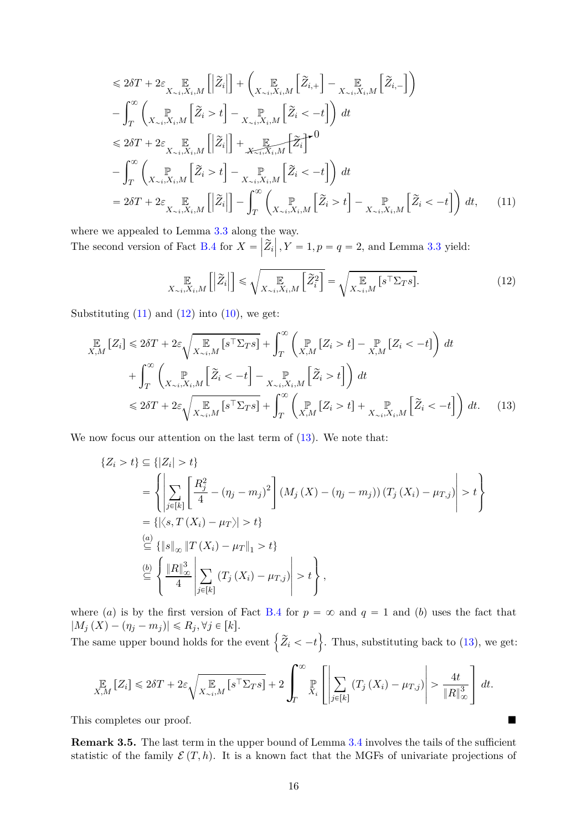$$
\leq 2\delta T + 2\varepsilon \mathbb{E}_{X_{\sim i}, X_i, M} \left[ \left| \tilde{Z}_i \right| \right] + \left( \mathbb{E}_{X_{\sim i}, X_i, M} \left[ \tilde{Z}_{i, +} \right] - \mathbb{E}_{X_{\sim i}, X_i, M} \left[ \tilde{Z}_{i, -} \right] \right) \n- \int_{T}^{\infty} \left( \mathbb{E}_{X_{\sim i}, X_i, M} \left[ \tilde{Z}_i > t \right] - \mathbb{E}_{X_{\sim i}, X_i, M} \left[ \tilde{Z}_i < -t \right] \right) dt \n\leq 2\delta T + 2\varepsilon \mathbb{E}_{X_{\sim i}, X_i, M} \left[ \left| \tilde{Z}_i \right| \right] + \mathbb{E}_{X_{\sim i}, X_i, M} \left[ \tilde{Z}_i \right]^{-0} \n- \int_{T}^{\infty} \left( \mathbb{E}_{X_{\sim i}, X_i, M} \left[ \tilde{Z}_i > t \right] - \mathbb{E}_{X_{\sim i}, X_i, M} \left[ \tilde{Z}_i < -t \right] \right) dt \n= 2\delta T + 2\varepsilon \mathbb{E}_{X_{\sim i}, X_i, M} \left[ \left| \tilde{Z}_i \right| \right] - \int_{T}^{\infty} \left( \mathbb{E}_{X_{\sim i}, X_i, M} \left[ \tilde{Z}_i > t \right] - \mathbb{E}_{X_{\sim i}, X_i, M} \left[ \tilde{Z}_i < -t \right] \right) dt, \tag{11}
$$

where we appealed to Lemma [3.3](#page-12-1) along the way. The second version of Fact [B.4](#page-34-1) for  $X = \left| \widetilde{Z}_i \right|, Y = 1, p = q = 2$ , and Lemma [3.3](#page-12-1) yield:

<span id="page-15-2"></span><span id="page-15-1"></span><span id="page-15-0"></span>
$$
\mathop{\mathbb{E}}_{X \sim i, X_i, M} \left[ \left| \tilde{Z}_i \right| \right] \leq \sqrt{\mathop{\mathbb{E}}_{X \sim i, X_i, M} \left[ \tilde{Z}_i^2 \right]} = \sqrt{\mathop{\mathbb{E}}_{X \sim i, M} \left[ s^\top \Sigma_T s \right]}.
$$
\n(12)

Substituting  $(11)$  and  $(12)$  into  $(10)$ , we get:

$$
\mathbb{E}_{X,M}\left[Z_{i}\right] \leqslant 2\delta T + 2\varepsilon\sqrt{\mathbb{E}_{X_{\sim i},M}\left[s^{\top}\Sigma_{T}s\right]} + \int_{T}^{\infty}\left(\mathbb{P}_{X,M}\left[Z_{i}>t\right] - \mathbb{P}_{X,M}\left[Z_{i}<-t\right]\right)dt
$$
\n
$$
+ \int_{T}^{\infty}\left(\mathbb{P}_{X_{\sim i},X_{i},M}\left[\tilde{Z}_{i}<-t\right] - \mathbb{P}_{X_{\sim i},X_{i},M}\left[\tilde{Z}_{i}>t\right]\right)dt
$$
\n
$$
\leqslant 2\delta T + 2\varepsilon\sqrt{\mathbb{E}_{X_{\sim i},M}\left[s^{\top}\Sigma_{T}s\right]} + \int_{T}^{\infty}\left(\mathbb{P}_{X,M}\left[Z_{i}>t\right] + \mathbb{E}_{X_{\sim i},X_{i},M}\left[\tilde{Z}_{i}<-t\right]\right)dt. \tag{13}
$$

We now focus our attention on the last term of  $(13)$ . We note that:

$$
\{Z_i > t\} \subseteq \{|Z_i| > t\}
$$
  
\n
$$
= \left\{ \left| \sum_{j \in [k]} \left[ \frac{R_j^2}{4} - (\eta_j - m_j)^2 \right] (M_j(X) - (\eta_j - m_j)) (T_j(X_i) - \mu_{T,j}) \right| > t \right\}
$$
  
\n
$$
= \left\{ |\langle s, T(X_i) - \mu_T \rangle| > t \right\}
$$
  
\n
$$
\stackrel{(a)}{\subseteq} \{ \|s\|_{\infty} \|T(X_i) - \mu_T\|_1 > t \}
$$
  
\n
$$
\stackrel{(b)}{\subseteq} \left\{ \frac{\|R\|_{\infty}^3}{4} \left| \sum_{j \in [k]} (T_j(X_i) - \mu_{T,j}) \right| > t \right\},
$$

where (a) is by the first version of Fact [B.4](#page-34-1) for  $p = \infty$  and  $q = 1$  and (b) uses the fact that  $|M_j(X) - (\eta_j - m_j)| \le R_j, \forall j \in [k].$ 

The same upper bound holds for the event  $\left\{ \widetilde{Z}_{i} < -t \right\}$ . Thus, substituting back to [\(13\)](#page-15-2), we get:

$$
\mathop{\mathbb{E}}_{X,M}\left[Z_i\right] \leq 2\delta T + 2\varepsilon \sqrt{\mathop{\mathbb{E}}_{X \sim i,M}\left[s^\top \Sigma_{TS}\right]} + 2 \int_T^\infty \mathop{\mathbb{P}}_{X_i}\left[\left|\sum_{j \in [k]} \left(T_j\left(X_i\right) - \mu_{T,j}\right)\right| > \frac{4t}{\|R\|_\infty^3}\right] dt.
$$

This completes our proof.

**Remark 3.5.** The last term in the upper bound of Lemma [3.4](#page-13-1) involves the tails of the sufficient statistic of the family  $\mathcal{E}(T, h)$ . It is a known fact that the MGFs of univariate projections of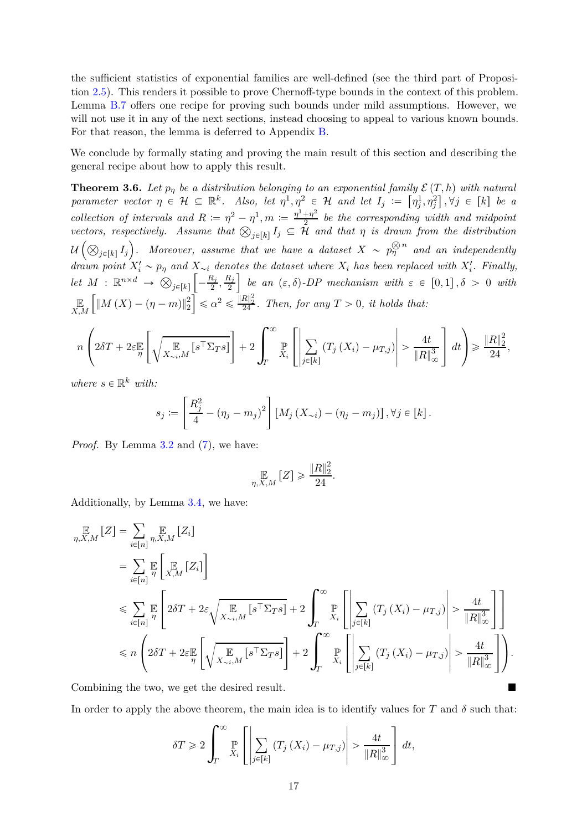the sufficient statistics of exponential families are well-defined (see the third part of Proposition [2.5\)](#page-7-3). This renders it possible to prove Chernoff-type bounds in the context of this problem. Lemma [B.7](#page-35-0) offers one recipe for proving such bounds under mild assumptions. However, we will not use it in any of the next sections, instead choosing to appeal to various known bounds. For that reason, the lemma is deferred to Appendix [B.](#page-34-0)

We conclude by formally stating and proving the main result of this section and describing the general recipe about how to apply this result.

<span id="page-16-0"></span>**Theorem 3.6.** Let  $p_\eta$  be a distribution belonging to an exponential family  $\mathcal{E}(T, h)$  with natural *parameter vector*  $\eta \in \mathcal{H} \subseteq \mathbb{R}^k$ . Also, let  $\eta^1, \eta^2 \in \mathcal{H}$  and let  $I_j := [\eta^1_j, \eta^2_j], \forall j \in [k]$  be a *collection of intervals and*  $R := \eta^2 - \eta^1, m := \frac{\eta^1 + \eta^2}{2}$  $\frac{1+\eta^2}{2}$  be the corresponding width and midpoint *vectors, respectively.* Assume that  $\bigotimes_{j \in [k]} I_j \subseteq \overline{\mathcal{H}}$  and that  $\eta$  is drawn from the distribution  $\mathcal{U}\left(\bigotimes_{j\in[k]}I_j\right)$ . Moreover, assume that we have a dataset  $X \sim p_\eta^{\bigotimes n}$  and an independently *drawn point*  $X_i' \sim p_\eta$  *and*  $X_{\sim i}$  *denotes the dataset where*  $X_i$  *has been replaced with*  $X_i'$ *. Finally,*  $let M : \mathbb{R}^{n \times d} \rightarrow \bigotimes_{j \in [k]}$  $\sqrt{ }$  $-\frac{R_j}{2}$  $\frac{R_j}{2}, \frac{R_j}{2}$ 2 *be an*  $(\varepsilon, \delta)$ -*DP mechanism with*  $\varepsilon \in [0, 1], \delta > 0$  *with* E *X,M*  $\int \|M(X) - (\eta - m)\|_2^2$  $\sqrt{\|\mathcal{L}\|_{24}^2}$   $\leq$   $\frac{\|R\|_{2}^2}{24}$ *. Then, for any*  $T > 0$ *, it holds that:* 

$$
n\left(2\delta T + 2\varepsilon \frac{\mathbb{E}}{\eta} \left[\sqrt{\sum_{X_{\sim i},M}\mathbb{E}\left[s^{\top} \Sigma_{T} s\right]}\right] + 2\int_{T}^{\infty} \frac{\mathbb{P}}{X_{i}}\left[\left|\sum_{j\in[k]}\left(T_{j}\left(X_{i}\right) - \mu_{T,j}\right)\right| > \frac{4t}{\|R\|_{\infty}^{3}}\right]dt\right) \geq \frac{\|R\|_{2}^{2}}{24},
$$

 $where s \in \mathbb{R}^k$  *with:* 

$$
s_j := \left[\frac{R_j^2}{4} - (\eta_j - m_j)^2\right] \left[M_j\left(X_{\sim i}\right) - (\eta_j - m_j)\right], \forall j \in [k].
$$

*Proof.* By Lemma [3.2](#page-11-0) and  $(7)$ , we have:

$$
\mathop{\mathbb{E}}_{\eta,X,M}\left[Z\right] \geqslant \frac{\left\|R\right\|_2^2}{24}.
$$

Additionally, by Lemma [3.4,](#page-13-1) we have:

$$
\mathbb{E}_{\eta,X,M}[Z] = \sum_{i \in [n]} \mathbb{E}_{\eta,X,M}[Z_i]
$$
\n
$$
= \sum_{i \in [n]} \mathbb{E}_{\eta,X,M}[Z_i]
$$
\n
$$
\leq \sum_{i \in [n]} \mathbb{E}_{\eta}\left[\mathbb{E}_{X,M}[Z_i]\right]
$$
\n
$$
\leq \sum_{i \in [n]} \mathbb{E}_{\eta}\left[2\delta T + 2\varepsilon \sqrt{\mathbb{E}_{X_{\sim i},M}[s^{\top} \Sigma_{TS}]} + 2 \int_{T}^{\infty} \mathbb{E}_{X_i}\left[\sum_{j \in [k]} (T_j(X_i) - \mu_{T,j})\right] > \frac{4t}{\|R\|_{\infty}^3}\right]
$$
\n
$$
\leq n \left(2\delta T + 2\varepsilon \mathbb{E}_{\eta}\left[\sqrt{\mathbb{E}_{X_{\sim i},M}[s^{\top} \Sigma_{TS}]} + 2 \int_{T}^{\infty} \mathbb{E}_{X_i}\left[\sum_{j \in [k]} (T_j(X_i) - \mu_{T,j})\right] > \frac{4t}{\|R\|_{\infty}^3}\right]\right).
$$

Combining the two, we get the desired result.

In order to apply the above theorem, the main idea is to identify values for *T* and  $\delta$  such that:

$$
\delta T \geq 2 \int_T^{\infty} \mathbb{P}\left[\left|\sum_{j\in[k]} \left(T_j\left(X_i\right) - \mu_{T,j}\right)\right| > \frac{4t}{\|R\|_{\infty}^3}\right] dt,
$$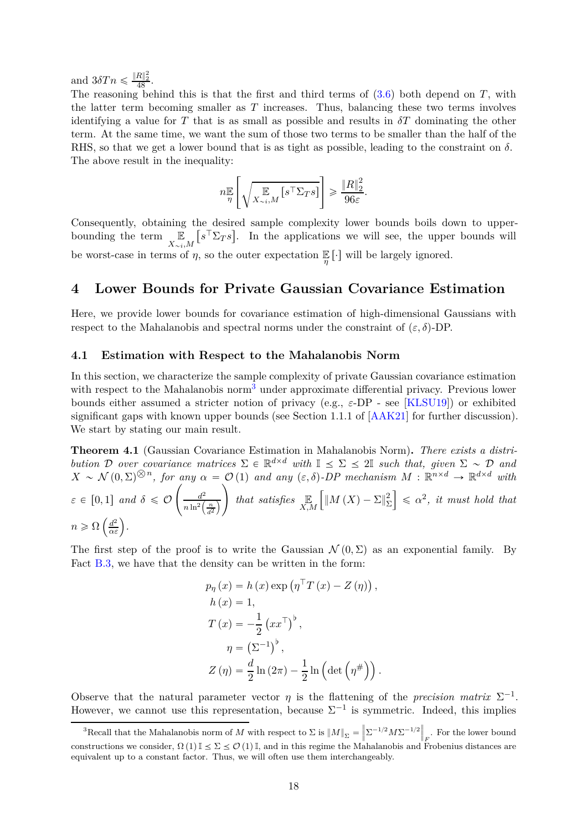<span id="page-17-4"></span>and  $3\delta T n \leq \frac{\|R\|_2^2}{48}$ .

The reasoning behind this is that the first and third terms of [\(3.6\)](#page-16-0) both depend on *T*, with the latter term becoming smaller as *T* increases. Thus, balancing these two terms involves identifying a value for *T* that is as small as possible and results in  $\delta T$  dominating the other term. At the same time, we want the sum of those two terms to be smaller than the half of the RHS, so that we get a lower bound that is as tight as possible, leading to the constraint on  $\delta$ . The above result in the inequality:

$$
n \underset{\eta}{\mathbb{E}} \left[ \sqrt{\underset{X \sim i, M}{\mathbb{E}} \big[ s^{\top} \Sigma_{T} s \big]} \right] \geqslant \frac{\|R\|_2^2}{96 \varepsilon}.
$$

Consequently, obtaining the desired sample complexity lower bounds boils down to upperbounding the term  $\mathbb{E}$  $X_{\sim i}$ , *M*  $[s^{\top} \Sigma_T s]$ . In the applications we will see, the upper bounds will be worst-case in terms of  $\eta$ , so the outer expectation  $\mathbb{E}[\cdot]$  will be largely ignored.

### <span id="page-17-0"></span>**4 Lower Bounds for Private Gaussian Covariance Estimation**

Here, we provide lower bounds for covariance estimation of high-dimensional Gaussians with respect to the Mahalanobis and spectral norms under the constraint of  $(\varepsilon, \delta)$ -DP.

#### <span id="page-17-1"></span>**4.1 Estimation with Respect to the Mahalanobis Norm**

In this section, we characterize the sample complexity of private Gaussian covariance estimation with respect to the Mahalanobis norm<sup>[3](#page-17-2)</sup> under approximate differential privacy. Previous lower bounds either assumed a stricter notion of privacy (e.g., *ε*-DP - see [\[KLSU19\]](#page-31-2)) or exhibited significant gaps with known upper bounds (see Section 1*.*1*.*1 of [\[AAK21\]](#page-29-5) for further discussion). We start by stating our main result.

<span id="page-17-3"></span>**Theorem 4.1** (Gaussian Covariance Estimation in Mahalanobis Norm)**.** *There exists a distribution*  $D$  *over covariance matrices*  $\Sigma \in \mathbb{R}^{d \times d}$  *with*  $\mathbb{I} \leq \Sigma \leq 2\mathbb{I}$  *such that, given*  $\Sigma \sim D$  *and*  $X \sim \mathcal{N}(0, \Sigma)^{\otimes n}$ , for any  $\alpha = \mathcal{O}(1)$  and any  $(\varepsilon, \delta)$ -DP mechanism  $M : \mathbb{R}^{n \times d} \to \mathbb{R}^{d \times d}$  with  $\varepsilon \in [0,1]$  *and*  $\delta \leq \mathcal{O}$  $\int$   $\frac{d^2}{dt^2}$  $n \ln^2\left(\frac{n}{d^2}\right)$ ¯  $\setminus$ *that satisfies* E *X,M*  $\int_M |M(X) - \Sigma|_{\Sigma}^2$ Σ  $\Big|\leq \alpha^2$ , *it must hold that*  $n \geqslant \Omega\left(\frac{d^2}{\alpha \varepsilon}\right).$ 

The first step of the proof is to write the Gaussian  $\mathcal{N}(0, \Sigma)$  as an exponential family. By Fact [B.3,](#page-34-2) we have that the density can be written in the form:

$$
p_{\eta}(x) = h(x) \exp (\eta^{\top} T(x) - Z(\eta)),
$$
  
\n
$$
h(x) = 1,
$$
  
\n
$$
T(x) = -\frac{1}{2} (xx^{\top})^{\flat},
$$
  
\n
$$
\eta = (\Sigma^{-1})^{\flat},
$$
  
\n
$$
Z(\eta) = \frac{d}{2} \ln (2\pi) - \frac{1}{2} \ln (\det (\eta^{\#})).
$$

Observe that the natural parameter vector  $\eta$  is the flattening of the *precision matrix*  $\Sigma^{-1}$ . However, we cannot use this representation, because  $\Sigma^{-1}$  is symmetric. Indeed, this implies

<span id="page-17-2"></span> ${}^{3}$ Recall that the Mahalanobis norm of *M* with respect to  $\Sigma$  is  $||M||_{\Sigma} = \left||\Sigma^{-1/2} M \Sigma^{-1/2} \right||_F$ . For the lower bound  $\text{constructions we consider, } \Omega(1) \mathbb{I} \leq \Sigma \leq \mathcal{O}(1) \mathbb{I}$ , and in this regime the Mahalanobis and Frobenius distances are equivalent up to a constant factor. Thus, we will often use them interchangeably.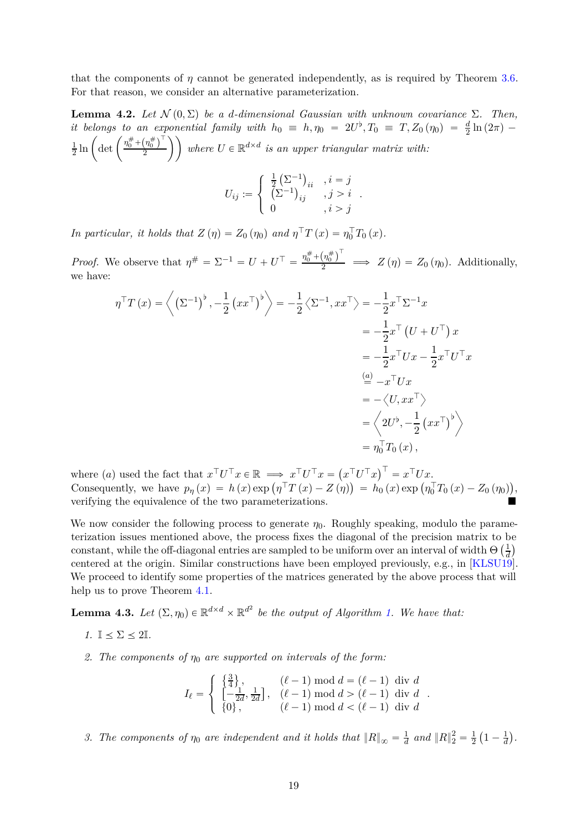<span id="page-18-2"></span>that the components of  $\eta$  cannot be generated independently, as is required by Theorem [3.6.](#page-16-0) For that reason, we consider an alternative parameterization.

<span id="page-18-1"></span>**Lemma 4.2.** *Let*  $\mathcal{N}(0, \Sigma)$  *be a d-dimensional Gaussian with unknown covariance*  $\Sigma$ *. Then, it belongs to an exponential family with*  $h_0 \equiv h, \eta_0 = 2U^{\flat}, T_0 \equiv T, Z_0(\eta_0) = \frac{d}{2}\ln(2\pi)$ 1  $\frac{1}{2}\ln\bigg(\det\bigg(\frac{\eta^{\#}_0 + \left(\eta^{\#}_0\right)^\top}{2}\bigg)$  $\left(\frac{\left(n_0^{\#}\right)^{\top}}{2}\right)$  where  $U \in \mathbb{R}^{d \times d}$  is an upper triangular matrix with:  $\int \frac{1}{2} (\Sigma^{-1})_{ii}$ ,  $i = j$ 2 *.*

$$
U_{ij} := \begin{cases} \frac{1}{2} (\Sigma^{-1})_{ii} & , i = j \\ (\Sigma^{-1})_{ij} & , j > i \\ 0 & , i > j \end{cases}
$$

*In particular, it holds that*  $Z(\eta) = Z_0(\eta_0)$  *and*  $\eta^{\dagger} T(x) = \eta_0^{\dagger} T_0(x)$ .

*Proof.* We observe that  $\eta^{\#} = \Sigma^{-1} = U + U^{\top} = \frac{\eta_0^{\#} + (\eta_0^{\#})^{\top}}{2} \implies Z(\eta) = Z_0(\eta_0)$ . Additionally, we have:

$$
\eta^{\top}T(x) = \left\langle \left(\Sigma^{-1}\right)^{\flat}, -\frac{1}{2}\left(x x^{\top}\right)^{\flat} \right\rangle = -\frac{1}{2}\left\langle \Sigma^{-1}, x x^{\top} \right\rangle = -\frac{1}{2}x^{\top} \Sigma^{-1} x
$$
  
\n
$$
= -\frac{1}{2}x^{\top} \left(U + U^{\top}\right) x
$$
  
\n
$$
= -\frac{1}{2}x^{\top} U x - \frac{1}{2}x^{\top} U^{\top} x
$$
  
\n
$$
\stackrel{(a)}{=} -x^{\top} U x
$$
  
\n
$$
= -\left\langle U, x x^{\top} \right\rangle
$$
  
\n
$$
= \left\langle 2U^{\flat}, -\frac{1}{2}\left(x x^{\top}\right)^{\flat} \right\rangle
$$
  
\n
$$
= \eta_{0}^{\top} T_{0}(x),
$$

where (*a*) used the fact that  $x^{\top}U^{\top}x \in \mathbb{R} \implies x^{\top}U^{\top}x = (x^{\top}U^{\top}x)^{\top} = x^{\top}Ux$ . Consequently, we have  $p_{\eta}(x) = h(x) \exp(\eta^{\top} T(x) - Z(\eta)) = h_0(x) \exp(\eta_0^{\top} T_0(x) - Z_0(\eta_0)),$ verifying the equivalence of the two parameterizations.

We now consider the following process to generate  $\eta_0$ . Roughly speaking, modulo the parameterization issues mentioned above, the process fixes the diagonal of the precision matrix to be constant, while the off-diagonal entries are sampled to be uniform over an interval of width  $\Theta\left(\frac{1}{d}\right)$  $\frac{1}{d}$ centered at the origin. Similar constructions have been employed previously, e.g., in [\[KLSU19\]](#page-31-2). We proceed to identify some properties of the matrices generated by the above process that will help us to prove Theorem [4.1.](#page-17-3)

<span id="page-18-0"></span>**Lemma 4.3.** Let  $(\Sigma, \eta_0) \in \mathbb{R}^{d \times d} \times \mathbb{R}^{d^2}$  be the output of Algorithm [1.](#page-19-0) We have that:

$$
1. \ \mathbb{I} \le \Sigma \le 2\mathbb{I}.
$$

*2. The components of η*<sup>0</sup> *are supported on intervals of the form:*

$$
I_{\ell} = \begin{cases} \left\{ \frac{3}{4} \right\}, & (\ell - 1) \mod d = (\ell - 1) \text{ div } d \\ \left[ -\frac{1}{2d}, \frac{1}{2d} \right], & (\ell - 1) \mod d > (\ell - 1) \text{ div } d \\ \{0\}, & (\ell - 1) \mod d < (\ell - 1) \text{ div } d \end{cases}.
$$

3. The components of  $\eta_0$  are independent and it holds that  $||R||_{\infty} = \frac{1}{d}$  and  $||R||_2^2 = \frac{1}{2}(1 - \frac{1}{d})$ .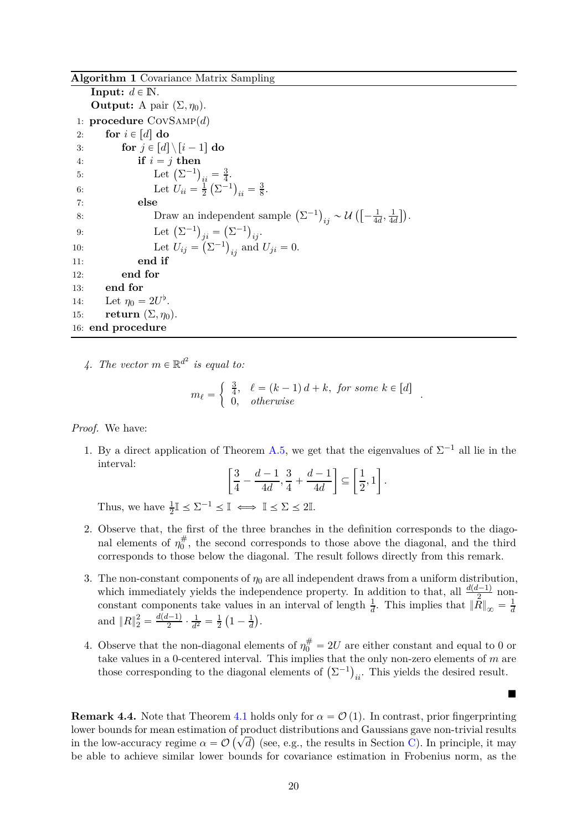#### <span id="page-19-0"></span>**Algorithm 1** Covariance Matrix Sampling

**Input:**  $d \in \mathbb{N}$ . **Output:** A pair  $(\Sigma, \eta_0)$ . 1: **procedure** CovSamp(*d*) 2: **for**  $i \in [d]$  **do**<br>3: **for**  $j \in [d]$ 3: **for**  $j \in [d] \setminus [i-1]$  do<br>4: **if**  $i = j$  then if  $i = j$  then 5: Let  $(\Sigma^{-1})_{ii} = \frac{3}{4}$  $\frac{3}{4}$ . 6: Let  $U_{ii} = \frac{1}{2}$  $\frac{1}{2}(\Sigma^{-1})_{ii} = \frac{3}{8}$  $\frac{3}{8}$ . 7: **else** 8: Draw an independent sample  $(\Sigma^{-1})_{ij} \sim \mathcal{U}\left(-\frac{1}{4d}\right)$  $\frac{1}{4d}$ ,  $\frac{1}{4d}$  $\frac{1}{4d}$ ). 9: Let  $(\Sigma^{-1})_{ji} = (\Sigma^{-1})_{ij}$ . 10: Let  $U_{ij} = (\Sigma^{-1})_{ij}$  and  $U_{ji} = 0$ . 11: **end if** 12: **end for** 13: **end for** 14: Let  $\eta_0 = 2U^{\dagger}$ . 15: **return**  $(\Sigma, \eta_0)$ . 16: **end procedure**

4. The vector  $m \in \mathbb{R}^{d^2}$  is equal to:

$$
m_{\ell} = \begin{cases} \frac{3}{4}, & \ell = (k-1) d + k, \text{ for some } k \in [d] \\ 0, & otherwise \end{cases}.
$$

*Proof.* We have:

1. By a direct application of Theorem [A.5,](#page-34-3) we get that the eigenvalues of  $\Sigma^{-1}$  all lie in the interval:

$$
\left[\frac{3}{4}-\frac{d-1}{4d},\frac{3}{4}+\frac{d-1}{4d}\right] \subseteq \left[\frac{1}{2},1\right].
$$

Thus, we have  $\frac{1}{2} \mathbb{I} \leq \Sigma^{-1} \leq \mathbb{I} \iff \mathbb{I} \leq \Sigma \leq 2\mathbb{I}.$ 

- 2. Observe that, the first of the three branches in the definition corresponds to the diagonal elements of  $\eta_0^{\#}$  $\overline{0}^{\#}$ , the second corresponds to those above the diagonal, and the third corresponds to those below the diagonal. The result follows directly from this remark.
- 3. The non-constant components of  $\eta_0$  are all independent draws from a uniform distribution, which immediately yields the independence property. In addition to that, all  $\frac{d(d-1)}{2}$  nonconstant components take values in an interval of length  $\frac{1}{d}$ . This implies that  $\|\bar{R}\|_{\infty} = \frac{1}{d}$ *d* and  $||R||_2^2 = \frac{d(d-1)}{2} \cdot \frac{1}{d^2}$  $\frac{1}{d^2} = \frac{1}{2}$  $\frac{1}{2}(1-\frac{1}{d})$  $\frac{1}{d}$ .
- 4. Observe that the non-diagonal elements of  $\eta_0^{\#} = 2U$  are either constant and equal to 0 or take values in a 0-centered interval. This implies that the only non-zero elements of *m* are those corresponding to the diagonal elements of  $(\Sigma^{-1})_{ii}$ . This yields the desired result.

 $\blacksquare$ 

**Remark 4.4.** Note that Theorem [4.1](#page-17-3) holds only for  $\alpha = \mathcal{O}(1)$ . In contrast, prior fingerprinting lower bounds for mean estimation of product distributions and Gaussians gave non-trivial results in the low-accuracy regime  $\alpha = \mathcal{O}(\sqrt{d})$  (see, e.g., the results in Section [C\)](#page-36-0). In principle, it may be able to achieve similar lower bounds for covariance estimation in Frobenius norm, as the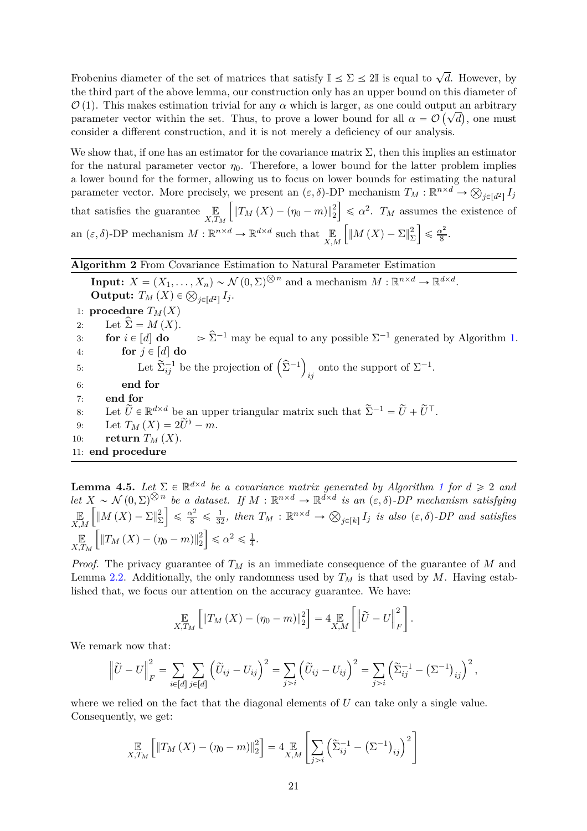Frobenius diameter of the set of matrices that satisfy  $\mathbb{I} \leq \Sigma \leq 2\mathbb{I}$  is equal to  $\sqrt{d}$ . However, by the third part of the above lemma, our construction only has an upper bound on this diameter of  $\mathcal{O}(1)$ . This makes estimation trivial for any  $\alpha$  which is larger, as one could output an arbitrary parameter vector within the set. Thus, to prove a lower bound for all  $\alpha = \mathcal{O}(\sqrt{d})$ , one must consider a different construction, and it is not merely a deficiency of our analysis.

We show that, if one has an estimator for the covariance matrix  $\Sigma$ , then this implies an estimator for the natural parameter vector  $\eta_0$ . Therefore, a lower bound for the latter problem implies a lower bound for the former, allowing us to focus on lower bounds for estimating the natural parameter vector. More precisely, we present an  $(\varepsilon, \delta)$ -DP mechanism  $T_M : \mathbb{R}^{n \times d} \to \bigotimes_{j \in [d^2]} I_j$ that satisfies the guarantee  $\mathbb{E}_{X,T_M}$  $\int \|T_M(X) - (\eta_0 - m)\|_2^2$  $\leq \alpha^2$ . *T<sub>M</sub>* assumes the existence of an  $(\varepsilon, \delta)$ -DP mechanism  $M : \mathbb{R}^{n \times d} \to \mathbb{R}^{d \times d}$  such that  $\mathbb{E}_{X,M}$  $\int_M |M(X) - \Sigma|_{\Sigma}^2$ Σ ı  $\leqslant \frac{\alpha^2}{8}$  $\frac{x^2}{8}$ .

### <span id="page-20-0"></span>**Algorithm 2** From Covariance Estimation to Natural Parameter Estimation

**Input:**  $X = (X_1, \ldots, X_n) \sim \mathcal{N}(0, \Sigma)^{\bigotimes n}$  and a mechanism  $M : \mathbb{R}^{n \times d} \to \mathbb{R}^{d \times d}$ . **Output:**  $T_M(X) \in \bigotimes_{j \in [d^2]} I_j$ . 1: **procedure**  $T_M(X)$ 2: Let  $\sum = M(X)$ .<br>3: **for**  $i \in [d]$  **do** 3: **for**  $i \in [d]$  **do**  $\triangleright \hat{\Sigma}^{-1}$  may be equal to any possible  $\Sigma^{-1}$  generated by Algorithm [1.](#page-19-0) for  $j \in [d]$  do 5: Let  $\sum_{i,j}^{-1}$  be the projection of  $(\hat{\Sigma}^{-1})$ onto the support of  $\Sigma^{-1}$ . 6: **end for** 7: **end for** 8: Let  $\widetilde{U} \in \mathbb{R}^{d \times d}$  be an upper triangular matrix such that  $\widetilde{\Sigma}^{-1} = \widetilde{U} + \widetilde{U}^{\top}$ . 9: Let  $T_M(X) = 2\widetilde{U}^{\flat} - m.$ <br>10: **return**  $T_M(X)$ . return  $T_M(X)$ . 11: **end procedure**

<span id="page-20-1"></span>**Lemma 4.5.** Let  $\Sigma \in \mathbb{R}^{d \times d}$  be a covariance matrix generated by Algorithm [1](#page-19-0) for  $d \geq 2$  and *let*  $X \sim \mathcal{N}(0, \Sigma)^{\otimes n}$  *be a dataset. If*  $M : \mathbb{R}^{n \times d} \to \mathbb{R}^{d \times d}$  *is an*  $(\varepsilon, \delta)$ -DP mechanism satisfying E *X,M*  $\int \|M(X) - \Sigma\|_{\Sigma}^2$ Σ  $\left[\frac{1}{8} \leq \frac{\alpha^2}{32}, \text{ then } T_M : \mathbb{R}^{n \times d} \to \bigotimes_{j \in [k]} I_j \text{ is also } (\varepsilon, \delta)$ -DP and satisfies E *X,T<sup>M</sup>*  $\int \|T_M(X) - (\eta_0 - m)\|_2^2$  $\vert \leq \alpha^2 \leq \frac{1}{4}$  $\frac{1}{4}$ .

*Proof.* The privacy guarantee of *T<sup>M</sup>* is an immediate consequence of the guarantee of *M* and Lemma [2.2.](#page-6-1) Additionally, the only randomness used by  $T_M$  is that used by  $M$ . Having established that, we focus our attention on the accuracy guarantee. We have:

$$
\mathop{\mathbb{E}}_{X,T_M}\left[\left\|T_M\left(X\right)-(\eta_0-m)\right\|_2^2\right] = 4 \mathop{\mathbb{E}}_{X,M}\left[\left\|\widetilde{U}-U\right\|_F^2\right].
$$

We remark now that:

$$
\left\|\widetilde{U}-U\right\|_{F}^{2}=\sum_{i\in[d]}\sum_{j\in[d]}\left(\widetilde{U}_{ij}-U_{ij}\right)^{2}=\sum_{j>i}\left(\widetilde{U}_{ij}-U_{ij}\right)^{2}=\sum_{j>i}\left(\widetilde{\Sigma}_{ij}^{-1}-\left(\Sigma^{-1}\right)_{ij}\right)^{2},
$$

where we relied on the fact that the diagonal elements of U can take only a single value. Consequently, we get:

$$
\mathop{\mathbb{E}}_{X,T_M}\left[\left\|T_M\left(X\right)-(\eta_0-m)\right\|_2^2\right] = 4 \mathop{\mathbb{E}}_{X,M}\left[\sum_{j>i}\left(\widetilde{\Sigma}_{ij}^{-1}-\left(\Sigma^{-1}\right)_{ij}\right)^2\right]
$$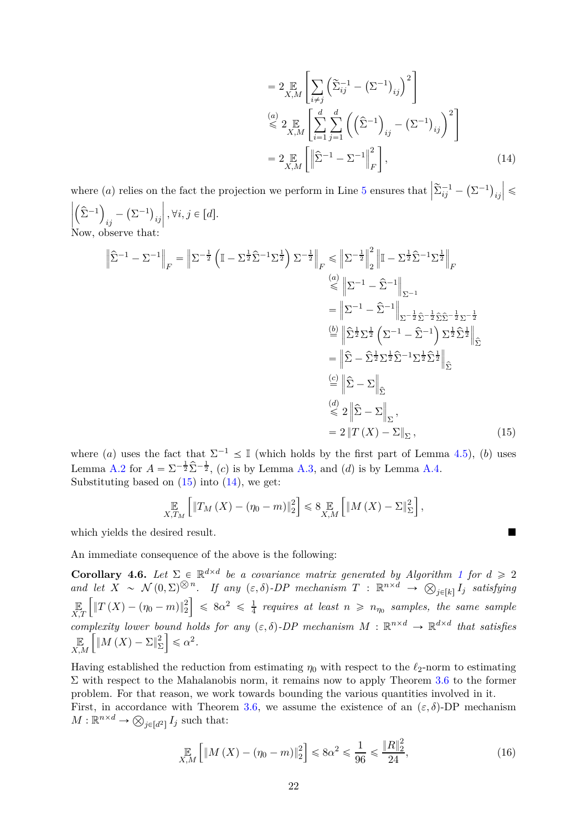<span id="page-21-1"></span>
$$
=2\mathop{\mathbb{E}}_{X,M}\left[\sum_{i\neq j}\left(\widetilde{\Sigma}_{ij}^{-1}-(\Sigma^{-1})_{ij}\right)^{2}\right]
$$
  
\n
$$
\stackrel{(a)}{\leq}2\mathop{\mathbb{E}}_{X,M}\left[\sum_{i=1}^{d}\sum_{j=1}^{d}\left(\left(\widehat{\Sigma}^{-1}\right)_{ij}-(\Sigma^{-1})_{ij}\right)^{2}\right]
$$
  
\n
$$
=2\mathop{\mathbb{E}}_{X,M}\left[\left\|\widehat{\Sigma}^{-1}-\Sigma^{-1}\right\|_{F}^{2}\right],
$$
\n(14)

where (*a*) relies on the fact the projection we perform in Line [5](#page-20-0) ensures that  $\left| \tilde{\Sigma}_{ij}^{-1} - (\Sigma^{-1})_{ij} \right|$  $\vert \leqslant$  $\begin{bmatrix} \frac{1}{2} & \frac{1}{2} & \frac{1}{2} \\ \frac{1}{2} & \frac{1}{2} & \frac{1}{2} \\ \frac{1}{2} & \frac{1}{2} & \frac{1}{2} \end{bmatrix}$  $(\hat{\Sigma}^{-1})$  $\sum_{ij} - (\Sigma^{-1})_{ij}$  $\Big\}, \forall i, j \in [d].$ 

Now, observe that:

$$
\left\| \hat{\Sigma}^{-1} - \Sigma^{-1} \right\|_{F} = \left\| \Sigma^{-\frac{1}{2}} \left( \mathbb{I} - \Sigma^{\frac{1}{2}} \hat{\Sigma}^{-1} \Sigma^{\frac{1}{2}} \right) \Sigma^{-\frac{1}{2}} \right\|_{F} \le \left\| \Sigma^{-\frac{1}{2}} \right\|_{2}^{2} \left\| \mathbb{I} - \Sigma^{\frac{1}{2}} \hat{\Sigma}^{-1} \Sigma^{\frac{1}{2}} \right\|_{F}
$$
\n
$$
\stackrel{(a)}{\leq} \left\| \Sigma^{-1} - \hat{\Sigma}^{-1} \right\|_{\Sigma^{-1}}
$$
\n
$$
= \left\| \Sigma^{-1} - \hat{\Sigma}^{-1} \right\|_{\Sigma^{-\frac{1}{2}} \hat{\Sigma}^{-\frac{1}{2}} \hat{\Sigma}^{-\frac{1}{2}} \Sigma^{-\frac{1}{2}}
$$
\n
$$
\stackrel{(b)}{=} \left\| \hat{\Sigma}^{\frac{1}{2}} \Sigma^{\frac{1}{2}} \left( \Sigma^{-1} - \hat{\Sigma}^{-1} \right) \Sigma^{\frac{1}{2}} \hat{\Sigma}^{\frac{1}{2}} \right\|_{\hat{\Sigma}}
$$
\n
$$
= \left\| \hat{\Sigma} - \hat{\Sigma}^{\frac{1}{2}} \Sigma^{\frac{1}{2}} \hat{\Sigma}^{-1} \Sigma^{\frac{1}{2}} \hat{\Sigma}^{\frac{1}{2}} \right\|_{\hat{\Sigma}}
$$
\n
$$
\stackrel{(c)}{=} \left\| \hat{\Sigma} - \Sigma \right\|_{\hat{\Sigma}},
$$
\n
$$
\stackrel{(d)}{\leq} 2 \left\| \hat{\Sigma} - \Sigma \right\|_{\Sigma},
$$
\n
$$
= 2 \left\| T(X) - \Sigma \right\|_{\Sigma},
$$
\n(15)

where (*a*) uses the fact that  $\Sigma^{-1} \leq \mathbb{I}$  (which holds by the first part of Lemma [4.5\)](#page-20-1), (*b*) uses Lemma [A.2](#page-33-1) for  $A = \sum_{i=1}^{-1} \hat{\Sigma}^{-\frac{1}{2}}$ , (c) is by Lemma [A.3,](#page-33-2) and (d) is by Lemma [A.4.](#page-33-3) Substituting based on  $(15)$  into  $(14)$ , we get:

<span id="page-21-0"></span>
$$
\mathop{\mathbb{E}}_{X,T_M}\left[\left\|T_M\left(X\right)-(\eta_0-m)\right\|_2^2\right] \leq 8 \mathop{\mathbb{E}}_{X,M}\left[\left\|M\left(X\right)-\Sigma\right\|_{\Sigma}^2\right],
$$

which yields the desired result.

An immediate consequence of the above is the following:

<span id="page-21-2"></span>**Corollary 4.6.** Let  $\Sigma \in \mathbb{R}^{d \times d}$  be a covariance matrix generated by Algorithm [1](#page-19-0) for  $d \geq 2$  $and$  let  $\overline{X} \sim \mathcal{N}(0, \Sigma)^{\otimes n}$ . If any  $(\varepsilon, \delta)$ -DP mechanism  $T : \mathbb{R}^{n \times d} \to \mathcal{O}_{j \in [k]}$  *I<sub>j</sub>* satisfying E *X,T*  $\int \|T(X) - (\eta_0 - m)\|_2^2$  $\Big] \leq 8\alpha^2 \leq \frac{1}{4}$  $\frac{1}{4}$  requires at least  $n \geqslant n_{\eta_0}$  samples, the same sample *complexity lower bound holds for any*  $(\varepsilon, \delta)$ -DP mechanism  $M : \mathbb{R}^{n \times d} \to \mathbb{R}^{d \times d}$  that satisfies E *X,M*  $\int_M |M(X) - \Sigma|_{\Sigma}^2$ Σ  $\leq \alpha^2$ .

Having established the reduction from estimating  $\eta_0$  with respect to the  $\ell_2$ -norm to estimating  $\Sigma$  with respect to the Mahalanobis norm, it remains now to apply Theorem [3.6](#page-16-0) to the former problem. For that reason, we work towards bounding the various quantities involved in it.

First, in accordance with Theorem [3.6,](#page-16-0) we assume the existence of an  $(\varepsilon, \delta)$ -DP mechanism  $M: \mathbb{R}^{n \times d} \to \bigotimes_{j \in [d^2]} I_j$  such that:

$$
\mathop{\mathbb{E}}_{X,M} \left[ \|M(X) - (\eta_0 - m)\|_2^2 \right] \le 8\alpha^2 \le \frac{1}{96} \le \frac{\|R\|_2^2}{24},\tag{16}
$$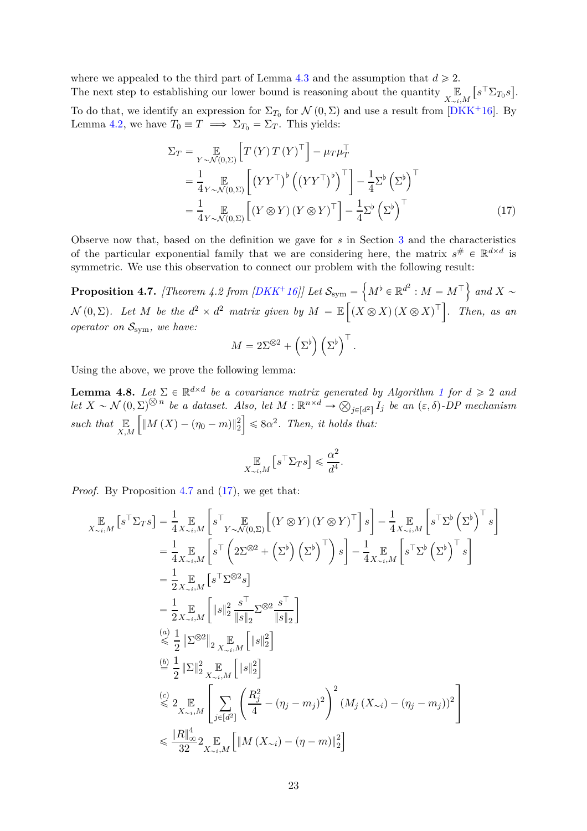<span id="page-22-3"></span>where we appealed to the third part of Lemma [4.3](#page-18-0) and the assumption that  $d \geq 2$ . The next step to establishing our lower bound is reasoning about the quantity  $\mathbb{E}$  $X_{\sim i}$ , *M*  $[s^{\top} \Sigma_{T_0} s]$ . To do that, we identify an expression for  $\Sigma_{T_0}$  for  $\mathcal{N}(0,\Sigma)$  and use a result from [\[DKK](#page-30-11)<sup>+</sup>16]. By Lemma [4.2,](#page-18-1) we have  $T_0 \equiv T \implies \Sigma_{T_0} = \Sigma_T$ . This yields:

$$
\Sigma_T = \mathop{\mathbb{E}}_{Y \sim \mathcal{N}(0,\Sigma)} \left[ T(Y) T(Y)^\top \right] - \mu_T \mu_T^\top
$$
  
\n
$$
= \frac{1}{4} \mathop{\mathbb{E}}_{Y \sim \mathcal{N}(0,\Sigma)} \left[ \left( Y Y^\top \right)^{\flat} \left( \left( Y Y^\top \right)^{\flat} \right)^\top \right] - \frac{1}{4} \Sigma^{\flat} \left( \Sigma^{\flat} \right)^\top
$$
  
\n
$$
= \frac{1}{4} \mathop{\mathbb{E}}_{Y \sim \mathcal{N}(0,\Sigma)} \left[ \left( Y \otimes Y \right) \left( Y \otimes Y \right)^\top \right] - \frac{1}{4} \Sigma^{\flat} \left( \Sigma^{\flat} \right)^\top
$$
(17)

Observe now that, based on the definition we gave for *s* in Section [3](#page-7-1) and the characteristics of the particular exponential family that we are considering here, the matrix  $s^{\#} \in \mathbb{R}^{d \times d}$  is symmetric. We use this observation to connect our problem with the following result:

<span id="page-22-0"></span> $\textbf{Proposition 4.7.} \ \textit{[Theorem 4.2 from [DKK^+16]]} \ \textit{Let} \ \mathcal{S}_{\text{sym}}=\left\{M^{\flat}\in\mathbb{R}^{d^2}: M=M^{\top}\right\} \ \textit{and}\ X\sim 0.$  $\textbf{Proposition 4.7.} \ \textit{[Theorem 4.2 from [DKK^+16]]} \ \textit{Let} \ \mathcal{S}_{\text{sym}}=\left\{M^{\flat}\in\mathbb{R}^{d^2}: M=M^{\top}\right\} \ \textit{and}\ X\sim 0.$  $\textbf{Proposition 4.7.} \ \textit{[Theorem 4.2 from [DKK^+16]]} \ \textit{Let} \ \mathcal{S}_{\text{sym}}=\left\{M^{\flat}\in\mathbb{R}^{d^2}: M=M^{\top}\right\} \ \textit{and}\ X\sim 0.$  $\mathcal{N}(0, \Sigma)$ . Let M be the  $d^2 \times d^2$  matrix given by  $M = \mathbb{E}\left[\left(X \otimes X\right)\left(X \otimes X\right)^{\top}\right]$ . Then, as an *operator on* Ssym*, we have:*

<span id="page-22-1"></span>
$$
M = 2\Sigma^{\otimes 2} + \left(\Sigma^{\flat}\right)\left(\Sigma^{\flat}\right)^{\top}.
$$

Using the above, we prove the following lemma:

<span id="page-22-2"></span>**Lemma 4.8.** Let  $\Sigma \in \mathbb{R}^{d \times d}$  be a covariance matrix generated by Algorithm [1](#page-19-0) for  $d \geq 2$  and *let*  $X \sim \mathcal{N}(0, \Sigma)^{\otimes n}$  *be a dataset. Also, let*  $M : \mathbb{R}^{n \times d} \to \bigotimes_{j \in [d^2]} I_j$  *be an*  $(\varepsilon, \delta)$ -DP mechanism *such that* E *X,M*  $\int \|M(X) - (\eta_0 - m)\|_2^2$  $\leq 8\alpha^2$ . Then, it holds that:

$$
\mathop{\mathbb{E}}_{X \sim i, M} \left[ s^\top \Sigma_T s \right] \leqslant \frac{\alpha^2}{d^4}
$$

*.*

*Proof.* By Proposition [4.7](#page-22-0) and [\(17\)](#page-22-1), we get that:

$$
\mathbb{E}_{X \sim i,M} \left[ s^{\top} \Sigma_{T} s \right] = \frac{1}{4} \mathbb{E}_{X \sim i,M} \left[ s^{\top} \mathbb{E}_{Y \sim \mathcal{N}(0,\Sigma)} \left[ (Y \otimes Y) (Y \otimes Y)^{\top} \right] s \right] - \frac{1}{4} \mathbb{E}_{X \sim i,M} \left[ s^{\top} \Sigma^{b} \left( \Sigma^{b} \right)^{\top} s \right]
$$
\n
$$
= \frac{1}{4} \mathbb{E}_{X \sim i,M} \left[ s^{\top} \left( 2\Sigma^{\otimes 2} + \left( \Sigma^{b} \right) \left( \Sigma^{b} \right)^{\top} \right) s \right] - \frac{1}{4} \mathbb{E}_{X \sim i,M} \left[ s^{\top} \Sigma^{b} \left( \Sigma^{b} \right)^{\top} s \right]
$$
\n
$$
= \frac{1}{2} \mathbb{E}_{X \sim i,M} \left[ s^{\top} \Sigma^{\otimes 2} s \right]
$$
\n
$$
= \frac{1}{2} \mathbb{E}_{X \sim i,M} \left[ \left. s \right|_{2}^{2} \frac{s^{\top}}{\left| s \right|_{2}^{2}} \Sigma^{\otimes 2} \frac{s^{\top}}{\left| s \right|_{2}^{2}} \right]
$$
\n
$$
\stackrel{(a)}{\leq} \frac{1}{2} \left\| \Sigma^{\otimes 2} \right\|_{2} \mathbb{E}_{X \sim i,M} \left[ \left. \left. s \right|_{2}^{2} \right]
$$
\n
$$
\stackrel{(b)}{=} \frac{1}{2} \left\| \Sigma \right\|_{2}^{2} \mathbb{E}_{X \sim i,M} \left[ \left. \left. s \right|_{2}^{2} \right]
$$
\n
$$
\stackrel{(c)}{\leq} 2 \mathbb{E}_{X \sim i,M} \left[ \sum_{j \in [d^{2}] } \left( \frac{R_{j}^{2}}{4} - (\eta_{j} - m_{j})^{2} \right)^{2} (M_{j} \left( X_{\sim i} \right) - (\eta_{j} - m_{j})^{2} \right]
$$
\n
$$
\leq \frac{\left| R \right|_{\infty}^{4}}{32} 2 \mathbb{E}_{X \sim i,M} \left[ \left| M \left
$$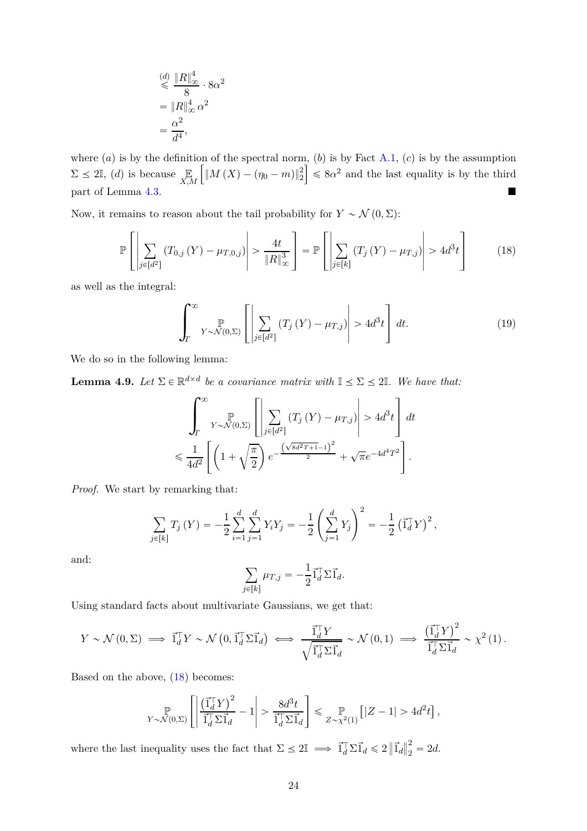$$
\stackrel{(d)}{\leq} \frac{\|R\|_{\infty}^4}{8} \cdot 8\alpha^2
$$

$$
= \|R\|_{\infty}^4 \alpha^2
$$

$$
= \frac{\alpha^2}{d^4},
$$

where  $(a)$  is by the definition of the spectral norm,  $(b)$  is by Fact [A.1,](#page-33-4)  $(c)$  is by the assumption  $\Sigma \leq 2\mathbb{I}$ , *(d)* is because  $\mathbb{E}$ <sub>*X,M*</sub>  $\int \|M(X) - (\eta_0 - m)\|_2^2$  $\left| \leqslant 8\alpha^2 \right|$  and the last equality is by the third part of Lemma [4.3.](#page-18-0)

Now, it remains to reason about the tail probability for  $Y \sim \mathcal{N}(0, \Sigma)$ :

$$
\mathbb{P}\left[\left|\sum_{j\in[d^2]} \left(T_{0,j}\left(Y\right) - \mu_{T,0,j}\right)\right| > \frac{4t}{\|R\|_{\infty}^3}\right] = \mathbb{P}\left[\left|\sum_{j\in[k]} \left(T_j\left(Y\right) - \mu_{T,j}\right)\right| > 4d^3t\right] \tag{18}
$$

as well as the integral:

<span id="page-23-0"></span>
$$
\int_{T}^{\infty} \sum_{Y \sim \mathcal{N}(0,\Sigma)} \left[ \left| \sum_{j \in [d^2]} \left( T_j \left( Y \right) - \mu_{T,j} \right) \right| > 4d^3t \right] dt. \tag{19}
$$

We do so in the following lemma:

<span id="page-23-1"></span>**Lemma 4.9.** *Let*  $\Sigma \in \mathbb{R}^{d \times d}$  *be a covariance matrix with*  $\mathbb{I} \leq \Sigma \leq 2\mathbb{I}$ *. We have that:* 

$$
\int_{T}^{\infty} \sum_{Y \sim \mathcal{N}(0,\Sigma)} \left[ \left| \sum_{j \in [d^2]} (T_j(Y) - \mu_{T,j}) \right| > 4d^3t \right] dt
$$
  

$$
\leq \frac{1}{4d^2} \left[ \left( 1 + \sqrt{\frac{\pi}{2}} \right) e^{-\frac{\left( \sqrt{8d^2T + 1} - 1 \right)^2}{2}} + \sqrt{\pi} e^{-4d^4T^2} \right].
$$

*Proof.* We start by remarking that:

$$
\sum_{j \in [k]} T_j(Y) = -\frac{1}{2} \sum_{i=1}^d \sum_{j=1}^d Y_i Y_j = -\frac{1}{2} \left( \sum_{j=1}^d Y_j \right)^2 = -\frac{1}{2} \left( \vec{1}_d^T Y \right)^2,
$$

and:

$$
\sum_{j\in[k]} \mu_{T,j} = -\frac{1}{2} \vec{1}_d^{\top} \Sigma \vec{1}_d.
$$

Using standard facts about multivariate Gaussians, we get that:

$$
Y \sim \mathcal{N}(0, \Sigma) \implies \vec{1}_d^{\top} Y \sim \mathcal{N}\left(0, \vec{1}_d^{\top} \Sigma \vec{1}_d\right) \iff \frac{\vec{1}_d^{\top} Y}{\sqrt{\vec{1}_d^{\top} \Sigma \vec{1}_d}} \sim \mathcal{N}\left(0, 1\right) \implies \frac{\left(\vec{1}_d^{\top} Y\right)^2}{\vec{1}_d^{\top} \Sigma \vec{1}_d} \sim \chi^2\left(1\right).
$$

Based on the above, [\(18\)](#page-23-0) becomes:

$$
\mathbb{P}_{Y \sim \mathcal{N}(0, \Sigma)} \left[ \left| \frac{\left(\vec{1}_d^{\top} Y\right)^2}{\vec{1}_d^{\top} \Sigma \vec{1}_d} - 1 \right| > \frac{8d^3 t}{\vec{1}_d^{\top} \Sigma \vec{1}_d} \right] \leq \mathbb{P}_{Z \sim \chi^2(1)} \left[ |Z - 1| > 4d^2 t \right],
$$

where the last inequality uses the fact that  $\Sigma \leq 2\mathbb{I} \implies \vec{1}_d^{\top} \Sigma \vec{1}_d \leq 2 \|\vec{1}_d\|$ 2  $\frac{2}{2} = 2d.$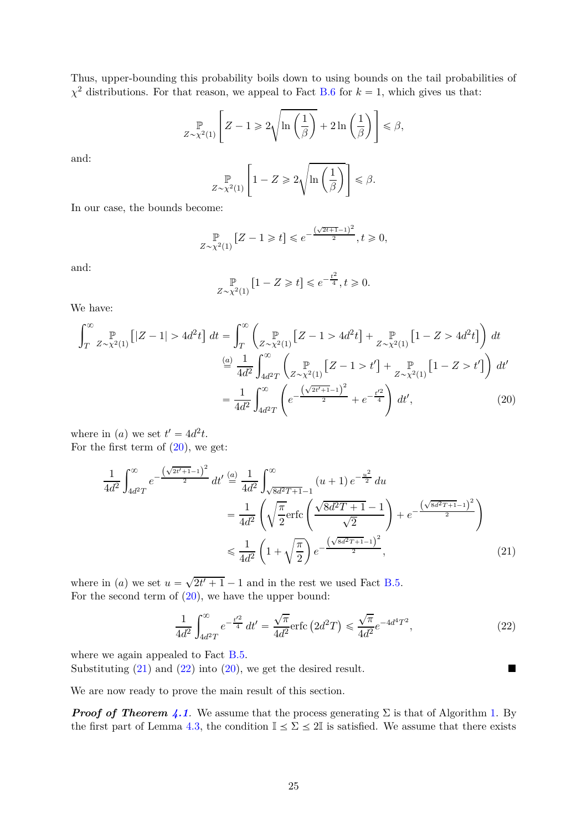Thus, upper-bounding this probability boils down to using bounds on the tail probabilities of  $\chi^2$  distributions. For that reason, we appeal to Fact [B.6](#page-35-1) for  $k = 1$ , which gives us that:

$$
\mathbb{P}_{Z \sim \chi^2(1)} \left[ Z - 1 \geq 2 \sqrt{\ln \left( \frac{1}{\beta} \right)} + 2 \ln \left( \frac{1}{\beta} \right) \right] \leq \beta,
$$

and:

$$
\mathbb{P}_{Z \sim \chi^2(1)} \left[ 1 - Z \geq 2 \sqrt{\ln \left( \frac{1}{\beta} \right)} \right] \leq \beta.
$$

In our case, the bounds become:

$$
\mathbb{P}_{Z \sim \chi^2(1)} \left[ Z - 1 \geq t \right] \leq e^{-\frac{(\sqrt{2t+1}-1)^2}{2}}, t \geq 0,
$$

and:

<span id="page-24-0"></span>
$$
\mathop{\mathbb P}_{Z\sim\chi^2(1)}\left[1-Z\geqslant t\right]\leqslant e^{-\frac{t^2}{4}}, t\geqslant 0.
$$

We have:

$$
\int_{T}^{\infty} \mathbb{P}_{Z \sim \chi^{2}(1)} \left[ |Z - 1| > 4d^{2}t \right] dt = \int_{T}^{\infty} \left( \mathbb{P}_{Z \sim \chi^{2}(1)} \left[ Z - 1 > 4d^{2}t \right] + \mathbb{P}_{Z \sim \chi^{2}(1)} \left[ 1 - Z > 4d^{2}t \right] \right) dt
$$

$$
\stackrel{(a)}{=} \frac{1}{4d^{2}} \int_{4d^{2}T}^{\infty} \left( \mathbb{P}_{Z \sim \chi^{2}(1)} \left[ Z - 1 > t' \right] + \mathbb{P}_{Z \sim \chi^{2}(1)} \left[ 1 - Z > t' \right] \right) dt'
$$

$$
= \frac{1}{4d^{2}} \int_{4d^{2}T}^{\infty} \left( e^{-\frac{\left( \sqrt{2t' + 1} - 1 \right)^{2}}{2}} + e^{-\frac{t'^{2}}{4}} \right) dt', \tag{20}
$$

where in (*a*) we set  $t' = 4d^2t$ . For the first term of  $(20)$ , we get:

$$
\frac{1}{4d^2} \int_{4d^2T}^{\infty} e^{-\frac{(\sqrt{2t'+1}-1)^2}{2}} dt' \stackrel{(a)}{=} \frac{1}{4d^2} \int_{\sqrt{8d^2T+1}-1}^{\infty} (u+1) e^{-\frac{u^2}{2}} du
$$
\n
$$
= \frac{1}{4d^2} \left( \sqrt{\frac{\pi}{2}} \text{erfc} \left( \frac{\sqrt{8d^2T+1}-1}{\sqrt{2}} \right) + e^{-\frac{(\sqrt{8d^2T+1}-1)^2}{2}} \right)
$$
\n
$$
\leq \frac{1}{4d^2} \left( 1 + \sqrt{\frac{\pi}{2}} \right) e^{-\frac{(\sqrt{8d^2T+1}-1)^2}{2}}, \tag{21}
$$

where in (*a*) we set  $u = \sqrt{2t' + 1} - 1$  and in the rest we used Fact [B.5.](#page-35-2) For the second term of  $(20)$ , we have the upper bound:

<span id="page-24-2"></span><span id="page-24-1"></span>
$$
\frac{1}{4d^2} \int_{4d^2T}^{\infty} e^{-\frac{t'^2}{4}} dt' = \frac{\sqrt{\pi}}{4d^2} \text{erfc}\left(2d^2T\right) \leq \frac{\sqrt{\pi}}{4d^2} e^{-4d^4T^2},\tag{22}
$$

where we again appealed to Fact [B.5.](#page-35-2)

Substituting  $(21)$  and  $(22)$  into  $(20)$ , we get the desired result.

We are now ready to prove the main result of this section.

*Proof of Theorem [4.1](#page-17-3).* We assume that the process generating  $\Sigma$  is that of Algorithm [1.](#page-19-0) By the first part of Lemma [4.3,](#page-18-0) the condition  $\mathbb{I} \leq \Sigma \leq 2\mathbb{I}$  is satisfied. We assume that there exists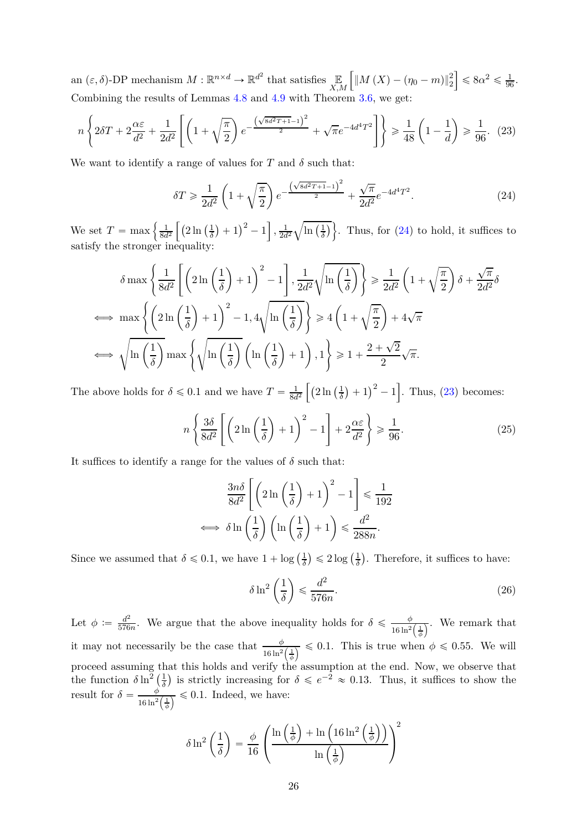an  $(\varepsilon, \delta)$ -DP mechanism  $M : \mathbb{R}^{n \times d} \to \mathbb{R}^{d^2}$  that satisfies  $\mathbb{E}_{X,M}$  $\int \|M(X) - (\eta_0 - m)\|_2^2$  $\leq 8\alpha^2 \leq \frac{1}{96}.$ Combining the results of Lemmas [4.8](#page-22-2) and [4.9](#page-23-1) with Theorem [3.6,](#page-16-0) we get:

$$
n\left\{2\delta T + 2\frac{\alpha\varepsilon}{d^2} + \frac{1}{2d^2} \left[ \left(1 + \sqrt{\frac{\pi}{2}}\right) e^{-\frac{\left(\sqrt{8d^2T + 1} - 1\right)^2}{2}} + \sqrt{\pi}e^{-4d^4T^2} \right] \right\} \geq \frac{1}{48} \left(1 - \frac{1}{d}\right) \geq \frac{1}{96}.\tag{23}
$$

We want to identify a range of values for  $T$  and  $\delta$  such that:

<span id="page-25-1"></span><span id="page-25-0"></span>
$$
\delta T \ge \frac{1}{2d^2} \left( 1 + \sqrt{\frac{\pi}{2}} \right) e^{-\frac{\left(\sqrt{8d^2 T + 1} - 1\right)^2}{2}} + \frac{\sqrt{\pi}}{2d^2} e^{-4d^4 T^2}.
$$
 (24)

We set  $T = \max \left\{ \frac{1}{8d^2} \left[ \left( 2 \ln \left( \frac{1}{\delta} \right) \right) \right] \right\}$  $\frac{1}{\delta}$ ) + 1)<sup>2</sup> - 1 ,  $\frac{1}{2d^2}$  $\sqrt{\ln\left(\frac{1}{\delta}\right)}$  $\left\{\frac{1}{\delta}\right\}$ . Thus, for [\(24\)](#page-25-0) to hold, it suffices to satisfy the stronger inequality:

$$
\delta \max \left\{ \frac{1}{8d^2} \left[ \left( 2 \ln \left( \frac{1}{\delta} \right) + 1 \right)^2 - 1 \right], \frac{1}{2d^2} \sqrt{\ln \left( \frac{1}{\delta} \right)} \right\} \ge \frac{1}{2d^2} \left( 1 + \sqrt{\frac{\pi}{2}} \right) \delta + \frac{\sqrt{\pi}}{2d^2} \delta
$$
  

$$
\iff \max \left\{ \left( 2 \ln \left( \frac{1}{\delta} \right) + 1 \right)^2 - 1, 4 \sqrt{\ln \left( \frac{1}{\delta} \right)} \right\} \ge 4 \left( 1 + \sqrt{\frac{\pi}{2}} \right) + 4\sqrt{\pi}
$$
  

$$
\iff \sqrt{\ln \left( \frac{1}{\delta} \right)} \max \left\{ \sqrt{\ln \left( \frac{1}{\delta} \right)} \left( \ln \left( \frac{1}{\delta} \right) + 1 \right), 1 \right\} \ge 1 + \frac{2 + \sqrt{2}}{2} \sqrt{\pi}.
$$

The above holds for  $\delta \leq 0.1$  and we have  $T = \frac{1}{8d^2} \left[ \left( 2 \ln \left( \frac{1}{\delta} \right) \right)$  $(\frac{1}{\delta}) + 1)^2 - 1$ . Thus, [\(23\)](#page-25-1) becomes:

$$
n\left\{\frac{3\delta}{8d^2}\left[\left(2\ln\left(\frac{1}{\delta}\right)+1\right)^2-1\right]+2\frac{\alpha\varepsilon}{d^2}\right\}\geqslant\frac{1}{96}.\tag{25}
$$

It suffices to identify a range for the values of  $\delta$  such that:

$$
\frac{3n\delta}{8d^2} \left[ \left( 2\ln\left(\frac{1}{\delta}\right) + 1 \right)^2 - 1 \right] \le \frac{1}{192}
$$
  

$$
\iff \delta \ln\left(\frac{1}{\delta}\right) \left( \ln\left(\frac{1}{\delta}\right) + 1 \right) \le \frac{d^2}{288n}.
$$

Since we assumed that  $\delta \leq 0.1$ , we have  $1 + \log \left( \frac{1}{\delta} \right)$  $\frac{1}{\delta}$ )  $\leqslant 2 \log \left( \frac{1}{\delta} \right)$  $\frac{1}{\delta}$ ). Therefore, it suffices to have:

<span id="page-25-2"></span>
$$
\delta \ln^2 \left( \frac{1}{\delta} \right) \leqslant \frac{d^2}{576n}.
$$
\n(26)

Let  $\phi := \frac{d^2}{576}$  $\frac{d^2}{576n}$ . We argue that the above inequality holds for  $\delta \leq \frac{\phi}{16 \ln^2}$  $\frac{\varphi}{16 \ln^2\left(\frac{1}{\phi}\right)}$ . We remark that it may not necessarily be the case that  $\frac{\phi}{16 \ln^2(\frac{1}{\phi})} \leq 0.1$ . This is true when  $\phi \leq 0.55$ . We will proceed assuming that this holds and verify the assumption at the end. Now, we observe that the function  $\delta \ln^2 \left(\frac{1}{\delta}\right)$  $\frac{1}{\delta}$ ) is strictly increasing for  $\delta \leqslant e^{-2} \approx 0.13$ . Thus, it suffices to show the result for  $\delta = \frac{\phi}{16 \ln^2}$  $\frac{\varphi}{16 \ln^2(\frac{1}{\phi})} \leq 0.1$ . Indeed, we have:

$$
\delta \ln^2\left(\frac{1}{\delta}\right) = \frac{\phi}{16} \left(\frac{\ln\left(\frac{1}{\phi}\right) + \ln\left(16\ln^2\left(\frac{1}{\phi}\right)\right)}{\ln\left(\frac{1}{\phi}\right)}\right)^2
$$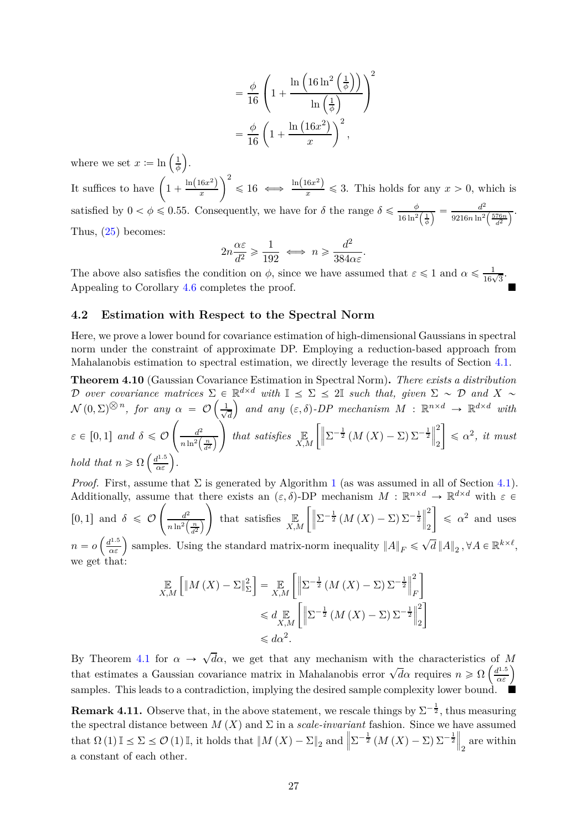$$
= \frac{\phi}{16} \left( 1 + \frac{\ln\left(16\ln^2\left(\frac{1}{\phi}\right)\right)}{\ln\left(\frac{1}{\phi}\right)} \right)^2
$$

$$
= \frac{\phi}{16} \left( 1 + \frac{\ln\left(16x^2\right)}{x} \right)^2,
$$

where we set  $x \coloneqq \ln\left(\frac{1}{\phi}\right)$ *φ* ¯ .

It suffices to have  $\left(1 + \frac{\ln(16x^2)}{x}\right)$  $\setminus^2$  $\leq 16 \iff \frac{\ln(16x^2)}{x} \leq 3$ . This holds for any  $x > 0$ , which is satisfied by  $0 < \phi \le 0.55$ . Consequently, we have for  $\delta$  the range  $\delta \le \frac{\phi}{16 \ln^2}$  $\frac{\phi}{16 \ln^2 \left(\frac{1}{\phi}\right)} = \frac{d^2}{9216n \ln^2}$  $9216n\ln^2\left(\frac{576n}{d^2}\right)$  $\overline{a}$ . Thus, [\(25\)](#page-25-2) becomes:

$$
2n \frac{\alpha \varepsilon}{d^2} \geqslant \frac{1}{192} \iff n \geqslant \frac{d^2}{384\alpha \varepsilon}.
$$

The above also satisfies the condition on  $\phi$ , since we have assumed that  $\varepsilon \leq 1$  and  $\alpha \leq \frac{1}{16\sqrt{3}}$ . Appealing to Corollary [4.6](#page-21-2) completes the proof.

### <span id="page-26-0"></span>**4.2 Estimation with Respect to the Spectral Norm**

Here, we prove a lower bound for covariance estimation of high-dimensional Gaussians in spectral norm under the constraint of approximate DP. Employing a reduction-based approach from Mahalanobis estimation to spectral estimation, we directly leverage the results of Section [4.1.](#page-17-1)

<span id="page-26-1"></span>**Theorem 4.10** (Gaussian Covariance Estimation in Spectral Norm)**.** *There exists a distribution* D over covariance matrices  $\Sigma \in \mathbb{R}^{d \times d}$  with  $\mathbb{I} \leq \Sigma \leq 2\mathbb{I}$  such that, given  $\Sigma \sim \mathcal{D}$  and  $X \sim$  $\mathcal{N}(0,\Sigma)^{\bigotimes n}$ , for any  $\alpha = \mathcal{O}\left(\frac{1}{\sqrt{n}}\right)$ *d*  $\left( \begin{array}{cc} \partial \partial \end{array} \right)$  and any  $(\varepsilon, \delta)$ -DP mechanism  $M : \mathbb{R}^{n \times d} \rightarrow \mathbb{R}^{d \times d}$  with

$$
\varepsilon \in [0,1] \text{ and } \delta \leq \mathcal{O}\left(\frac{d^2}{n\ln^2\left(\frac{n}{d^2}\right)}\right) \text{ that satisfies } \mathbb{E}_{X,M}\left[\left\|\Sigma^{-\frac{1}{2}}\left(M\left(X\right)-\Sigma\right)\Sigma^{-\frac{1}{2}}\right\|_2^2\right] \leq \alpha^2, \text{ it must hold that } n \geq \Omega\left(\frac{d^{1.5}}{\alpha \varepsilon}\right).
$$

*Proof.* First, assume that  $\Sigma$  is generated by Algorithm [1](#page-19-0) (as was assumed in all of Section [4.1\)](#page-17-1). Additionally, assume that there exists an  $(\varepsilon, \delta)$ -DP mechanism  $M : \mathbb{R}^{n \times d} \to \mathbb{R}^{d \times d}$  with  $\varepsilon \in$  $[0,1]$  and  $\delta \leqslant \mathcal{O}$  $\int$   $d^2$  $n \ln^2\left(\frac{n}{d^2}\right)$ ¯  $\setminus$ that satisfies  $\mathbb{E}_{X,M} \left[ \left\| \Sigma^{-\frac{1}{2}} \left( M \left( X \right) - \Sigma \right) \Sigma^{-\frac{1}{2}} \right\| \right]$ 2 2  $\overline{1}$  $\leq \alpha^2$  and uses  $n = o\left(\frac{d^{1.5}}{\alpha \varepsilon}\right)$  samples. Using the standard matrix-norm inequality  $||A||_F \le \sqrt{d} ||A||_2$ ,  $\forall A \in \mathbb{R}^{k \times \ell}$ , we get that:

$$
\mathbb{E}_{X,M} \left[ \left\| M \left( X \right) - \Sigma \right\|_{\Sigma}^{2} \right] = \mathbb{E}_{X,M} \left[ \left\| \Sigma^{-\frac{1}{2}} \left( M \left( X \right) - \Sigma \right) \Sigma^{-\frac{1}{2}} \right\|_{F}^{2} \right] \leq d \mathbb{E}_{X,M} \left[ \left\| \Sigma^{-\frac{1}{2}} \left( M \left( X \right) - \Sigma \right) \Sigma^{-\frac{1}{2}} \right\|_{2}^{2} \right] \leq d\alpha^{2}.
$$

By Theorem [4.1](#page-17-3) for  $\alpha \to \sqrt{d\alpha}$ , we get that any mechanism with the characteristics of *M* that estimates a Gaussian covariance matrix in Mahalanobis error  $\sqrt{d}$  requires  $n \ge \Omega\left(\frac{d^{1.5}}{\alpha \varepsilon}\right)$ samples. This leads to a contradiction, implying the desired sample complexity lower bound.

**Remark 4.11.** Observe that, in the above statement, we rescale things by  $\Sigma^{-\frac{1}{2}}$ , thus measuring the spectral distance between  $M(X)$  and  $\Sigma$  in a *scale-invariant* fashion. Since we have assumed that  $\Omega(1) \mathbb{I} \leq \Sigma \leq \mathcal{O}(1) \mathbb{I}$ , it holds that  $\|M(X) - \Sigma\|_2$  and  $\left\|\Sigma^{-\frac{1}{2}}(M(X) - \Sigma)\Sigma^{-\frac{1}{2}}\right\|_2$  are within a constant of each other.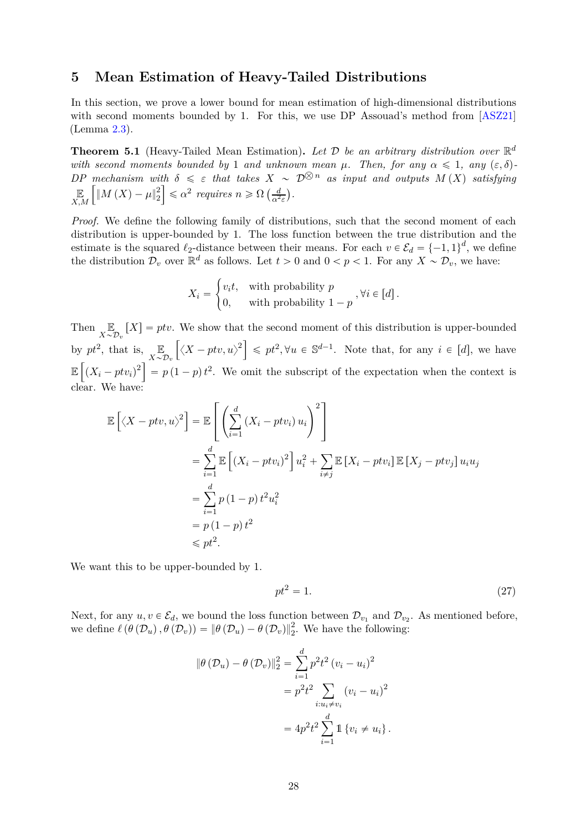### <span id="page-27-3"></span><span id="page-27-0"></span>**5 Mean Estimation of Heavy-Tailed Distributions**

In this section, we prove a lower bound for mean estimation of high-dimensional distributions with second moments bounded by 1. For this, we use DP Assouad's method from [\[ASZ21\]](#page-29-0) (Lemma [2.3\)](#page-6-2).

<span id="page-27-2"></span>**Theorem 5.1** (Heavy-Tailed Mean Estimation). Let  $D$  be an arbitrary distribution over  $\mathbb{R}^d$ *with second moments bounded by* 1 *and unknown mean*  $\mu$ . Then, for any  $\alpha \leq 1$ , any  $(\varepsilon, \delta)$ - $DP$  mechanism with  $\delta \leq \varepsilon$  that takes  $X \sim \mathcal{D}^{\bigotimes n}$  as input and outputs  $M(X)$  satisfying E *X,M*  $\int_M |M(X) - \mu|_2^2$ 2  $\leq \alpha^2$  *requires*  $n \geq \Omega\left(\frac{d}{\alpha^2 \varepsilon}\right)$ .

*Proof.* We define the following family of distributions, such that the second moment of each distribution is upper-bounded by 1. The loss function between the true distribution and the estimate is the squared  $\ell_2$ -distance between their means. For each  $v \in \mathcal{E}_d = \{-1,1\}^d$ , we define the distribution  $\mathcal{D}_v$  over  $\mathbb{R}^d$  as follows. Let  $t > 0$  and  $0 < p < 1$ . For any  $X \sim \mathcal{D}_v$ , we have:

$$
X_i = \begin{cases} v_i t, & \text{with probability } p \\ 0, & \text{with probability } 1 - p \end{cases}, \forall i \in [d].
$$

Then  $\mathbb{E}_{X \sim \mathcal{D}_n}[X] = ptv$ . We show that the second moment of this distribution is upper-bounded  $X \sim \mathcal{D}_v$ by  $pt^2$ , that is,  $\mathbb{E}$  $X \sim \mathcal{D}_v$  $\left[ \langle X - ptv, u \rangle^2 \right] \leqslant pt^2, \forall u \in \mathbb{S}^{d-1}$ . Note that, for any  $i \in [d]$ , we have  $\mathbb{E}\left[\left(X_i - ptv_i\right)^2\right] = p(1-p)t^2$ . We omit the subscript of the expectation when the context is clear. We have:

$$
\mathbb{E}\left[\langle X - ptv, u \rangle^2\right] = \mathbb{E}\left[\left(\sum_{i=1}^d (X_i - ptv_i) u_i\right)^2\right]
$$
  
\n
$$
= \sum_{i=1}^d \mathbb{E}\left[(X_i - ptv_i)^2\right]u_i^2 + \sum_{i \neq j} \mathbb{E}\left[X_i - ptv_i\right]\mathbb{E}\left[X_j - ptv_j\right]u_iu_j
$$
  
\n
$$
= \sum_{i=1}^d p(1-p) t^2 u_i^2
$$
  
\n
$$
= p(1-p) t^2
$$
  
\n
$$
\leq pt^2.
$$

We want this to be upper-bounded by 1.

<span id="page-27-1"></span>
$$
pt^2 = 1.\t\t(27)
$$

Next, for any  $u, v \in \mathcal{E}_d$ , we bound the loss function between  $\mathcal{D}_{v_1}$  and  $\mathcal{D}_{v_2}$ . As mentioned before, we define  $\ell(\theta(\mathcal{D}_u), \theta(\mathcal{D}_v)) = ||\theta(\mathcal{D}_u) - \theta(\mathcal{D}_v)||_2^2$ . We have the following:

$$
\|\theta(\mathcal{D}_u) - \theta(\mathcal{D}_v)\|_2^2 = \sum_{i=1}^d p^2 t^2 (v_i - u_i)^2
$$
  
=  $p^2 t^2 \sum_{i: u_i \neq v_i} (v_i - u_i)^2$   
=  $4p^2 t^2 \sum_{i=1}^d \mathbb{1} \{v_i \neq u_i\}.$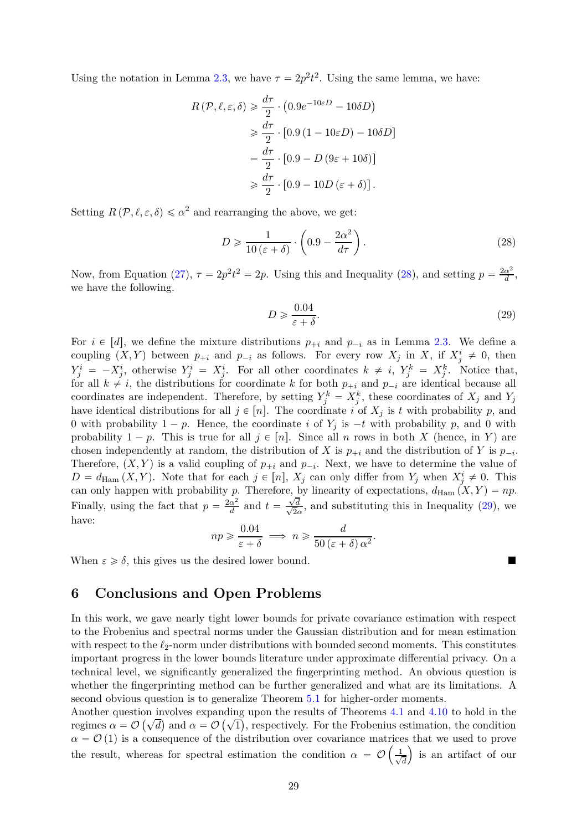Using the notation in Lemma [2.3,](#page-6-2) we have  $\tau = 2p^2t^2$ . Using the same lemma, we have:

$$
R(\mathcal{P}, \ell, \varepsilon, \delta) \geq \frac{d\tau}{2} \cdot (0.9e^{-10\varepsilon D} - 10\delta D)
$$
  
\n
$$
\geq \frac{d\tau}{2} \cdot [0.9(1 - 10\varepsilon D) - 10\delta D]
$$
  
\n
$$
= \frac{d\tau}{2} \cdot [0.9 - D(9\varepsilon + 10\delta)]
$$
  
\n
$$
\geq \frac{d\tau}{2} \cdot [0.9 - 10D(\varepsilon + \delta)].
$$

Setting  $R(\mathcal{P}, \ell, \varepsilon, \delta) \leq \alpha^2$  and rearranging the above, we get:

$$
D \geqslant \frac{1}{10\left(\varepsilon + \delta\right)} \cdot \left(0.9 - \frac{2\alpha^2}{d\tau}\right). \tag{28}
$$

Now, from Equation [\(27\)](#page-27-1),  $\tau = 2p^2t^2 = 2p$ . Using this and Inequality [\(28\)](#page-28-1), and setting  $p = \frac{2\alpha^2}{d}$  $\frac{\alpha^2}{d}$ , we have the following.

<span id="page-28-2"></span><span id="page-28-1"></span>
$$
D \geqslant \frac{0.04}{\varepsilon + \delta}.\tag{29}
$$

For  $i \in [d]$ , we define the mixture distributions  $p_{+i}$  and  $p_{-i}$  as in Lemma [2.3.](#page-6-2) We define a coupling  $(X, Y)$  between  $p_{+i}$  and  $p_{-i}$  as follows. For every row  $X_j$  in  $X$ , if  $X_j^i \neq 0$ , then  $Y_j^i = -X_j^i$ , otherwise  $Y_j^i = X_j^i$ . For all other coordinates  $k \neq i$ ,  $Y_j^k = X_j^k$ . Notice that, for all  $k \neq i$ , the distributions for coordinate *k* for both  $p_{+i}$  and  $p_{-i}$  are identical because all coordinates are independent. Therefore, by setting  $Y_j^k = X_j^k$ , these coordinates of  $X_j$  and  $Y_j$ have identical distributions for all  $j \in [n]$ . The coordinate *i* of  $X_j$  is *t* with probability *p*, and 0 with probability  $1 - p$ . Hence, the coordinate *i* of  $Y_j$  is  $-t$  with probability *p*, and 0 with probability  $1 - p$ . This is true for all  $j \in [n]$ . Since all *n* rows in both *X* (hence, in *Y*) are chosen independently at random, the distribution of *X* is  $p_{+i}$  and the distribution of *Y* is  $p_{-i}$ . Therefore,  $(X, Y)$  is a valid coupling of  $p_{+i}$  and  $p_{-i}$ . Next, we have to determine the value of  $D = d_{\text{Ham}}(X, Y)$ . Note that for each  $j \in [n]$ ,  $X_j$  can only differ from  $Y_j$  when  $X_j^i \neq 0$ . This can only happen with probability *p*. Therefore, by linearity of expectations,  $d_{\text{Ham}}(X, Y) = np$ . Finally, using the fact that  $p = \frac{2\alpha^2}{d}$  $\frac{\alpha^2}{d}$  and  $t = \frac{\sqrt{2}}{\sqrt{2}}$  $\frac{\sqrt{d}}{\sqrt{2}}$  $\frac{2}{2\alpha}$ , and substituting this in Inequality [\(29\)](#page-28-2), we have:

$$
np \geqslant \frac{0.04}{\varepsilon + \delta} \implies n \geqslant \frac{d}{50\left(\varepsilon + \delta\right)\alpha^2}.
$$

When  $\varepsilon \geq \delta$ , this gives us the desired lower bound.

### <span id="page-28-0"></span>**6 Conclusions and Open Problems**

In this work, we gave nearly tight lower bounds for private covariance estimation with respect to the Frobenius and spectral norms under the Gaussian distribution and for mean estimation with respect to the  $\ell_2$ -norm under distributions with bounded second moments. This constitutes important progress in the lower bounds literature under approximate differential privacy. On a technical level, we significantly generalized the fingerprinting method. An obvious question is whether the fingerprinting method can be further generalized and what are its limitations. A second obvious question is to generalize Theorem [5.1](#page-27-2) for higher-order moments.

Another question involves expanding upon the results of Theorems [4.1](#page-17-3) and [4.10](#page-26-1) to hold in the regimes  $\alpha = \mathcal{O}(\sqrt{d})$  and  $\alpha = \mathcal{O}(\sqrt{1})$ , respectively. For the Frobenius estimation, the condition  $\alpha = \mathcal{O}(1)$  is a consequence of the distribution over covariance matrices that we used to prove the result, whereas for spectral estimation the condition  $\alpha = \mathcal{O}\left(\frac{1}{\sqrt{2}}\right)$ *d* ) is an artifact of our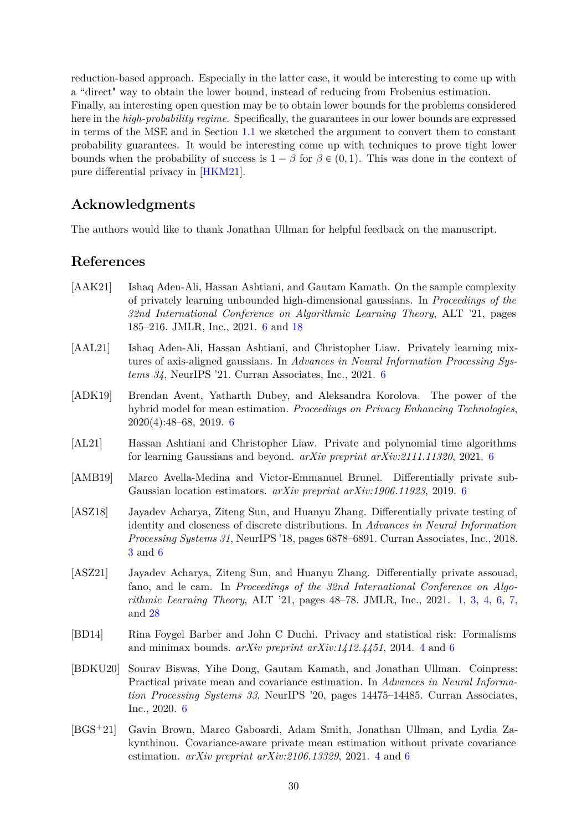<span id="page-29-10"></span>reduction-based approach. Especially in the latter case, it would be interesting to come up with a "direct" way to obtain the lower bound, instead of reducing from Frobenius estimation. Finally, an interesting open question may be to obtain lower bounds for the problems considered here in the *high-probability regime*. Specifically, the guarantees in our lower bounds are expressed in terms of the MSE and in Section [1.1](#page-2-1) we sketched the argument to convert them to constant probability guarantees. It would be interesting come up with techniques to prove tight lower bounds when the probability of success is  $1 - \beta$  for  $\beta \in (0,1)$ . This was done in the context of pure differential privacy in [\[HKM21\]](#page-31-5).

## **Acknowledgments**

The authors would like to thank Jonathan Ullman for helpful feedback on the manuscript.

### **References**

- <span id="page-29-5"></span>[AAK21] Ishaq Aden-Ali, Hassan Ashtiani, and Gautam Kamath. On the sample complexity of privately learning unbounded high-dimensional gaussians. In *Proceedings of the 32nd International Conference on Algorithmic Learning Theory*, ALT '21, pages 185–216. JMLR, Inc., 2021. [6](#page-5-1) and [18](#page-17-4)
- <span id="page-29-7"></span>[AAL21] Ishaq Aden-Ali, Hassan Ashtiani, and Christopher Liaw. Privately learning mixtures of axis-aligned gaussians. In *Advances in Neural Information Processing Systems 34*, NeurIPS '21. Curran Associates, Inc., 2021. [6](#page-5-1)
- <span id="page-29-9"></span>[ADK19] Brendan Avent, Yatharth Dubey, and Aleksandra Korolova. The power of the hybrid model for mean estimation. *Proceedings on Privacy Enhancing Technologies*, 2020(4):48–68, 2019. [6](#page-5-1)
- <span id="page-29-6"></span>[AL21] Hassan Ashtiani and Christopher Liaw. Private and polynomial time algorithms for learning Gaussians and beyond. *arXiv preprint arXiv:2111.11320*, 2021. [6](#page-5-1)
- <span id="page-29-8"></span>[AMB19] Marco Avella-Medina and Victor-Emmanuel Brunel. Differentially private sub-Gaussian location estimators. *arXiv preprint arXiv:1906.11923*, 2019. [6](#page-5-1)
- <span id="page-29-1"></span>[ASZ18] Jayadev Acharya, Ziteng Sun, and Huanyu Zhang. Differentially private testing of identity and closeness of discrete distributions. In *Advances in Neural Information Processing Systems 31*, NeurIPS '18, pages 6878–6891. Curran Associates, Inc., 2018. [3](#page-2-3) and [6](#page-5-1)
- <span id="page-29-0"></span>[ASZ21] Jayadev Acharya, Ziteng Sun, and Huanyu Zhang. Differentially private assouad, fano, and le cam. In *Proceedings of the 32nd International Conference on Algorithmic Learning Theory*, ALT '21, pages 48–78. JMLR, Inc., 2021. [1,](#page-0-0) [3,](#page-2-3) [4,](#page-3-1) [6,](#page-5-1) [7,](#page-6-3) and [28](#page-27-3)
- <span id="page-29-3"></span>[BD14] Rina Foygel Barber and John C Duchi. Privacy and statistical risk: Formalisms and minimax bounds. *arXiv preprint arXiv:1412.4451*, 2014. [4](#page-3-1) and [6](#page-5-1)
- <span id="page-29-4"></span>[BDKU20] Sourav Biswas, Yihe Dong, Gautam Kamath, and Jonathan Ullman. Coinpress: Practical private mean and covariance estimation. In *Advances in Neural Information Processing Systems 33*, NeurIPS '20, pages 14475–14485. Curran Associates, Inc., 2020. [6](#page-5-1)
- <span id="page-29-2"></span>[BGS`21] Gavin Brown, Marco Gaboardi, Adam Smith, Jonathan Ullman, and Lydia Zakynthinou. Covariance-aware private mean estimation without private covariance estimation. *arXiv preprint arXiv:2106.13329*, 2021. [4](#page-3-1) and [6](#page-5-1)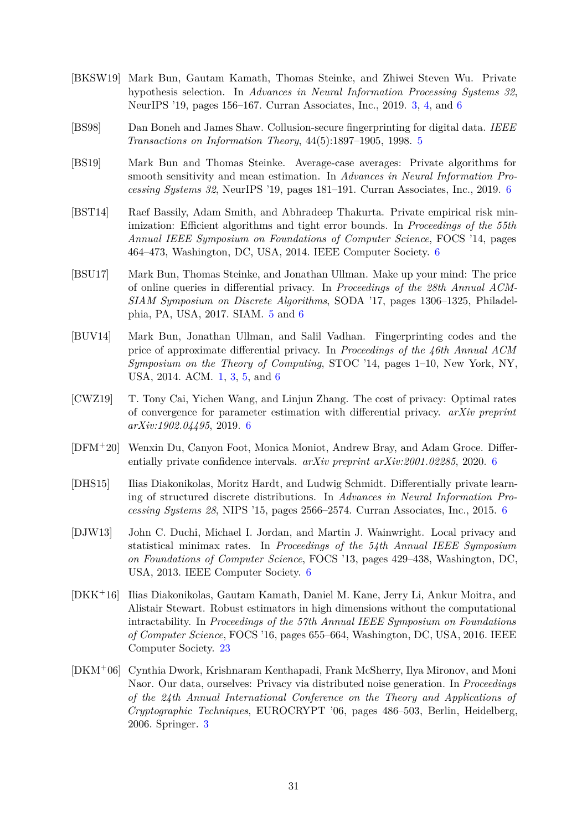- <span id="page-30-1"></span>[BKSW19] Mark Bun, Gautam Kamath, Thomas Steinke, and Zhiwei Steven Wu. Private hypothesis selection. In *Advances in Neural Information Processing Systems 32*, NeurIPS '19, pages 156–167. Curran Associates, Inc., 2019. [3,](#page-2-3) [4,](#page-3-1) and [6](#page-5-1)
- <span id="page-30-4"></span>[BS98] Dan Boneh and James Shaw. Collusion-secure fingerprinting for digital data. *IEEE Transactions on Information Theory*, 44(5):1897–1905, 1998. [5](#page-4-1)
- <span id="page-30-8"></span>[BS19] Mark Bun and Thomas Steinke. Average-case averages: Private algorithms for smooth sensitivity and mean estimation. In *Advances in Neural Information Processing Systems 32*, NeurIPS '19, pages 181–191. Curran Associates, Inc., 2019. [6](#page-5-1)
- <span id="page-30-6"></span>[BST14] Raef Bassily, Adam Smith, and Abhradeep Thakurta. Private empirical risk minimization: Efficient algorithms and tight error bounds. In *Proceedings of the 55th Annual IEEE Symposium on Foundations of Computer Science*, FOCS '14, pages 464–473, Washington, DC, USA, 2014. IEEE Computer Society. [6](#page-5-1)
- <span id="page-30-3"></span>[BSU17] Mark Bun, Thomas Steinke, and Jonathan Ullman. Make up your mind: The price of online queries in differential privacy. In *Proceedings of the 28th Annual ACM-SIAM Symposium on Discrete Algorithms*, SODA '17, pages 1306–1325, Philadelphia, PA, USA, 2017. SIAM. [5](#page-4-1) and [6](#page-5-1)
- <span id="page-30-0"></span>[BUV14] Mark Bun, Jonathan Ullman, and Salil Vadhan. Fingerprinting codes and the price of approximate differential privacy. In *Proceedings of the 46th Annual ACM Symposium on the Theory of Computing*, STOC '14, pages 1–10, New York, NY, USA, 2014. ACM. [1,](#page-0-0) [3,](#page-2-3) [5,](#page-4-1) and [6](#page-5-1)
- <span id="page-30-5"></span>[CWZ19] T. Tony Cai, Yichen Wang, and Linjun Zhang. The cost of privacy: Optimal rates of convergence for parameter estimation with differential privacy. *arXiv preprint arXiv:1902.04495*, 2019. [6](#page-5-1)
- <span id="page-30-9"></span>[DFM`20] Wenxin Du, Canyon Foot, Monica Moniot, Andrew Bray, and Adam Groce. Differentially private confidence intervals. *arXiv preprint arXiv:2001.02285*, 2020. [6](#page-5-1)
- <span id="page-30-10"></span>[DHS15] Ilias Diakonikolas, Moritz Hardt, and Ludwig Schmidt. Differentially private learning of structured discrete distributions. In *Advances in Neural Information Processing Systems 28*, NIPS '15, pages 2566–2574. Curran Associates, Inc., 2015. [6](#page-5-1)
- <span id="page-30-7"></span>[DJW13] John C. Duchi, Michael I. Jordan, and Martin J. Wainwright. Local privacy and statistical minimax rates. In *Proceedings of the 54th Annual IEEE Symposium on Foundations of Computer Science*, FOCS '13, pages 429–438, Washington, DC, USA, 2013. IEEE Computer Society. [6](#page-5-1)
- <span id="page-30-11"></span>[DKK`16] Ilias Diakonikolas, Gautam Kamath, Daniel M. Kane, Jerry Li, Ankur Moitra, and Alistair Stewart. Robust estimators in high dimensions without the computational intractability. In *Proceedings of the 57th Annual IEEE Symposium on Foundations of Computer Science*, FOCS '16, pages 655–664, Washington, DC, USA, 2016. IEEE Computer Society. [23](#page-22-3)
- <span id="page-30-2"></span>[DKM`06] Cynthia Dwork, Krishnaram Kenthapadi, Frank McSherry, Ilya Mironov, and Moni Naor. Our data, ourselves: Privacy via distributed noise generation. In *Proceedings of the 24th Annual International Conference on the Theory and Applications of Cryptographic Techniques*, EUROCRYPT '06, pages 486–503, Berlin, Heidelberg, 2006. Springer. [3](#page-2-3)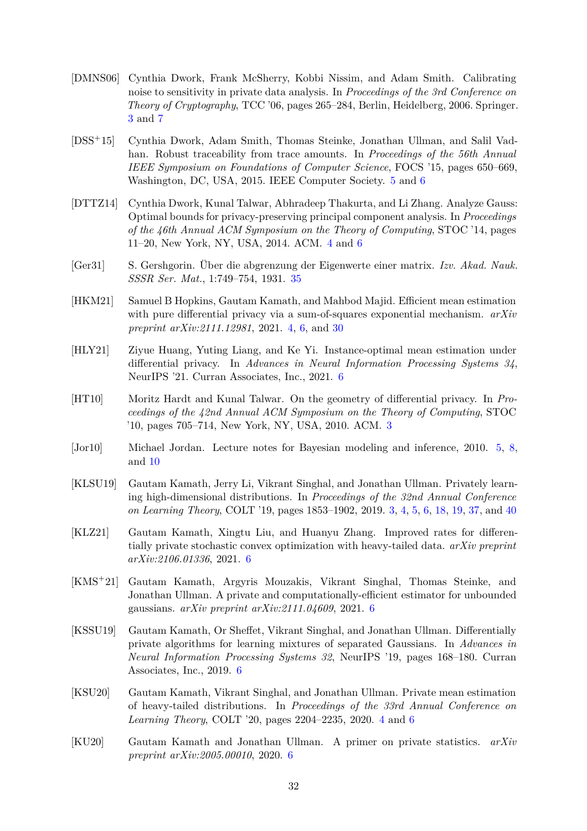- <span id="page-31-0"></span>[DMNS06] Cynthia Dwork, Frank McSherry, Kobbi Nissim, and Adam Smith. Calibrating noise to sensitivity in private data analysis. In *Proceedings of the 3rd Conference on Theory of Cryptography*, TCC '06, pages 265–284, Berlin, Heidelberg, 2006. Springer. [3](#page-2-3) and [7](#page-6-3)
- <span id="page-31-7"></span>[DSS<sup>+</sup>15] Cynthia Dwork, Adam Smith, Thomas Steinke, Jonathan Ullman, and Salil Vadhan. Robust traceability from trace amounts. In *Proceedings of the 56th Annual IEEE Symposium on Foundations of Computer Science*, FOCS '15, pages 650–669, Washington, DC, USA, 2015. IEEE Computer Society. [5](#page-4-1) and [6](#page-5-1)
- <span id="page-31-3"></span>[DTTZ14] Cynthia Dwork, Kunal Talwar, Abhradeep Thakurta, and Li Zhang. Analyze Gauss: Optimal bounds for privacy-preserving principal component analysis. In *Proceedings of the 46th Annual ACM Symposium on the Theory of Computing*, STOC '14, pages 11–20, New York, NY, USA, 2014. ACM. [4](#page-3-1) and [6](#page-5-1)
- <span id="page-31-13"></span>[Ger31] S. Gershgorin. Über die abgrenzung der Eigenwerte einer matrix. *Izv. Akad. Nauk. SSSR Ser. Mat.*, 1:749–754, 1931. [35](#page-34-4)
- <span id="page-31-5"></span>[HKM21] Samuel B Hopkins, Gautam Kamath, and Mahbod Majid. Efficient mean estimation with pure differential privacy via a sum-of-squares exponential mechanism. *arXiv preprint arXiv:2111.12981*, 2021. [4,](#page-3-1) [6,](#page-5-1) and [30](#page-29-10)
- <span id="page-31-9"></span>[HLY21] Ziyue Huang, Yuting Liang, and Ke Yi. Instance-optimal mean estimation under differential privacy. In *Advances in Neural Information Processing Systems 34*, NeurIPS '21. Curran Associates, Inc., 2021. [6](#page-5-1)
- <span id="page-31-1"></span>[HT10] Moritz Hardt and Kunal Talwar. On the geometry of differential privacy. In *Proceedings of the 42nd Annual ACM Symposium on the Theory of Computing*, STOC '10, pages 705–714, New York, NY, USA, 2010. ACM. [3](#page-2-3)
- <span id="page-31-6"></span>[Jor10] Michael Jordan. Lecture notes for Bayesian modeling and inference, 2010. [5,](#page-4-1) [8,](#page-7-4) and [10](#page-9-6)
- <span id="page-31-2"></span>[KLSU19] Gautam Kamath, Jerry Li, Vikrant Singhal, and Jonathan Ullman. Privately learning high-dimensional distributions. In *Proceedings of the 32nd Annual Conference on Learning Theory*, COLT '19, pages 1853–1902, 2019. [3,](#page-2-3) [4,](#page-3-1) [5,](#page-4-1) [6,](#page-5-1) [18,](#page-17-4) [19,](#page-18-2) [37,](#page-36-2) and [40](#page-39-0)
- <span id="page-31-8"></span>[KLZ21] Gautam Kamath, Xingtu Liu, and Huanyu Zhang. Improved rates for differentially private stochastic convex optimization with heavy-tailed data. *arXiv preprint arXiv:2106.01336*, 2021. [6](#page-5-1)
- <span id="page-31-10"></span>[KMS<sup>+</sup>21] Gautam Kamath, Argyris Mouzakis, Vikrant Singhal, Thomas Steinke, and Jonathan Ullman. A private and computationally-efficient estimator for unbounded gaussians. *arXiv preprint arXiv:2111.04609*, 2021. [6](#page-5-1)
- <span id="page-31-11"></span>[KSSU19] Gautam Kamath, Or Sheffet, Vikrant Singhal, and Jonathan Ullman. Differentially private algorithms for learning mixtures of separated Gaussians. In *Advances in Neural Information Processing Systems 32*, NeurIPS '19, pages 168–180. Curran Associates, Inc., 2019. [6](#page-5-1)
- <span id="page-31-4"></span>[KSU20] Gautam Kamath, Vikrant Singhal, and Jonathan Ullman. Private mean estimation of heavy-tailed distributions. In *Proceedings of the 33rd Annual Conference on Learning Theory*, COLT '20, pages 2204–2235, 2020. [4](#page-3-1) and [6](#page-5-1)
- <span id="page-31-12"></span>[KU20] Gautam Kamath and Jonathan Ullman. A primer on private statistics. *arXiv preprint arXiv:2005.00010*, 2020. [6](#page-5-1)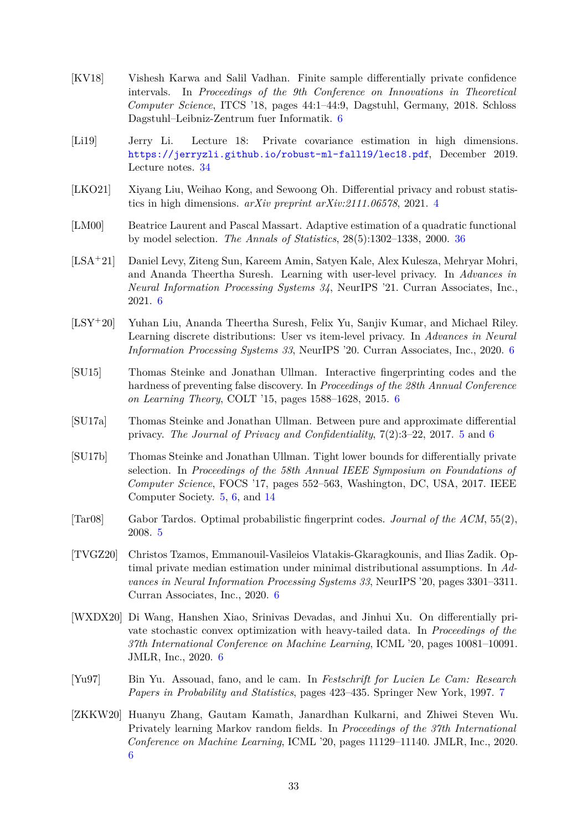- <span id="page-32-5"></span>[KV18] Vishesh Karwa and Salil Vadhan. Finite sample differentially private confidence intervals. In *Proceedings of the 9th Conference on Innovations in Theoretical Computer Science*, ITCS '18, pages 44:1–44:9, Dagstuhl, Germany, 2018. Schloss Dagstuhl–Leibniz-Zentrum fuer Informatik. [6](#page-5-1)
- <span id="page-32-12"></span>[Li19] Jerry Li. Lecture 18: Private covariance estimation in high dimensions. <https://jerryzli.github.io/robust-ml-fall19/lec18.pdf>, December 2019. Lecture notes. [34](#page-33-5)
- <span id="page-32-0"></span>[LKO21] Xiyang Liu, Weihao Kong, and Sewoong Oh. Differential privacy and robust statistics in high dimensions. *arXiv preprint arXiv:2111.06578*, 2021. [4](#page-3-1)
- <span id="page-32-13"></span>[LM00] Beatrice Laurent and Pascal Massart. Adaptive estimation of a quadratic functional by model selection. *The Annals of Statistics*, 28(5):1302–1338, 2000. [36](#page-35-3)
- <span id="page-32-10"></span>[LSA`21] Daniel Levy, Ziteng Sun, Kareem Amin, Satyen Kale, Alex Kulesza, Mehryar Mohri, and Ananda Theertha Suresh. Learning with user-level privacy. In *Advances in Neural Information Processing Systems 34*, NeurIPS '21. Curran Associates, Inc., 2021. [6](#page-5-1)
- <span id="page-32-9"></span>[LSY<sup>+</sup>20] Yuhan Liu, Ananda Theertha Suresh, Felix Yu, Sanjiv Kumar, and Michael Riley. Learning discrete distributions: User vs item-level privacy. In *Advances in Neural Information Processing Systems 33*, NeurIPS '20. Curran Associates, Inc., 2020. [6](#page-5-1)
- <span id="page-32-4"></span>[SU15] Thomas Steinke and Jonathan Ullman. Interactive fingerprinting codes and the hardness of preventing false discovery. In *Proceedings of the 28th Annual Conference on Learning Theory*, COLT '15, pages 1588–1628, 2015. [6](#page-5-1)
- <span id="page-32-1"></span>[SU17a] Thomas Steinke and Jonathan Ullman. Between pure and approximate differential privacy. *The Journal of Privacy and Confidentiality*, 7(2):3–22, 2017. [5](#page-4-1) and [6](#page-5-1)
- <span id="page-32-2"></span>[SU17b] Thomas Steinke and Jonathan Ullman. Tight lower bounds for differentially private selection. In *Proceedings of the 58th Annual IEEE Symposium on Foundations of Computer Science*, FOCS '17, pages 552–563, Washington, DC, USA, 2017. IEEE Computer Society. [5,](#page-4-1) [6,](#page-5-1) and [14](#page-13-2)
- <span id="page-32-3"></span>[Tar08] Gabor Tardos. Optimal probabilistic fingerprint codes. *Journal of the ACM*, 55(2), 2008. [5](#page-4-1)
- <span id="page-32-8"></span>[TVGZ20] Christos Tzamos, Emmanouil-Vasileios Vlatakis-Gkaragkounis, and Ilias Zadik. Optimal private median estimation under minimal distributional assumptions. In *Advances in Neural Information Processing Systems 33*, NeurIPS '20, pages 3301–3311. Curran Associates, Inc., 2020. [6](#page-5-1)
- <span id="page-32-6"></span>[WXDX20] Di Wang, Hanshen Xiao, Srinivas Devadas, and Jinhui Xu. On differentially private stochastic convex optimization with heavy-tailed data. In *Proceedings of the 37th International Conference on Machine Learning*, ICML '20, pages 10081–10091. JMLR, Inc., 2020. [6](#page-5-1)
- <span id="page-32-11"></span>[Yu97] Bin Yu. Assouad, fano, and le cam. In *Festschrift for Lucien Le Cam: Research Papers in Probability and Statistics*, pages 423–435. Springer New York, 1997. [7](#page-6-3)
- <span id="page-32-7"></span>[ZKKW20] Huanyu Zhang, Gautam Kamath, Janardhan Kulkarni, and Zhiwei Steven Wu. Privately learning Markov random fields. In *Proceedings of the 37th International Conference on Machine Learning*, ICML '20, pages 11129–11140. JMLR, Inc., 2020. [6](#page-5-1)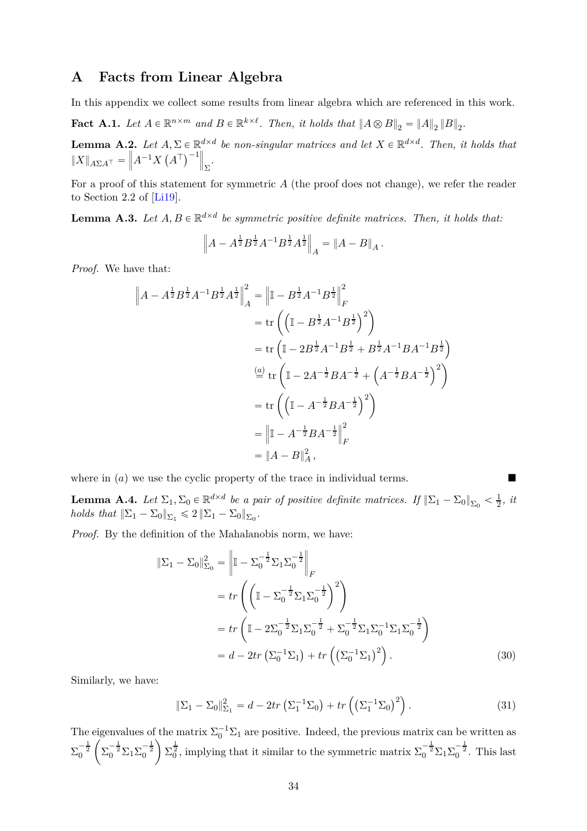### <span id="page-33-5"></span><span id="page-33-0"></span>**A Facts from Linear Algebra**

In this appendix we collect some results from linear algebra which are referenced in this work.

<span id="page-33-4"></span>**Fact A.1.** Let  $A \in \mathbb{R}^{n \times m}$  and  $B \in \mathbb{R}^{k \times \ell}$ . Then, it holds that  $\|A \otimes B\|_2 = \|A\|_2 \|B\|_2$ .

<span id="page-33-1"></span>**Lemma A.2.** *Let*  $A, \Sigma \in \mathbb{R}^{d \times d}$  *be non-singular matrices and let*  $X \in \mathbb{R}^{d \times d}$ *. Then, it holds that*  $\|X\|_{A\Sigma A^{+}} = \left\|A^{-1}X\left(A^{\top}\right)^{-1}\right\|_{\Sigma}.$ 

For a proof of this statement for symmetric *A* (the proof does not change), we refer the reader to Section 2*.*2 of [\[Li19\]](#page-32-12).

<span id="page-33-2"></span>**Lemma A.3.** Let  $A, B \in \mathbb{R}^{d \times d}$  be symmetric positive definite matrices. Then, it holds that:

$$
\left\|A - A^{\frac{1}{2}} B^{\frac{1}{2}} A^{-1} B^{\frac{1}{2}} A^{\frac{1}{2}}\right\|_{A} = \|A - B\|_{A}.
$$

*Proof.* We have that:

$$
\|A - A^{\frac{1}{2}} B^{\frac{1}{2}} A^{-1} B^{\frac{1}{2}} A^{\frac{1}{2}} \|_{A}^{2} = \left\| \mathbb{I} - B^{\frac{1}{2}} A^{-1} B^{\frac{1}{2}} \right\|_{F}^{2}
$$
  
\n
$$
= \text{tr}\left( \left( \mathbb{I} - B^{\frac{1}{2}} A^{-1} B^{\frac{1}{2}} \right)^{2} \right)
$$
  
\n
$$
= \text{tr}\left( \mathbb{I} - 2B^{\frac{1}{2}} A^{-1} B^{\frac{1}{2}} + B^{\frac{1}{2}} A^{-1} B A^{-1} B^{\frac{1}{2}} \right)
$$
  
\n
$$
\stackrel{(a)}{=} \text{tr}\left( \mathbb{I} - 2A^{-\frac{1}{2}} B A^{-\frac{1}{2}} + \left( A^{-\frac{1}{2}} B A^{-\frac{1}{2}} \right)^{2} \right)
$$
  
\n
$$
= \text{tr}\left( \left( \mathbb{I} - A^{-\frac{1}{2}} B A^{-\frac{1}{2}} \right)^{2} \right)
$$
  
\n
$$
= \left\| \mathbb{I} - A^{-\frac{1}{2}} B A^{-\frac{1}{2}} \right\|_{F}^{2}
$$
  
\n
$$
= \|A - B\|_{A}^{2},
$$

where in  $(a)$  we use the cyclic property of the trace in individual terms.

<span id="page-33-3"></span>**Lemma A.4.** *Let*  $\Sigma_1$ ,  $\Sigma_0 \in \mathbb{R}^{d \times d}$  *be a pair of positive definite matrices. If*  $\|\Sigma_1 - \Sigma_0\|_{\Sigma_0} < \frac{1}{2}$  $rac{1}{2}$ *, it holds that*  $\|\Sigma_1 - \Sigma_0\|_{\Sigma_1} \leq 2 \|\Sigma_1 - \Sigma_0\|_{\Sigma_0}$ .

*Proof.* By the definition of the Mahalanobis norm, we have:

$$
\|\Sigma_1 - \Sigma_0\|_{\Sigma_0}^2 = \left\| \mathbb{I} - \Sigma_0^{-\frac{1}{2}} \Sigma_1 \Sigma_0^{-\frac{1}{2}} \right\|_F
$$
  
=  $tr \left( \left( \mathbb{I} - \Sigma_0^{-\frac{1}{2}} \Sigma_1 \Sigma_0^{-\frac{1}{2}} \right)^2 \right)$   
=  $tr \left( \mathbb{I} - 2\Sigma_0^{-\frac{1}{2}} \Sigma_1 \Sigma_0^{-\frac{1}{2}} + \Sigma_0^{-\frac{1}{2}} \Sigma_1 \Sigma_0^{-1} \Sigma_1 \Sigma_0^{-\frac{1}{2}} \right)$   
=  $d - 2tr \left( \Sigma_0^{-1} \Sigma_1 \right) + tr \left( \left( \Sigma_0^{-1} \Sigma_1 \right)^2 \right).$  (30)

Similarly, we have:

<span id="page-33-7"></span><span id="page-33-6"></span>
$$
\|\Sigma_1 - \Sigma_0\|_{\Sigma_1}^2 = d - 2tr\left(\Sigma_1^{-1}\Sigma_0\right) + tr\left(\left(\Sigma_1^{-1}\Sigma_0\right)^2\right). \tag{31}
$$

The eigenvalues of the matrix  $\Sigma_0^{-1} \Sigma_1$  are positive. Indeed, the previous matrix can be written as  $\Sigma_0^{-\frac{1}{2}}$ ˆ  $\Sigma_0^{-\frac{1}{2}} \Sigma_1 \Sigma_0^{-\frac{1}{2}}$ ˙  $\Sigma_0^{\frac{1}{2}}$ , implying that it similar to the symmetric matrix  $\Sigma_0^{-\frac{1}{2}}\Sigma_1\Sigma_0^{-\frac{1}{2}}$ . This last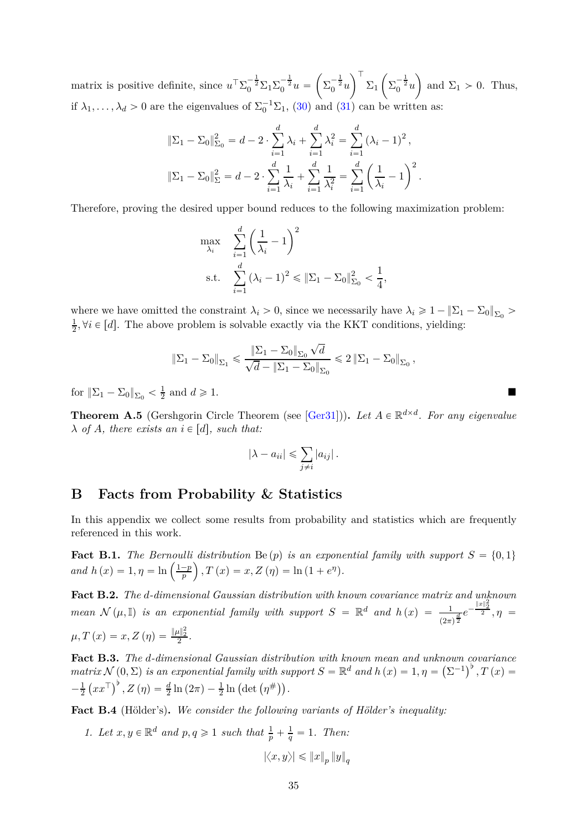<span id="page-34-4"></span>matrix is positive definite, since  $u^{\top} \Sigma_0^{-\frac{1}{2}} \Sigma_1 \Sigma_0^{-\frac{1}{2}} u =$  $\sqrt{2}$  $\Sigma_0^{-\frac{1}{2}}u$ `∖ T  $\Sigma_1$  $\sqrt{2}$  $\Sigma_0^{-\frac{1}{2}}u$ ) and  $\Sigma_1 > 0$ . Thus, if  $\lambda_1, \ldots, \lambda_d > 0$  are the eigenvalues of  $\Sigma_0^{-1} \Sigma_1$ , [\(30\)](#page-33-6) and [\(31\)](#page-33-7) can be written as:

$$
\|\Sigma_1 - \Sigma_0\|_{\Sigma_0}^2 = d - 2 \cdot \sum_{i=1}^d \lambda_i + \sum_{i=1}^d \lambda_i^2 = \sum_{i=1}^d (\lambda_i - 1)^2,
$$
  

$$
\|\Sigma_1 - \Sigma_0\|_{\Sigma}^2 = d - 2 \cdot \sum_{i=1}^d \frac{1}{\lambda_i} + \sum_{i=1}^d \frac{1}{\lambda_i^2} = \sum_{i=1}^d \left(\frac{1}{\lambda_i} - 1\right)^2.
$$

Therefore, proving the desired upper bound reduces to the following maximization problem:

$$
\max_{\lambda_i} \quad \sum_{i=1}^d \left( \frac{1}{\lambda_i} - 1 \right)^2 \n\text{s.t.} \quad \sum_{i=1}^d \left( \lambda_i - 1 \right)^2 \le \| \Sigma_1 - \Sigma_0 \|_{\Sigma_0}^2 < \frac{1}{4},
$$

where we have omitted the constraint  $\lambda_i > 0$ , since we necessarily have  $\lambda_i \geq 1 - ||\Sigma_1 - \Sigma_0||_{\Sigma_0}$ 1  $\frac{1}{2}$ ,  $\forall i \in [d]$ . The above problem is solvable exactly via the KKT conditions, yielding:

$$
\left\|\Sigma_1-\Sigma_0\right\|_{\Sigma_1}\leqslant\frac{\left\|\Sigma_1-\Sigma_0\right\|_{\Sigma_0}\sqrt{d}}{\sqrt{d}-\left\|\Sigma_1-\Sigma_0\right\|_{\Sigma_0}}\leqslant 2\left\|\Sigma_1-\Sigma_0\right\|_{\Sigma_0},
$$

for  $\|\Sigma_1 - \Sigma_0\|_{\Sigma_0} < \frac{1}{2}$  $\frac{1}{2}$  and  $d \geqslant 1$ .

<span id="page-34-3"></span>**Theorem A.5** (Gershgorin Circle Theorem (see [\[Ger31\]](#page-31-13))). Let  $A \in \mathbb{R}^{d \times d}$ . For any eigenvalue  $\lambda$  *of A, there exists an*  $i \in [d]$ *, such that:* 

$$
|\lambda - a_{ii}| \leqslant \sum_{j \neq i} |a_{ij}|.
$$

### <span id="page-34-0"></span>**B Facts from Probability & Statistics**

In this appendix we collect some results from probability and statistics which are frequently referenced in this work.

<span id="page-34-5"></span>**Fact B.1.** *The Bernoulli distribution* Be (p) *is an exponential family with support*  $S = \{0, 1\}$ *and*  $h(x) = 1, \eta = \ln\left(\frac{1-p}{p}\right)$  $\int$ , *T* (*x*) = *x*, *Z* (*η*) = ln (1 + *e<sup>n</sup>*).

<span id="page-34-6"></span>**Fact B.2.** *The d-dimensional Gaussian distribution with known covariance matrix and unknown* 2 *mean*  $\mathcal{N}(\mu, \mathbb{I})$  *is an exponential family with support*  $S = \mathbb{R}^d$  *and*  $h(x) = \frac{1}{(2\pi)^{\frac{d}{2}}}e^{-\frac{\|\mathbf{x}\|_2^2}{2}}, \eta =$  $\mu, T(x) = x, Z(\eta) = \frac{\|\mu\|_2^2}{2}.$ 

<span id="page-34-2"></span>**Fact B.3.** *The d-dimensional Gaussian distribution with known mean and unknown covariance*  $matrix\mathcal{N}(0,\Sigma)$  *is an exponential family with support*  $S = \mathbb{R}^d$  *and*  $h(x) = 1, \eta = (\Sigma^{-1})^b, T(x) =$  $-\frac{1}{2}$  $\frac{1}{2} (xx^{\top})^{\flat}, Z(\eta) = \frac{d}{2} \ln (2\pi) - \frac{1}{2} \ln (\det (\eta^{\#}))$ .

<span id="page-34-1"></span>**Fact B.4** (Hölder's)**.** *We consider the following variants of Hölder's inequality:*

*1. Let*  $x, y \in \mathbb{R}^d$  *and*  $p, q \geq 1$  *such that*  $\frac{1}{p} + \frac{1}{q} = 1$ *. Then:* 

$$
\left|\left\langle x,y\right\rangle \right|\leqslant\left\|x\right\|_p\left\|y\right\|_q
$$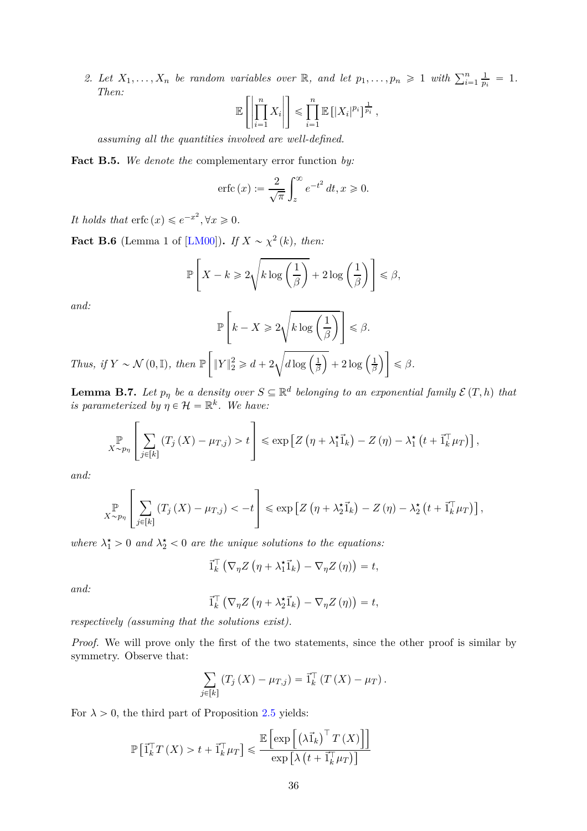<span id="page-35-3"></span>2. Let  $X_1, \ldots, X_n$  be random variables over  $\mathbb{R}$ , and let  $p_1, \ldots, p_n \geq 1$  with  $\sum_{i=1}^n \frac{1}{p_i}$  $\frac{1}{p_i} = 1$ . *Then:*

$$
\mathbb{E}\left[\left|\prod_{i=1}^n X_i\right|\right] \leq \prod_{i=1}^n \mathbb{E}\left[|X_i|^{p_i}\right]^{\frac{1}{p_i}},
$$

*assuming all the quantities involved are well-defined.*

<span id="page-35-2"></span>**Fact B.5.** *We denote the* complementary error function *by:*

$$
\operatorname{erfc}(x) := \frac{2}{\sqrt{\pi}} \int_{z}^{\infty} e^{-t^2} dt, x \ge 0.
$$

It holds that  $erfc(x) \leqslant e^{-x^2}, \forall x \geqslant 0.$ 

<span id="page-35-1"></span>**Fact B.6** (Lemma 1 of [\[LM00\]](#page-32-13)). *If*  $X \sim \chi^2(k)$ , then:

$$
\mathbb{P}\left[X - k \geq 2\sqrt{k \log\left(\frac{1}{\beta}\right)} + 2\log\left(\frac{1}{\beta}\right)\right] \leq \beta,
$$

*and:*

$$
\mathbb{P}\left[k - X \geq 2\sqrt{k \log\left(\frac{1}{\beta}\right)}\right] \leq \beta.
$$

*Thus, if*  $Y \sim \mathcal{N}(0, \mathbb{I})$ *, then*  $\mathbb{P}\left[$  $||Y||_2^2 \ge d + 2$  $\sqrt{d \log \left(\frac{1}{\beta}\right)}$ *β*  $\Big) + 2 \log \Big( \frac{1}{\beta}$ *β*  $\overline{1}$  $\leqslant \beta$ *.* 

<span id="page-35-0"></span>**Lemma B.7.** Let  $p_{\eta}$  be a density over  $S \subseteq \mathbb{R}^d$  belonging to an exponential family  $\mathcal{E}(T, h)$  that *is parameterized by*  $\eta \in \mathcal{H} = \mathbb{R}^k$ . We have:

$$
\mathbb{P}_{X \sim p_{\eta}} \left[ \sum_{j \in [k]} \left( T_j \left( X \right) - \mu_{T,j} \right) > t \right] \leq \exp \left[ Z \left( \eta + \lambda_1^{\star} \vec{1}_k \right) - Z \left( \eta \right) - \lambda_1^{\star} \left( t + \vec{1}_k^{\top} \mu_T \right) \right],
$$

*and:*

$$
\mathbb{P}_{X \sim p_{\eta}} \left[ \sum_{j \in [k]} \left( T_j \left( X \right) - \mu_{T,j} \right) < -t \right] \leq \exp \left[ Z \left( \eta + \lambda_2^{\star} \vec{1}_k \right) - Z \left( \eta \right) - \lambda_2^{\star} \left( t + \vec{1}_k^{\top} \mu_T \right) \right],
$$

*where*  $\lambda_1^* > 0$  *and*  $\lambda_2^* < 0$  *are the unique solutions to the equations:* 

$$
\vec{I}_{k}^{\top} \left( \nabla_{\eta} Z \left( \eta + \lambda_{1}^{\star} \vec{I}_{k} \right) - \nabla_{\eta} Z \left( \eta \right) \right) = t,
$$

*and:*

$$
\vec{1}_{k}^{\top} \left( \nabla_{\eta} Z \left( \eta + \lambda_{2}^{\star} \vec{1}_{k} \right) - \nabla_{\eta} Z \left( \eta \right) \right) = t,
$$

*respectively (assuming that the solutions exist).*

*Proof.* We will prove only the first of the two statements, since the other proof is similar by symmetry. Observe that:

$$
\sum_{j\in[k]} \left( T_j \left( X \right) - \mu_{T,j} \right) = \vec{1}_k^\top \left( T \left( X \right) - \mu_T \right).
$$

For  $\lambda > 0$ , the third part of Proposition [2.5](#page-7-3) yields:

$$
\mathbb{P}\left[\vec{1}_{k}^{\top} T\left(X\right) > t+\vec{1}_{k}^{\top} \mu_{T}\right] \leqslant \frac{\mathbb{E}\left[\exp\left[\left(\lambda \vec{1}_{k}\right)^{\top} T\left(X\right)\right]\right]}{\exp\left[\lambda\left(t+\vec{1}_{k}^{\top} \mu_{T}\right)\right]}
$$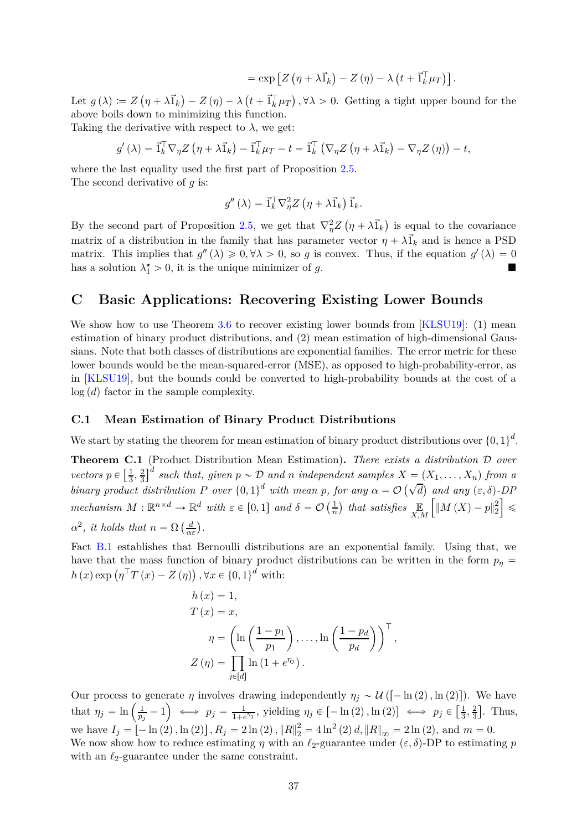$$
= \exp \left[Z\left(\eta + \lambda \vec{1}_k\right) - Z\left(\eta\right) - \lambda \left(t + \vec{1}_k^\top \mu_T\right)\right].
$$

<span id="page-36-2"></span>Let  $g(\lambda) := Z(\eta + \lambda \vec{1}_k) - Z(\eta) - \lambda \left(t + \vec{1}_k^T \mu_T\right), \forall \lambda > 0$ . Getting a tight upper bound for the above boils down to minimizing this function.

Taking the derivative with respect to  $\lambda$ , we get:

$$
g'(\lambda) = \vec{1}_k^{\top} \nabla_{\eta} Z(\eta + \lambda \vec{1}_k) - \vec{1}_k^{\top} \mu_T - t = \vec{1}_k^{\top} \left( \nabla_{\eta} Z(\eta + \lambda \vec{1}_k) - \nabla_{\eta} Z(\eta) \right) - t,
$$

where the last equality used the first part of Proposition [2.5.](#page-7-3) The second derivative of *g* is:

$$
g''(\lambda) = \vec{1}_k^{\top} \nabla_{\eta}^2 Z (\eta + \lambda \vec{1}_k) \vec{1}_k.
$$

By the second part of Proposition [2.5,](#page-7-3) we get that  $\nabla^2_{\eta} Z(\eta + \lambda \vec{1}_k)$  is equal to the covariance matrix of a distribution in the family that has parameter vector  $\eta + \lambda \vec{1}_k$  and is hence a PSD matrix. This implies that  $g''(\lambda) \geq 0, \forall \lambda > 0$ , so *g* is convex. Thus, if the equation  $g'(\lambda) = 0$ has a solution  $\lambda_1^* > 0$ , it is the unique minimizer of *g*.

### <span id="page-36-0"></span>**C Basic Applications: Recovering Existing Lower Bounds**

We show how to use Theorem [3.6](#page-16-0) to recover existing lower bounds from [\[KLSU19\]](#page-31-2): (1) mean estimation of binary product distributions, and (2) mean estimation of high-dimensional Gaussians. Note that both classes of distributions are exponential families. The error metric for these lower bounds would be the mean-squared-error (MSE), as opposed to high-probability-error, as in [\[KLSU19\]](#page-31-2), but the bounds could be converted to high-probability bounds at the cost of a  $log(d)$  factor in the sample complexity.

#### <span id="page-36-1"></span>**C.1 Mean Estimation of Binary Product Distributions**

We start by stating the theorem for mean estimation of binary product distributions over  $\{0,1\}^d$ .

<span id="page-36-3"></span>**Theorem C.1** (Product Distribution Mean Estimation)**.** *There exists a distribution* D *over*  $vectors p \in \left[\frac{1}{3}\right]$  $\frac{1}{3}, \frac{2}{3}$  $\frac{2}{3}$ <sup>d</sup> such that, given  $p \sim \mathcal{D}$  and *n* independent samples  $X = (X_1, \ldots, X_n)$  from a *binary product distribution*  $P$  *over*  $\{0,1\}^d$  *with mean*  $p$ *, for any*  $\alpha = \mathcal{O}(\sqrt{d})$  *and any*  $(\varepsilon, \delta)$ -*DP mechanism*  $M : \mathbb{R}^{n \times d} \to \mathbb{R}^d$  *with*  $\varepsilon \in [0, 1]$  *and*  $\delta = \mathcal{O}\left(\frac{1}{n}\right)$  $\frac{1}{n}$  that satisfies  $\mathbb{E}$ <sub>X,M</sub>  $\int \left\| M \left( X \right) - p \right\|_2^2$ 2 ı ď  $\alpha^2$ , *it holds that*  $n = \Omega\left(\frac{d}{\alpha \varepsilon}\right)$ .

Fact [B.1](#page-34-5) establishes that Bernoulli distributions are an exponential family. Using that, we have that the mass function of binary product distributions can be written in the form  $p_n =$  $h(x) \exp \left(\eta^{\top} T(x) - Z(\eta)\right), \forall x \in \{0, 1\}^d$  with:

$$
h(x) = 1,
$$
  
\n
$$
T(x) = x,
$$
  
\n
$$
\eta = \left(\ln\left(\frac{1-p_1}{p_1}\right), \dots, \ln\left(\frac{1-p_d}{p_d}\right)\right)^\top,
$$
  
\n
$$
Z(\eta) = \prod_{j \in [d]} \ln(1 + e^{\eta_j}).
$$

Our process to generate  $\eta$  involves drawing independently  $\eta_j \sim \mathcal{U}([-\ln(2), \ln(2)])$ . We have that  $\eta_j = \ln\left(\frac{1}{p_j}\right)$  $\left(\frac{1}{p_j}-1\right) \iff p_j = \frac{1}{1+\epsilon}$  $\frac{1}{1+e^{\eta_j}}$ , yielding  $\eta_j \in [-\ln(2), \ln(2)] \iff p_j \in \left[\frac{1}{3}, \frac{1}{2}\right]$  $\frac{1}{3}, \frac{2}{3}$  $\frac{2}{3}$ . Thus, we have  $I_j = [-\ln(2), \ln(2)]$ ,  $R_j = 2\ln(2)$ ,  $||R||_2^2 = 4\ln^2(2) d$ ,  $||R||_{\infty} = 2\ln(2)$ , and  $m = 0$ . We now show how to reduce estimating  $\eta$  with an  $\ell_2$ -guarantee under  $(\varepsilon, \delta)$ -DP to estimating  $p$ with an  $\ell_2$ -guarantee under the same constraint.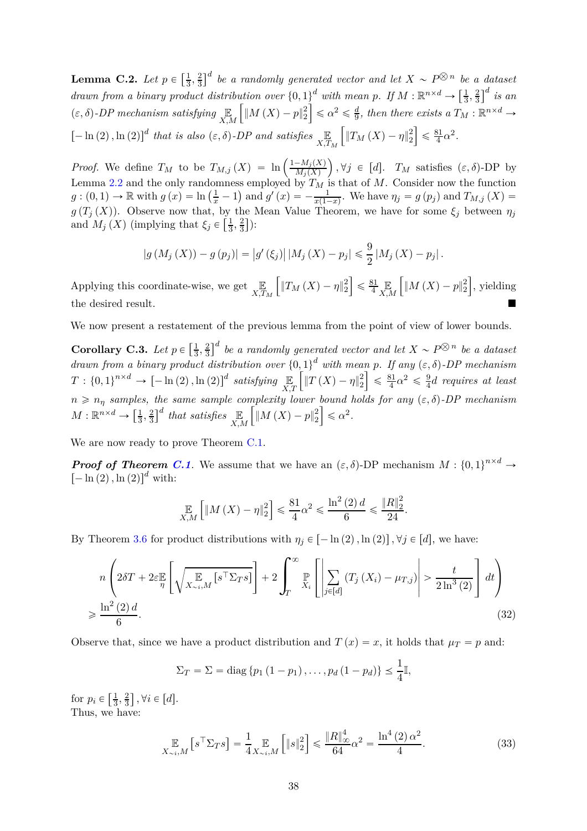**Lemma C.2.** *Let*  $p \in \left[\frac{1}{3}\right]$  $\frac{1}{3}, \frac{2}{3}$  $\frac{2}{3}$ <sup>*d*</sup> *be a randomly generated vector and let*  $X \sim P^{\bigotimes n}$  *be a dataset drawn from a binary product distribution over*  $\{0, 1\}^d$  *with mean p.* If  $M : \mathbb{R}^{n \times d} \to \left[\frac{1}{3}, 1\right]$  $\frac{1}{3}, \frac{2}{3}$  $\left(\frac{2}{3}\right]^d$  *is an*  $(\varepsilon, \delta)$ -DP mechanism satisfying  $\mathbb{E}_{X,M}$  $\int \left\| M \left( X \right) - p \right\|_2^2$ 2  $\left| \leq \alpha^2 \leq \frac{d}{9} \right|$  $\frac{d}{9}$ , then there exists a  $T_M : \mathbb{R}^{n \times d} \rightarrow$  $[-\ln(2), \ln(2)]^d$  that is also  $(\varepsilon, \delta)$ -DP and satisfies  $\mathbb{E}_{X, T_M}$  $\int \|T_M(X) - \eta\|_2^2$ 2 ı  $\leqslant \frac{81}{4}$  $\frac{31}{4} \alpha^2$ .

*Proof.* We define  $T_M$  to be  $T_{M,j}(X) = \ln\left(\frac{1-M_j(X)}{M_j(X)}\right)$  $M_j(X)$  $\Big)$ ,  $\forall j \in [d]$ .  $T_M$  satisfies  $(\varepsilon, \delta)$ -DP by Lemma [2.2](#page-6-1) and the only randomness employed by *T<sup>M</sup>* is that of *M*. Consider now the function  $g:(0,1) \to \mathbb{R}$  with  $g(x) = \ln(\frac{1}{x}-1)$  and  $g'(x) = -\frac{1}{x(1-x)}$ . We have  $\eta_j = g(p_j)$  and  $T_{M,j}(X) =$ *g* (*T*<sub>*j*</sub> (*X*)). Observe now that, by the Mean Value Theorem, we have for some  $\xi_j$  between  $\eta_j$ and  $M_j(X)$  (implying that  $\xi_j \in \left[\frac{1}{3}\right]$  $\frac{1}{3}$ ,  $\frac{2}{3}$  $\frac{2}{3}$ ):

$$
|g(M_j(X)) - g(p_j)| = |g'(\xi_j)| |M_j(X) - p_j| \leq \frac{9}{2} |M_j(X) - p_j|.
$$

Applying this coordinate-wise, we get  $\mathbb{E}_{X,T_M}$  $\int \|T_M(X) - \eta\|_2^2$ 2 ı  $\leqslant \frac{81}{4}$  $\frac{31}{4}$   $\mathbb{E}_{\mathbf{y}}$ *X,M*  $\int \|M(X) - p\|_2^2$ 2 ı , yielding the desired result.

We now present a restatement of the previous lemma from the point of view of lower bounds.

<span id="page-37-2"></span>**Corollary C.3.** *Let*  $p \in \left[\frac{1}{3}\right]$  $\frac{1}{3}$ ,  $\frac{2}{3}$  $\frac{2}{3}$ <sup>d</sup> be a randomly generated vector and let  $X \sim P^{\bigotimes n}$  be a dataset *drawn from a binary product distribution over*  $\{0,1\}^d$  *with mean p. If any*  $(\varepsilon,\delta)$ -DP mechanism  $T: \{0,1\}^{n \times d} \rightarrow [-\ln(2), \ln(2)]^d$  satisfying  $\mathbb{E}_{X,T}$  $\int \left\| T\left( X\right) -\eta \right\| _{2}^{2}$ 2 ı  $\leqslant \frac{81}{4}$  $rac{31}{4}\alpha^2 \leqslant \frac{9}{4}$ 4 *d requires at least*  $n \geq n_\eta$  *samples, the same sample complexity lower bound holds for any*  $(\varepsilon, \delta)$ -DP mechanism  $M: \mathbb{R}^{n \times d} \rightarrow \left[\frac{1}{3}\right]$  $\frac{1}{3}, \frac{2}{3}$  $\left(\frac{2}{3}\right)^d$  that satisfies  $\mathop{\mathbb{E}}_{X,M}$  $\int_M |M(X) - p||_2^2$ 2  $\leq \alpha^2$ .

We are now ready to prove Theorem [C.1.](#page-36-3)

*Proof of Theorem [C.1](#page-36-3).* We assume that we have an  $(\varepsilon, \delta)$ -DP mechanism  $M : \{0,1\}^{n \times d} \to$  $[-\ln(2), \ln(2)]^d$  with:

$$
\mathop{\mathbb{E}}_{X,M}\left[\|M\left(X\right)-\eta\|_2^2\right] \leq \frac{81}{4}\alpha^2 \leq \frac{\ln^2(2)\,d}{6} \leq \frac{\|R\|_2^2}{24}.
$$

By Theorem [3.6](#page-16-0) for product distributions with  $\eta_j \in [-\ln(2), \ln(2)]$ ,  $\forall j \in [d]$ , we have:

$$
n\left(2\delta T + 2\varepsilon \mathbb{E}_\eta \left[\sqrt{\mathbb{E}_{X_{\sim i},M}\left[s^\top \Sigma_{T} s\right]}\right] + 2\int_T^\infty \mathbb{E}_{X_i}\left[\left|\sum_{j\in[d]} \left(T_j\left(X_i\right) - \mu_{T,j}\right)\right| > \frac{t}{2\ln^3(2)}\right] dt\right)
$$
  
\$\geqslant \frac{\ln^2(2) d}{6}\$. (32)

Observe that, since we have a product distribution and  $T(x) = x$ , it holds that  $\mu_T = p$  and:

<span id="page-37-1"></span><span id="page-37-0"></span>
$$
\Sigma_T = \Sigma = \text{diag}\left\{p_1\left(1-p_1\right),\ldots,p_d\left(1-p_d\right)\right\} \leq \frac{1}{4}\mathbb{I},
$$

for  $p_i \in \left[\frac{1}{3}\right]$  $\frac{1}{3}$ ,  $\frac{2}{3}$  $\left[\frac{2}{3}\right], \forall i \in [d].$ Thus, we have:

$$
\mathop{\mathbb{E}}_{X \sim i,M} \left[ s^{\top} \Sigma_{T} s \right] = \frac{1}{4} \mathop{\mathbb{E}}_{X \sim i,M} \left[ \left\| s \right\|_{2}^{2} \right] \leq \frac{\left\| R \right\|_{\infty}^{4}}{64} \alpha^{2} = \frac{\ln^{4} (2) \alpha^{2}}{4}. \tag{33}
$$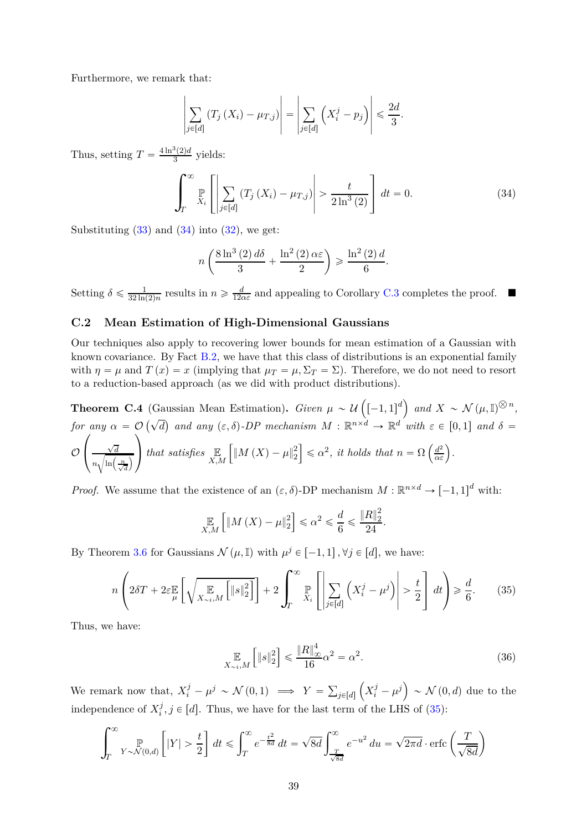Furthermore, we remark that:

$$
\left|\sum_{j\in[d]} \left(T_j\left(X_i\right) - \mu_{T,j}\right)\right| = \left|\sum_{j\in[d]} \left(X_i^j - p_j\right)\right| \leq \frac{2d}{3}.
$$

Thus, setting  $T = \frac{4 \ln^3(2)d}{3}$  yields:

$$
\int_{T}^{\infty} \mathbb{P}\left[\left|\sum_{j\in[d]} \left(T_{j}\left(X_{i}\right)-\mu_{T,j}\right)\right| > \frac{t}{2\ln^{3}\left(2\right)}\right] dt = 0. \tag{34}
$$

Substituting  $(33)$  and  $(34)$  into  $(32)$ , we get:

<span id="page-38-1"></span>
$$
n\left(\frac{8\ln^3(2)\,d\delta}{3} + \frac{\ln^2(2)\,\alpha\varepsilon}{2}\right) \geqslant \frac{\ln^2(2)\,d}{6}.
$$

Setting  $\delta \leqslant \frac{1}{32 \ln 4}$  $\frac{1}{32 \ln(2)n}$  results in  $n \geq \frac{d}{12d}$  $\frac{d}{12\alpha\varepsilon}$  and appealing to Corollary [C.3](#page-37-2) completes the proof. ■

### <span id="page-38-0"></span>**C.2 Mean Estimation of High-Dimensional Gaussians**

Our techniques also apply to recovering lower bounds for mean estimation of a Gaussian with known covariance. By Fact [B.2,](#page-34-6) we have that this class of distributions is an exponential family with  $\eta = \mu$  and  $T(x) = x$  (implying that  $\mu_T = \mu$ ,  $\Sigma_T = \Sigma$ ). Therefore, we do not need to resort to a reduction-based approach (as we did with product distributions).

**Theorem C.4** (Gaussian Mean Estimation). *Given*  $\mu \sim \mathcal{U}\left([-1,1]^d\right)$  and  $X \sim \mathcal{N}(\mu, \mathbb{I})^{\otimes n}$ , *for any*  $\alpha = \mathcal{O}(\sqrt{d})$  and any  $(\varepsilon, \delta)$ -DP mechanism  $M : \mathbb{R}^{n \times d} \to \mathbb{R}^{d'}$  with  $\varepsilon \in [0, 1]$  and  $\delta =$  $\mathcal{O}$  $\sqrt{ }$  $\sqrt{2}$  $\sqrt{d}$  $n\sqrt{\ln\left(\frac{n}{\sqrt{d}}\right)}$ ¯  $\setminus$  $\int$  *that satisfies*  $\mathbb{E}_{X,M}$  $\int_M |M(X) - \mu|_2^2$ 2  $\left\{ \leq \alpha^2, \text{ it holds that } n = \Omega \left( \frac{d^2}{\alpha \varepsilon} \right) \right\}.$ 

*Proof.* We assume that the existence of an  $(\varepsilon, \delta)$ -DP mechanism  $M : \mathbb{R}^{n \times d} \to [-1, 1]^d$  with:

$$
\mathop{\mathbb{E}}_{X,M}\left[\left\|M\left(X\right) - \mu\right\|_{2}^{2}\right] \leq \alpha^{2} \leq \frac{d}{6} \leq \frac{\left\|R\right\|_{2}^{2}}{24}
$$

By Theorem [3.6](#page-16-0) for Gaussians  $\mathcal{N}(\mu, \mathbb{I})$  with  $\mu^{j} \in [-1, 1], \forall j \in [d]$ , we have:

$$
n\left(2\delta T + 2\varepsilon \mathbb{E}\left[\sqrt{\mathbb{E}\left[\mathbb{E}\left[\mathbb{E}\left[\mathbb{E}\right]\right]\right]} + 2\int_{T}^{\infty} \mathbb{E}\left[\left|\sum_{j\in[d]} \left(X_{i}^{j} - \mu^{j}\right)\right| > \frac{t}{2}\right] dt\right) \geq \frac{d}{6}.\tag{35}
$$

Thus, we have:

$$
\mathop{\mathbb{E}}_{X \sim i,M} \left[ \|s\|_2^2 \right] \leq \frac{\|R\|_{\infty}^4}{16} \alpha^2 = \alpha^2. \tag{36}
$$

<span id="page-38-3"></span><span id="page-38-2"></span>*.*

We remark now that,  $X_i^j - \mu^j \sim \mathcal{N}(0,1) \implies Y = \sum_{j \in [d]}$  $\left(X_i^j - \mu^j\right) \sim \mathcal{N}\left(0, d\right)$  due to the independence of  $X_i^j$  $i<sup>j</sup>$ ,  $j \in [d]$ . Thus, we have for the last term of the LHS of [\(35\)](#page-38-2):

$$
\int_{T}^{\infty} \mathbb{P}_{Y \sim \mathcal{N}(0,d)} \left[ |Y| > \frac{t}{2} \right] dt \leq \int_{T}^{\infty} e^{-\frac{t^2}{8d}} dt = \sqrt{8d} \int_{\frac{T}{\sqrt{8d}}}^{\infty} e^{-u^2} du = \sqrt{2\pi d} \cdot \text{erfc}\left(\frac{T}{\sqrt{8d}}\right)
$$